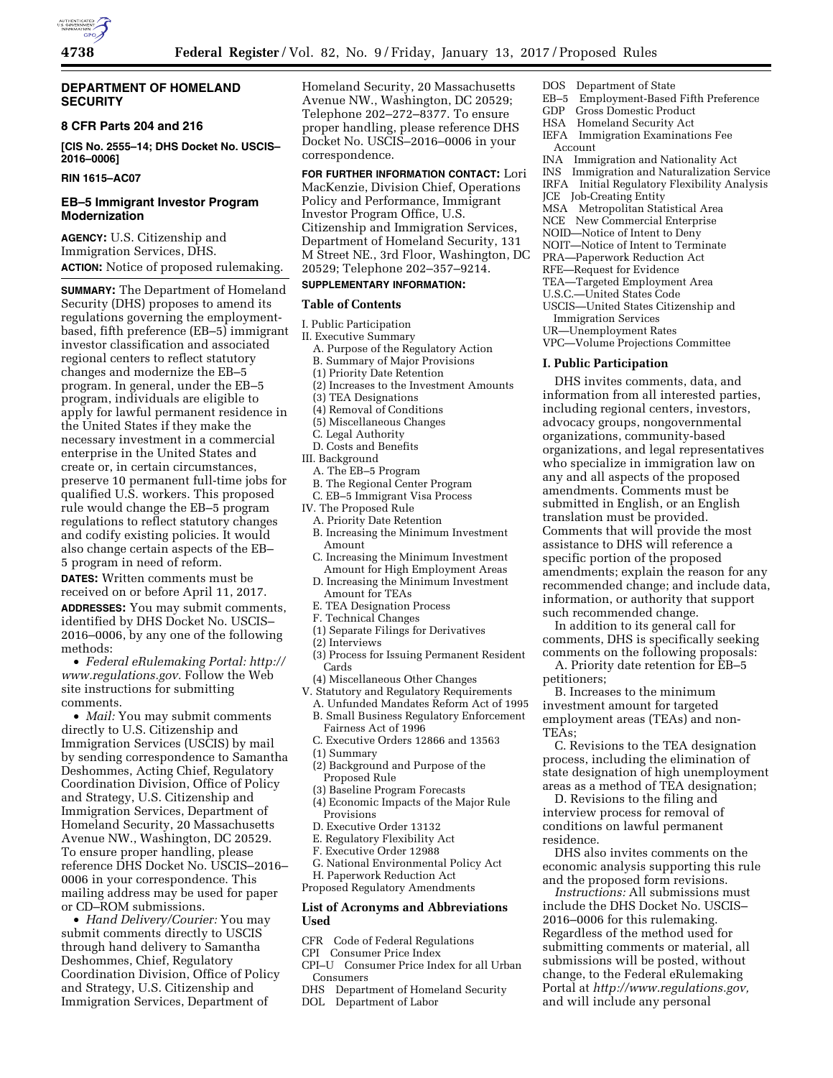

## **DEPARTMENT OF HOMELAND SECURITY**

## **8 CFR Parts 204 and 216**

**[CIS No. 2555–14; DHS Docket No. USCIS– 2016–0006]** 

## **RIN 1615–AC07**

# **EB–5 Immigrant Investor Program Modernization**

**AGENCY:** U.S. Citizenship and Immigration Services, DHS. **ACTION:** Notice of proposed rulemaking.

**SUMMARY:** The Department of Homeland Security (DHS) proposes to amend its regulations governing the employmentbased, fifth preference (EB–5) immigrant investor classification and associated regional centers to reflect statutory changes and modernize the EB–5 program. In general, under the EB–5 program, individuals are eligible to apply for lawful permanent residence in the United States if they make the necessary investment in a commercial enterprise in the United States and create or, in certain circumstances, preserve 10 permanent full-time jobs for qualified U.S. workers. This proposed rule would change the EB–5 program regulations to reflect statutory changes and codify existing policies. It would also change certain aspects of the EB– 5 program in need of reform.

**DATES:** Written comments must be received on or before April 11, 2017. **ADDRESSES:** You may submit comments, identified by DHS Docket No. USCIS– 2016–0006, by any one of the following methods:

• *Federal eRulemaking Portal: [http://](http://www.regulations.gov)  [www.regulations.gov.](http://www.regulations.gov)* Follow the Web site instructions for submitting comments.

• *Mail:* You may submit comments directly to U.S. Citizenship and Immigration Services (USCIS) by mail by sending correspondence to Samantha Deshommes, Acting Chief, Regulatory Coordination Division, Office of Policy and Strategy, U.S. Citizenship and Immigration Services, Department of Homeland Security, 20 Massachusetts Avenue NW., Washington, DC 20529. To ensure proper handling, please reference DHS Docket No. USCIS–2016– 0006 in your correspondence. This mailing address may be used for paper or CD–ROM submissions.

• *Hand Delivery/Courier:* You may submit comments directly to USCIS through hand delivery to Samantha Deshommes, Chief, Regulatory Coordination Division, Office of Policy and Strategy, U.S. Citizenship and Immigration Services, Department of

Homeland Security, 20 Massachusetts Avenue NW., Washington, DC 20529; Telephone 202–272–8377. To ensure proper handling, please reference DHS Docket No. USCIS–2016–0006 in your correspondence.

**FOR FURTHER INFORMATION CONTACT:** Lori MacKenzie, Division Chief, Operations Policy and Performance, Immigrant Investor Program Office, U.S. Citizenship and Immigration Services, Department of Homeland Security, 131 M Street NE., 3rd Floor, Washington, DC 20529; Telephone 202–357–9214.

# **SUPPLEMENTARY INFORMATION:**

### **Table of Contents**

- I. Public Participation
- II. Executive Summary
	- A. Purpose of the Regulatory Action B. Summary of Major Provisions
	- (1) Priority Date Retention
	- (2) Increases to the Investment Amounts
	- (3) TEA Designations
	- (4) Removal of Conditions
	- (5) Miscellaneous Changes
	- C. Legal Authority
- D. Costs and Benefits
- III. Background
- A. The EB–5 Program
- B. The Regional Center Program
- C. EB–5 Immigrant Visa Process
- IV. The Proposed Rule
	- A. Priority Date Retention
	- B. Increasing the Minimum Investment Amount
	- C. Increasing the Minimum Investment Amount for High Employment Areas
	- D. Increasing the Minimum Investment Amount for TEAs
- E. TEA Designation Process
- F. Technical Changes
- (1) Separate Filings for Derivatives
- (2) Interviews
- (3) Process for Issuing Permanent Resident Cards
- (4) Miscellaneous Other Changes
- V. Statutory and Regulatory Requirements
	- A. Unfunded Mandates Reform Act of 1995 B. Small Business Regulatory Enforcement
	- Fairness Act of 1996
	- C. Executive Orders 12866 and 13563
	- (1) Summary
	- (2) Background and Purpose of the Proposed Rule
	- (3) Baseline Program Forecasts
	- (4) Economic Impacts of the Major Rule Provisions
	- D. Executive Order 13132
	- E. Regulatory Flexibility Act
- F. Executive Order 12988
- G. National Environmental Policy Act H. Paperwork Reduction Act
- Proposed Regulatory Amendments

## **List of Acronyms and Abbreviations Used**

- CFR Code of Federal Regulations
- CPI Consumer Price Index
- CPI–U Consumer Price Index for all Urban **Consumers**
- DHS Department of Homeland Security
- DOL Department of Labor
- DOS Department of State<br>EB-5 Employment-Based
- EB–5 Employment-Based Fifth Preference
- Gross Domestic Product HSA Homeland Security Act
- IEFA Immigration Examinations Fee
- Account
- INA Immigration and Nationality Act
- INS Immigration and Naturalization Service
- IRFA Initial Regulatory Flexibility Analysis
- JCE Job-Creating Entity
- MSA Metropolitan Statistical Area
- NCE New Commercial Enterprise
- NOID—Notice of Intent to Deny
- NOIT—Notice of Intent to Terminate
- PRA—Paperwork Reduction Act
- RFE—Request for Evidence
- TEA—Targeted Employment Area
- U.S.C.—United States Code
- USCIS—United States Citizenship and
- Immigration Services
- UR—Unemployment Rates
- VPC—Volume Projections Committee

#### **I. Public Participation**

DHS invites comments, data, and information from all interested parties, including regional centers, investors, advocacy groups, nongovernmental organizations, community-based organizations, and legal representatives who specialize in immigration law on any and all aspects of the proposed amendments. Comments must be submitted in English, or an English translation must be provided. Comments that will provide the most assistance to DHS will reference a specific portion of the proposed amendments; explain the reason for any recommended change; and include data, information, or authority that support such recommended change.

In addition to its general call for comments, DHS is specifically seeking comments on the following proposals:

A. Priority date retention for EB–5 petitioners;

B. Increases to the minimum investment amount for targeted employment areas (TEAs) and non-TEAs;

C. Revisions to the TEA designation process, including the elimination of state designation of high unemployment areas as a method of TEA designation;

D. Revisions to the filing and interview process for removal of conditions on lawful permanent residence.

DHS also invites comments on the economic analysis supporting this rule and the proposed form revisions.

*Instructions:* All submissions must include the DHS Docket No. USCIS– 2016–0006 for this rulemaking. Regardless of the method used for submitting comments or material, all submissions will be posted, without change, to the Federal eRulemaking Portal at *[http://www.regulations.gov,](http://www.regulations.gov)*  and will include any personal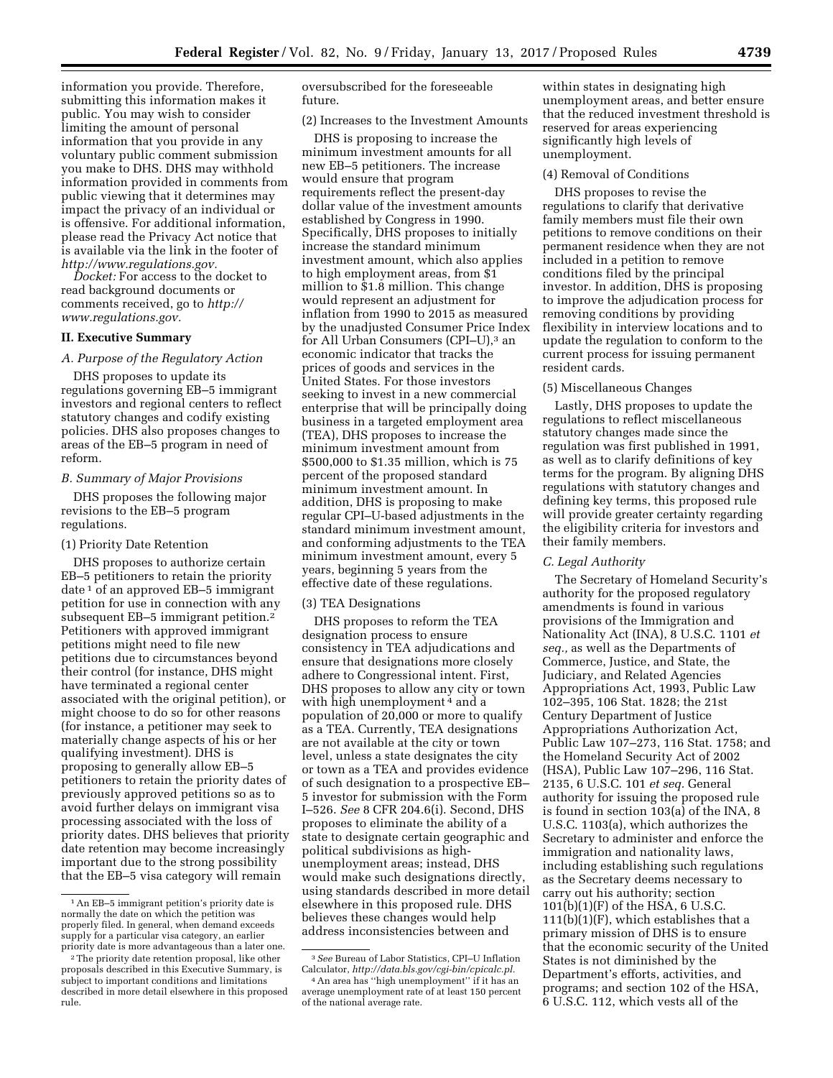information you provide. Therefore, submitting this information makes it public. You may wish to consider limiting the amount of personal information that you provide in any voluntary public comment submission you make to DHS. DHS may withhold information provided in comments from public viewing that it determines may impact the privacy of an individual or is offensive. For additional information, please read the Privacy Act notice that is available via the link in the footer of *[http://www.regulations.gov.](http://www.regulations.gov)* 

*Docket:* For access to the docket to read background documents or comments received, go to *[http://](http://www.regulations.gov) [www.regulations.gov.](http://www.regulations.gov)* 

## **II. Executive Summary**

### *A. Purpose of the Regulatory Action*

DHS proposes to update its regulations governing EB–5 immigrant investors and regional centers to reflect statutory changes and codify existing policies. DHS also proposes changes to areas of the EB–5 program in need of reform.

## *B. Summary of Major Provisions*

DHS proposes the following major revisions to the EB–5 program regulations.

#### (1) Priority Date Retention

DHS proposes to authorize certain EB–5 petitioners to retain the priority date 1 of an approved EB–5 immigrant petition for use in connection with any subsequent EB-5 immigrant petition.<sup>2</sup> Petitioners with approved immigrant petitions might need to file new petitions due to circumstances beyond their control (for instance, DHS might have terminated a regional center associated with the original petition), or might choose to do so for other reasons (for instance, a petitioner may seek to materially change aspects of his or her qualifying investment). DHS is proposing to generally allow EB–5 petitioners to retain the priority dates of previously approved petitions so as to avoid further delays on immigrant visa processing associated with the loss of priority dates. DHS believes that priority date retention may become increasingly important due to the strong possibility that the EB–5 visa category will remain

oversubscribed for the foreseeable future.

(2) Increases to the Investment Amounts

DHS is proposing to increase the minimum investment amounts for all new EB–5 petitioners. The increase would ensure that program requirements reflect the present-day dollar value of the investment amounts established by Congress in 1990. Specifically, DHS proposes to initially increase the standard minimum investment amount, which also applies to high employment areas, from \$1 million to \$1.8 million. This change would represent an adjustment for inflation from 1990 to 2015 as measured by the unadjusted Consumer Price Index for All Urban Consumers (CPI–U),<sup>3</sup> an economic indicator that tracks the prices of goods and services in the United States. For those investors seeking to invest in a new commercial enterprise that will be principally doing business in a targeted employment area (TEA), DHS proposes to increase the minimum investment amount from \$500,000 to \$1.35 million, which is 75 percent of the proposed standard minimum investment amount. In addition, DHS is proposing to make regular CPI–U-based adjustments in the standard minimum investment amount, and conforming adjustments to the TEA minimum investment amount, every 5 years, beginning 5 years from the effective date of these regulations.

## (3) TEA Designations

DHS proposes to reform the TEA designation process to ensure consistency in TEA adjudications and ensure that designations more closely adhere to Congressional intent. First, DHS proposes to allow any city or town with high unemployment<sup>4</sup> and a population of 20,000 or more to qualify as a TEA. Currently, TEA designations are not available at the city or town level, unless a state designates the city or town as a TEA and provides evidence of such designation to a prospective EB– 5 investor for submission with the Form I–526. *See* 8 CFR 204.6(i). Second, DHS proposes to eliminate the ability of a state to designate certain geographic and political subdivisions as highunemployment areas; instead, DHS would make such designations directly, using standards described in more detail elsewhere in this proposed rule. DHS believes these changes would help address inconsistencies between and

within states in designating high unemployment areas, and better ensure that the reduced investment threshold is reserved for areas experiencing significantly high levels of unemployment.

#### (4) Removal of Conditions

DHS proposes to revise the regulations to clarify that derivative family members must file their own petitions to remove conditions on their permanent residence when they are not included in a petition to remove conditions filed by the principal investor. In addition, DHS is proposing to improve the adjudication process for removing conditions by providing flexibility in interview locations and to update the regulation to conform to the current process for issuing permanent resident cards.

### (5) Miscellaneous Changes

Lastly, DHS proposes to update the regulations to reflect miscellaneous statutory changes made since the regulation was first published in 1991, as well as to clarify definitions of key terms for the program. By aligning DHS regulations with statutory changes and defining key terms, this proposed rule will provide greater certainty regarding the eligibility criteria for investors and their family members.

## *C. Legal Authority*

The Secretary of Homeland Security's authority for the proposed regulatory amendments is found in various provisions of the Immigration and Nationality Act (INA), 8 U.S.C. 1101 *et seq.,* as well as the Departments of Commerce, Justice, and State, the Judiciary, and Related Agencies Appropriations Act, 1993, Public Law 102–395, 106 Stat. 1828; the 21st Century Department of Justice Appropriations Authorization Act, Public Law 107–273, 116 Stat. 1758; and the Homeland Security Act of 2002 (HSA), Public Law 107–296, 116 Stat. 2135, 6 U.S.C. 101 *et seq.* General authority for issuing the proposed rule is found in section 103(a) of the INA, 8 U.S.C. 1103(a), which authorizes the Secretary to administer and enforce the immigration and nationality laws, including establishing such regulations as the Secretary deems necessary to carry out his authority; section 101(b)(1)(F) of the HSA, 6 U.S.C.  $111(b)(1)(F)$ , which establishes that a primary mission of DHS is to ensure that the economic security of the United States is not diminished by the Department's efforts, activities, and programs; and section 102 of the HSA, 6 U.S.C. 112, which vests all of the

<sup>1</sup>An EB–5 immigrant petition's priority date is normally the date on which the petition was properly filed. In general, when demand exceeds supply for a particular visa category, an earlier priority date is more advantageous than a later one.

<sup>2</sup>The priority date retention proposal, like other proposals described in this Executive Summary, is subject to important conditions and limitations described in more detail elsewhere in this proposed rule.

<sup>3</sup>*See* Bureau of Labor Statistics, CPI–U Inflation Calculator, *[http://data.bls.gov/cgi-bin/cpicalc.pl.](http://data.bls.gov/cgi-bin/cpicalc.pl)* 

<sup>4</sup>An area has ''high unemployment'' if it has an average unemployment rate of at least 150 percent of the national average rate.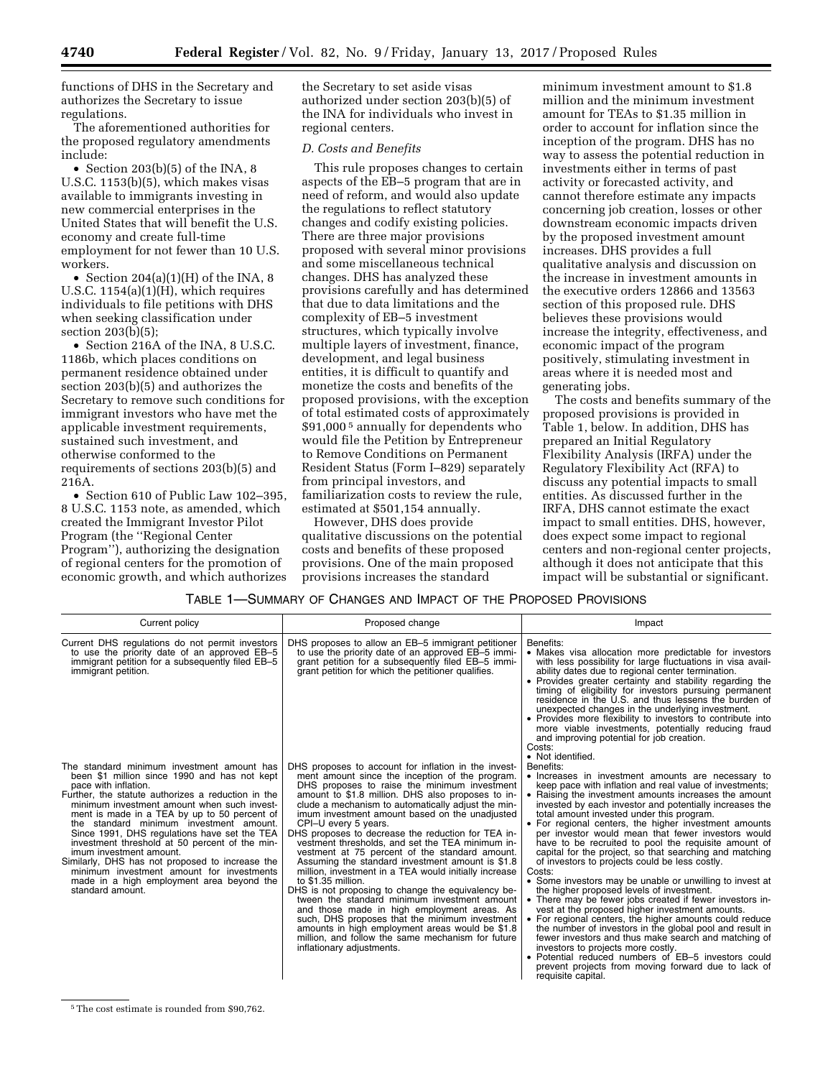functions of DHS in the Secretary and authorizes the Secretary to issue regulations.

The aforementioned authorities for the proposed regulatory amendments include:

• Section 203(b)(5) of the INA, 8 U.S.C. 1153(b)(5), which makes visas available to immigrants investing in new commercial enterprises in the United States that will benefit the U.S. economy and create full-time employment for not fewer than 10 U.S. workers.

• Section  $204(a)(1)(H)$  of the INA, 8 U.S.C. 1154(a)(1)(H), which requires individuals to file petitions with DHS when seeking classification under section 203(b)(5);

• Section 216A of the INA, 8 U.S.C. 1186b, which places conditions on permanent residence obtained under section 203(b)(5) and authorizes the Secretary to remove such conditions for immigrant investors who have met the applicable investment requirements, sustained such investment, and otherwise conformed to the requirements of sections 203(b)(5) and 216A.

• Section 610 of Public Law 102–395, 8 U.S.C. 1153 note, as amended, which created the Immigrant Investor Pilot Program (the ''Regional Center Program''), authorizing the designation of regional centers for the promotion of economic growth, and which authorizes

the Secretary to set aside visas authorized under section 203(b)(5) of the INA for individuals who invest in regional centers.

## *D. Costs and Benefits*

This rule proposes changes to certain aspects of the EB–5 program that are in need of reform, and would also update the regulations to reflect statutory changes and codify existing policies. There are three major provisions proposed with several minor provisions and some miscellaneous technical changes. DHS has analyzed these provisions carefully and has determined that due to data limitations and the complexity of EB–5 investment structures, which typically involve multiple layers of investment, finance, development, and legal business entities, it is difficult to quantify and monetize the costs and benefits of the proposed provisions, with the exception of total estimated costs of approximately \$91,000 5 annually for dependents who would file the Petition by Entrepreneur to Remove Conditions on Permanent Resident Status (Form I–829) separately from principal investors, and familiarization costs to review the rule, estimated at \$501,154 annually.

However, DHS does provide qualitative discussions on the potential costs and benefits of these proposed provisions. One of the main proposed provisions increases the standard

minimum investment amount to \$1.8 million and the minimum investment amount for TEAs to \$1.35 million in order to account for inflation since the inception of the program. DHS has no way to assess the potential reduction in investments either in terms of past activity or forecasted activity, and cannot therefore estimate any impacts concerning job creation, losses or other downstream economic impacts driven by the proposed investment amount increases. DHS provides a full qualitative analysis and discussion on the increase in investment amounts in the executive orders 12866 and 13563 section of this proposed rule. DHS believes these provisions would increase the integrity, effectiveness, and economic impact of the program positively, stimulating investment in areas where it is needed most and generating jobs.

The costs and benefits summary of the proposed provisions is provided in Table 1, below. In addition, DHS has prepared an Initial Regulatory Flexibility Analysis (IRFA) under the Regulatory Flexibility Act (RFA) to discuss any potential impacts to small entities. As discussed further in the IRFA, DHS cannot estimate the exact impact to small entities. DHS, however, does expect some impact to regional centers and non-regional center projects, although it does not anticipate that this impact will be substantial or significant.

## TABLE 1—SUMMARY OF CHANGES AND IMPACT OF THE PROPOSED PROVISIONS

| Current policy                                                                                                                                                                                                                                                                                                                                                                                                                                                                                                                                                                                                   | Proposed change                                                                                                                                                                                                                                                                                                                                                                                                                                                                                                                                                                                                                                                                                                                                                                                                                                                                                                                                                                          | Impact                                                                                                                                                                                                                                                                                                                                                                                                                                                                                                                                                                                                                                                                                                                                                                                                                                                                                                                                                                                                                                                                                                                                                                     |
|------------------------------------------------------------------------------------------------------------------------------------------------------------------------------------------------------------------------------------------------------------------------------------------------------------------------------------------------------------------------------------------------------------------------------------------------------------------------------------------------------------------------------------------------------------------------------------------------------------------|------------------------------------------------------------------------------------------------------------------------------------------------------------------------------------------------------------------------------------------------------------------------------------------------------------------------------------------------------------------------------------------------------------------------------------------------------------------------------------------------------------------------------------------------------------------------------------------------------------------------------------------------------------------------------------------------------------------------------------------------------------------------------------------------------------------------------------------------------------------------------------------------------------------------------------------------------------------------------------------|----------------------------------------------------------------------------------------------------------------------------------------------------------------------------------------------------------------------------------------------------------------------------------------------------------------------------------------------------------------------------------------------------------------------------------------------------------------------------------------------------------------------------------------------------------------------------------------------------------------------------------------------------------------------------------------------------------------------------------------------------------------------------------------------------------------------------------------------------------------------------------------------------------------------------------------------------------------------------------------------------------------------------------------------------------------------------------------------------------------------------------------------------------------------------|
| Current DHS regulations do not permit investors<br>to use the priority date of an approved EB-5<br>immigrant petition for a subsequently filed EB-5<br>immigrant petition.                                                                                                                                                                                                                                                                                                                                                                                                                                       | DHS proposes to allow an EB-5 immigrant petitioner<br>to use the priority date of an approved EB-5 immi-<br>grant petition for a subsequently filed EB-5 immi-<br>grant petition for which the petitioner qualifies.                                                                                                                                                                                                                                                                                                                                                                                                                                                                                                                                                                                                                                                                                                                                                                     | Benefits:<br>• Makes visa allocation more predictable for investors<br>with less possibility for large fluctuations in visa avail-<br>ability dates due to regional center termination.<br>• Provides greater certainty and stability regarding the<br>timing of eligibility for investors pursuing permanent<br>residence in the U.S. and thus lessens the burden of<br>unexpected changes in the underlying investment.<br>• Provides more flexibility to investors to contribute into<br>more viable investments, potentially reducing fraud<br>and improving potential for job creation.<br>Costs:<br>• Not identified.                                                                                                                                                                                                                                                                                                                                                                                                                                                                                                                                                |
| The standard minimum investment amount has<br>been \$1 million since 1990 and has not kept<br>pace with inflation.<br>Further, the statute authorizes a reduction in the<br>minimum investment amount when such invest-<br>ment is made in a TEA by up to 50 percent of<br>the standard minimum investment amount.<br>Since 1991, DHS regulations have set the TEA<br>investment threshold at 50 percent of the min-<br>imum investment amount.<br>Similarly, DHS has not proposed to increase the<br>minimum investment amount for investments<br>made in a high employment area beyond the<br>standard amount. | DHS proposes to account for inflation in the invest-<br>ment amount since the inception of the program.<br>DHS proposes to raise the minimum investment<br>amount to \$1.8 million. DHS also proposes to in-<br>clude a mechanism to automatically adjust the min-<br>imum investment amount based on the unadjusted<br>CPI-U every 5 years.<br>DHS proposes to decrease the reduction for TEA in-<br>vestment thresholds, and set the TEA minimum in-<br>vestment at 75 percent of the standard amount.<br>Assuming the standard investment amount is \$1.8<br>million, investment in a TEA would initially increase<br>to $$1.35$ million.<br>DHS is not proposing to change the equivalency be-<br>tween the standard minimum investment amount<br>and those made in high employment areas. As<br>such, DHS proposes that the minimum investment<br>amounts in high employment areas would be \$1.8<br>million, and follow the same mechanism for future<br>inflationary adjustments. | Benefits:<br>• Increases in investment amounts are necessary to<br>keep pace with inflation and real value of investments;<br>• Raising the investment amounts increases the amount<br>invested by each investor and potentially increases the<br>total amount invested under this program.<br>• For regional centers, the higher investment amounts<br>per investor would mean that fewer investors would<br>have to be recruited to pool the requisite amount of<br>capital for the project, so that searching and matching<br>of investors to projects could be less costly.<br>Costs:<br>• Some investors may be unable or unwilling to invest at<br>the higher proposed levels of investment.<br>• There may be fewer jobs created if fewer investors in-<br>vest at the proposed higher investment amounts.<br>• For regional centers, the higher amounts could reduce<br>the number of investors in the global pool and result in<br>fewer investors and thus make search and matching of<br>investors to projects more costly.<br>• Potential reduced numbers of EB-5 investors could<br>prevent projects from moving forward due to lack of<br>requisite capital. |

<sup>5</sup>The cost estimate is rounded from \$90,762.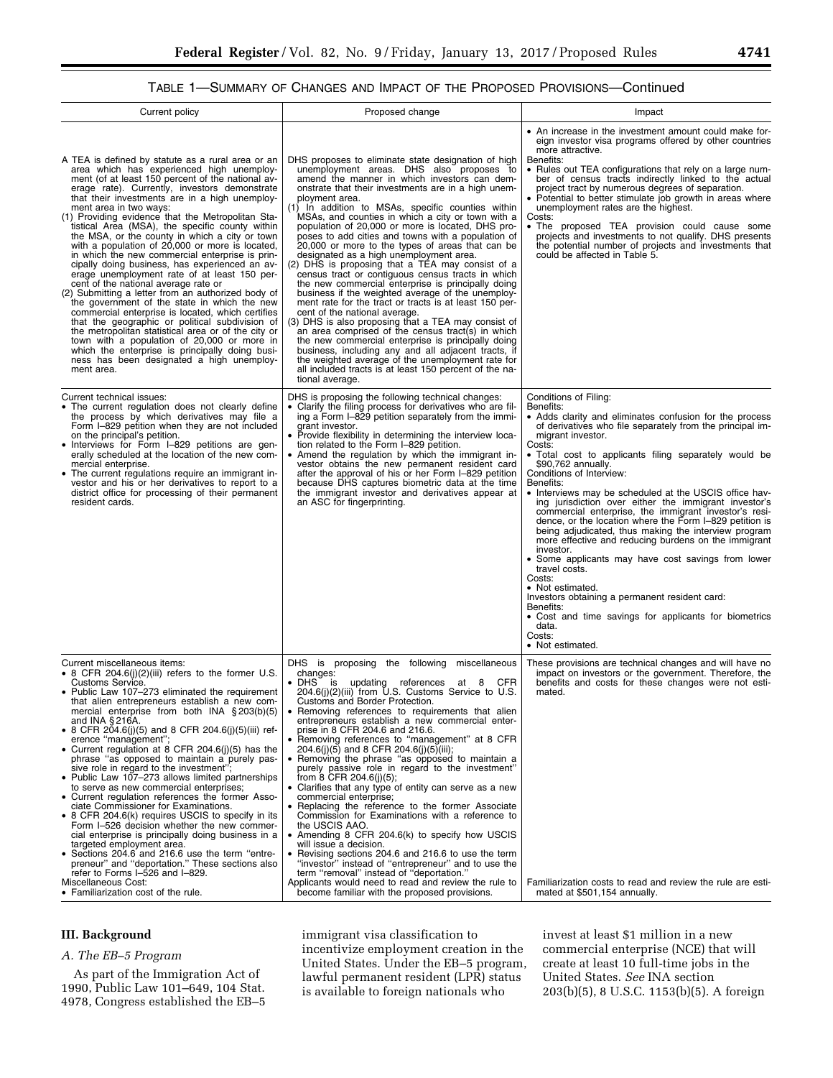# TABLE 1—SUMMARY OF CHANGES AND IMPACT OF THE PROPOSED PROVISIONS—Continued

| Current policy                                                                                                                                                                                                                                                                                                                                                                                                                                                                                                                                                                                                                                                                                                                                                                                                                                                                                                                                                                                                                                                                                                               | Proposed change                                                                                                                                                                                                                                                                                                                                                                                                                                                                                                                                                                                                                                                                                                                                                                                                                                                                                                                                                                                                                                                                                                                                                                                                        | Impact                                                                                                                                                                                                                                                                                                                                                                                                                                                                                                                                                                                                                                                                                                                                                                                                                                                                                                                                                    |  |  |
|------------------------------------------------------------------------------------------------------------------------------------------------------------------------------------------------------------------------------------------------------------------------------------------------------------------------------------------------------------------------------------------------------------------------------------------------------------------------------------------------------------------------------------------------------------------------------------------------------------------------------------------------------------------------------------------------------------------------------------------------------------------------------------------------------------------------------------------------------------------------------------------------------------------------------------------------------------------------------------------------------------------------------------------------------------------------------------------------------------------------------|------------------------------------------------------------------------------------------------------------------------------------------------------------------------------------------------------------------------------------------------------------------------------------------------------------------------------------------------------------------------------------------------------------------------------------------------------------------------------------------------------------------------------------------------------------------------------------------------------------------------------------------------------------------------------------------------------------------------------------------------------------------------------------------------------------------------------------------------------------------------------------------------------------------------------------------------------------------------------------------------------------------------------------------------------------------------------------------------------------------------------------------------------------------------------------------------------------------------|-----------------------------------------------------------------------------------------------------------------------------------------------------------------------------------------------------------------------------------------------------------------------------------------------------------------------------------------------------------------------------------------------------------------------------------------------------------------------------------------------------------------------------------------------------------------------------------------------------------------------------------------------------------------------------------------------------------------------------------------------------------------------------------------------------------------------------------------------------------------------------------------------------------------------------------------------------------|--|--|
| A TEA is defined by statute as a rural area or an<br>area which has experienced high unemploy-<br>ment (of at least 150 percent of the national av-<br>erage rate). Currently, investors demonstrate<br>that their investments are in a high unemploy-<br>ment area in two ways:<br>(1) Providing evidence that the Metropolitan Sta-<br>tistical Area (MSA), the specific county within<br>the MSA, or the county in which a city or town<br>with a population of 20,000 or more is located,<br>in which the new commercial enterprise is prin-<br>cipally doing business, has experienced an av-<br>erage unemployment rate of at least 150 per-<br>cent of the national average rate or<br>(2) Submitting a letter from an authorized body of<br>the government of the state in which the new<br>commercial enterprise is located, which certifies<br>that the geographic or political subdivision of<br>the metropolitan statistical area or of the city or<br>town with a population of 20,000 or more in<br>which the enterprise is principally doing busi-<br>ness has been designated a high unemploy-<br>ment area. | DHS proposes to eliminate state designation of high<br>unemployment areas. DHS also proposes to<br>amend the manner in which investors can dem-<br>onstrate that their investments are in a high unem-<br>ployment area.<br>(1) In addition to MSAs, specific counties within<br>MSAs, and counties in which a city or town with a<br>population of 20,000 or more is located, DHS pro-<br>poses to add cities and towns with a population of<br>20,000 or more to the types of areas that can be<br>designated as a high unemployment area.<br>(2) DHS is proposing that a TEA may consist of a<br>census tract or contiguous census tracts in which<br>the new commercial enterprise is principally doing<br>business if the weighted average of the unemploy-<br>ment rate for the tract or tracts is at least 150 per-<br>cent of the national average.<br>(3) DHS is also proposing that a TEA may consist of<br>an area comprised of the census tract(s) in which<br>the new commercial enterprise is principally doing<br>business, including any and all adjacent tracts, if<br>the weighted average of the unemployment rate for<br>all included tracts is at least 150 percent of the na-<br>tional average. | • An increase in the investment amount could make for-<br>eign investor visa programs offered by other countries<br>more attractive.<br>Benefits:<br>• Rules out TEA configurations that rely on a large num-<br>ber of census tracts indirectly linked to the actual<br>project tract by numerous degrees of separation.<br>• Potential to better stimulate job growth in areas where<br>unemployment rates are the highest.<br>Costs:<br>• The proposed TEA provision could cause some<br>projects and investments to not qualify. DHS presents<br>the potential number of projects and investments that<br>could be affected in Table 5.                                                                                                                                                                                                                                                                                                               |  |  |
| Current technical issues:<br>• The current regulation does not clearly define<br>the process by which derivatives may file a<br>Form I-829 petition when they are not included<br>on the principal's petition.<br>• Interviews for Form I-829 petitions are gen-<br>erally scheduled at the location of the new com-<br>mercial enterprise.<br>• The current regulations require an immigrant in-<br>vestor and his or her derivatives to report to a<br>district office for processing of their permanent<br>resident cards.                                                                                                                                                                                                                                                                                                                                                                                                                                                                                                                                                                                                | DHS is proposing the following technical changes:<br>• Clarify the filing process for derivatives who are fil-<br>ing a Form I-829 petition separately from the immi-<br>grant investor.<br>• Provide flexibility in determining the interview loca-<br>tion related to the Form I-829 petition.<br>• Amend the regulation by which the immigrant in-<br>vestor obtains the new permanent resident card<br>after the approval of his or her Form I-829 petition<br>because DHS captures biometric data at the time<br>the immigrant investor and derivatives appear at<br>an ASC for fingerprinting.                                                                                                                                                                                                                                                                                                                                                                                                                                                                                                                                                                                                                   | Conditions of Filing:<br>Benefits:<br>• Adds clarity and eliminates confusion for the process<br>of derivatives who file separately from the principal im-<br>migrant investor.<br>Costs:<br>• Total cost to applicants filing separately would be<br>\$90.762 annually.<br>Conditions of Interview:<br>Benefits:<br>• Interviews may be scheduled at the USCIS office hav-<br>ing jurisdiction over either the immigrant investor's<br>commercial enterprise, the immigrant investor's resi-<br>dence, or the location where the Form I-829 petition is<br>being adjudicated, thus making the interview program<br>more effective and reducing burdens on the immigrant<br>investor.<br>• Some applicants may have cost savings from lower<br>travel costs.<br>Costs:<br>• Not estimated.<br>Investors obtaining a permanent resident card:<br>Benefits:<br>• Cost and time savings for applicants for biometrics<br>data.<br>Costs:<br>• Not estimated. |  |  |
| Current miscellaneous items:<br>• 8 CFR 204.6(j)(2)(iii) refers to the former U.S.<br>Customs Service.<br>• Public Law 107-273 eliminated the requirement<br>that alien entrepreneurs establish a new com-<br>mercial enterprise from both INA $\S 203(b)(5)$<br>and INA $§$ 216A.<br>• 8 CFR 204.6(j)(5) and 8 CFR 204.6(j)(5)(iii) ref-<br>erence "management";<br>• Current regulation at 8 CFR 204.6(j)(5) has the<br>phrase "as opposed to maintain a purely pas-<br>sive role in regard to the investment";<br>• Public Law 107-273 allows limited partnerships<br>to serve as new commercial enterprises;<br>• Current regulation references the former Asso-<br>ciate Commissioner for Examinations.<br>• 8 CFR 204.6(k) requires USCIS to specify in its<br>Form I-526 decision whether the new commer-<br>cial enterprise is principally doing business in a<br>targeted employment area.<br>• Sections 204.6 and 216.6 use the term "entre-<br>preneur" and "deportation." These sections also<br>refer to Forms I-526 and I-829.<br>Miscellaneous Cost:<br>• Familiarization cost of the rule.                   | DHS is proposing the following<br>miscellaneous<br>changes:<br>· DHS is updating references<br>at 8 CFR<br>204.6(j)(2)(iii) from U.S. Customs Service to U.S.<br>Customs and Border Protection.<br>Removing references to requirements that alien<br>٠<br>entrepreneurs establish a new commercial enter-<br>prise in 8 CFR 204.6 and 216.6.<br>• Removing references to "management" at 8 CFR<br>$204.6(j)(5)$ and 8 CFR 204.6(j)(5)(iii);<br>· Removing the phrase "as opposed to maintain a<br>purely passive role in regard to the investment"<br>from $8$ CFR 204.6(i)(5);<br>• Clarifies that any type of entity can serve as a new<br>commercial enterprise;<br>• Replacing the reference to the former Associate<br>Commission for Examinations with a reference to<br>the USCIS AAO.<br>• Amending 8 CFR 204.6(k) to specify how USCIS<br>will issue a decision.<br>• Revising sections 204.6 and 216.6 to use the term "investor" instead of "entrepreneur" and to use the<br>term "removal" instead of "deportation."<br>Applicants would need to read and review the rule to<br>become familiar with the proposed provisions.                                                                              | These provisions are technical changes and will have no<br>impact on investors or the government. Therefore, the<br>benefits and costs for these changes were not esti-<br>mated.<br>Familiarization costs to read and review the rule are esti-<br>mated at \$501,154 annually.                                                                                                                                                                                                                                                                                                                                                                                                                                                                                                                                                                                                                                                                          |  |  |

# **III. Background**

## *A. The EB–5 Program*

As part of the Immigration Act of 1990, Public Law 101–649, 104 Stat. 4978, Congress established the EB–5 immigrant visa classification to incentivize employment creation in the United States. Under the EB–5 program, lawful permanent resident (LPR) status is available to foreign nationals who

invest at least \$1 million in a new commercial enterprise (NCE) that will create at least 10 full-time jobs in the United States. *See* INA section 203(b)(5), 8 U.S.C. 1153(b)(5). A foreign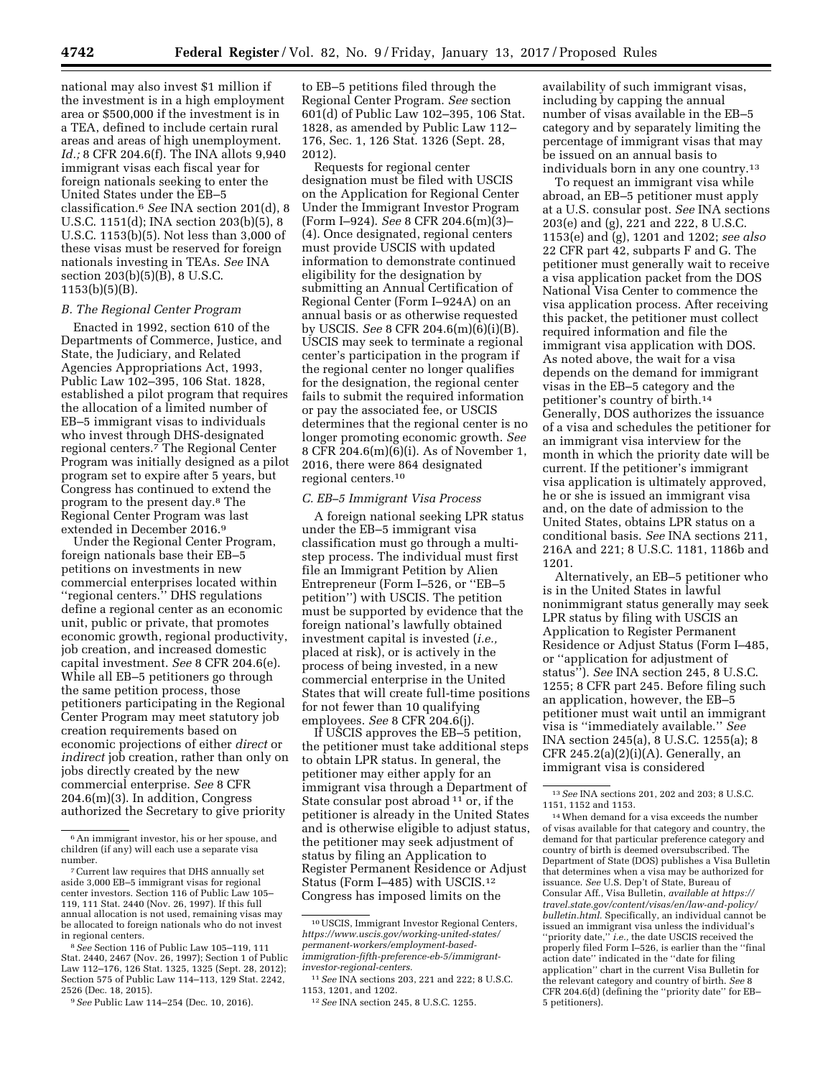national may also invest \$1 million if the investment is in a high employment area or \$500,000 if the investment is in a TEA, defined to include certain rural areas and areas of high unemployment. *Id.;* 8 CFR 204.6(f). The INA allots 9,940 immigrant visas each fiscal year for foreign nationals seeking to enter the United States under the EB–5 classification.6 *See* INA section 201(d), 8 U.S.C. 1151(d); INA section 203(b)(5), 8 U.S.C. 1153(b)(5). Not less than 3,000 of these visas must be reserved for foreign nationals investing in TEAs. *See* INA section 203(b)(5)(B), 8 U.S.C. 1153(b)(5)(B).

#### *B. The Regional Center Program*

Enacted in 1992, section 610 of the Departments of Commerce, Justice, and State, the Judiciary, and Related Agencies Appropriations Act, 1993, Public Law 102–395, 106 Stat. 1828, established a pilot program that requires the allocation of a limited number of EB–5 immigrant visas to individuals who invest through DHS-designated regional centers.7 The Regional Center Program was initially designed as a pilot program set to expire after 5 years, but Congress has continued to extend the program to the present day.8 The Regional Center Program was last extended in December 2016.9

Under the Regional Center Program, foreign nationals base their EB–5 petitions on investments in new commercial enterprises located within ''regional centers.'' DHS regulations define a regional center as an economic unit, public or private, that promotes economic growth, regional productivity, job creation, and increased domestic capital investment. *See* 8 CFR 204.6(e). While all EB–5 petitioners go through the same petition process, those petitioners participating in the Regional Center Program may meet statutory job creation requirements based on economic projections of either *direct* or *indirect* job creation, rather than only on jobs directly created by the new commercial enterprise. *See* 8 CFR 204.6(m)(3). In addition, Congress authorized the Secretary to give priority

8*See* Section 116 of Public Law 105–119, 111 Stat. 2440, 2467 (Nov. 26, 1997); Section 1 of Public Law 112–176, 126 Stat. 1325, 1325 (Sept. 28, 2012); Section 575 of Public Law 114–113, 129 Stat. 2242, 2526 (Dec. 18, 2015).

9*See* Public Law 114–254 (Dec. 10, 2016).

to EB–5 petitions filed through the Regional Center Program. *See* section 601(d) of Public Law 102–395, 106 Stat. 1828, as amended by Public Law 112– 176, Sec. 1, 126 Stat. 1326 (Sept. 28, 2012).

Requests for regional center designation must be filed with USCIS on the Application for Regional Center Under the Immigrant Investor Program (Form I–924). *See* 8 CFR 204.6(m)(3)– (4). Once designated, regional centers must provide USCIS with updated information to demonstrate continued eligibility for the designation by submitting an Annual Certification of Regional Center (Form I–924A) on an annual basis or as otherwise requested by USCIS. *See* 8 CFR 204.6(m)(6)(i)(B). USCIS may seek to terminate a regional center's participation in the program if the regional center no longer qualifies for the designation, the regional center fails to submit the required information or pay the associated fee, or USCIS determines that the regional center is no longer promoting economic growth. *See*  8 CFR 204.6(m)(6)(i). As of November 1, 2016, there were 864 designated regional centers.10

## *C. EB–5 Immigrant Visa Process*

A foreign national seeking LPR status under the EB–5 immigrant visa classification must go through a multistep process. The individual must first file an Immigrant Petition by Alien Entrepreneur (Form I–526, or ''EB–5 petition'') with USCIS. The petition must be supported by evidence that the foreign national's lawfully obtained investment capital is invested (*i.e.,*  placed at risk), or is actively in the process of being invested, in a new commercial enterprise in the United States that will create full-time positions for not fewer than 10 qualifying employees. *See* 8 CFR 204.6(j).

If USCIS approves the EB–5 petition, the petitioner must take additional steps to obtain LPR status. In general, the petitioner may either apply for an immigrant visa through a Department of State consular post abroad 11 or, if the petitioner is already in the United States and is otherwise eligible to adjust status, the petitioner may seek adjustment of status by filing an Application to Register Permanent Residence or Adjust Status (Form I–485) with USCIS.12 Congress has imposed limits on the

availability of such immigrant visas, including by capping the annual number of visas available in the EB–5 category and by separately limiting the percentage of immigrant visas that may be issued on an annual basis to individuals born in any one country.13

To request an immigrant visa while abroad, an EB–5 petitioner must apply at a U.S. consular post. *See* INA sections 203(e) and (g), 221 and 222, 8 U.S.C. 1153(e) and (g), 1201 and 1202; *see also*  22 CFR part 42, subparts F and G. The petitioner must generally wait to receive a visa application packet from the DOS National Visa Center to commence the visa application process. After receiving this packet, the petitioner must collect required information and file the immigrant visa application with DOS. As noted above, the wait for a visa depends on the demand for immigrant visas in the EB–5 category and the petitioner's country of birth.14 Generally, DOS authorizes the issuance of a visa and schedules the petitioner for an immigrant visa interview for the month in which the priority date will be current. If the petitioner's immigrant visa application is ultimately approved, he or she is issued an immigrant visa and, on the date of admission to the United States, obtains LPR status on a conditional basis. *See* INA sections 211, 216A and 221; 8 U.S.C. 1181, 1186b and 1201.

Alternatively, an EB–5 petitioner who is in the United States in lawful nonimmigrant status generally may seek LPR status by filing with USCIS an Application to Register Permanent Residence or Adjust Status (Form I–485, or ''application for adjustment of status''). *See* INA section 245, 8 U.S.C. 1255; 8 CFR part 245. Before filing such an application, however, the EB–5 petitioner must wait until an immigrant visa is ''immediately available.'' *See*  INA section 245(a), 8 U.S.C. 1255(a); 8 CFR 245.2(a) $(2)(i)(A)$ . Generally, an immigrant visa is considered

 $^{\rm 6}$  An immigrant investor, his or her spouse, and children (if any) will each use a separate visa

number. 7Current law requires that DHS annually set aside 3,000 EB–5 immigrant visas for regional center investors. Section 116 of Public Law 105– 119, 111 Stat. 2440 (Nov. 26, 1997). If this full annual allocation is not used, remaining visas may be allocated to foreign nationals who do not invest in regional centers.

<sup>10</sup>USCIS, Immigrant Investor Regional Centers, *https://www.uscis.gov/working-united-states/ permanent-workers/employment-based[immigration-fifth-preference-eb-5/immigrant](https://www.uscis.gov/working-united-states/permanent-workers/employment-based-immigration-fifth-preference-eb-5/immigrant-investor-regional-centers)[investor-regional-centers.](https://www.uscis.gov/working-united-states/permanent-workers/employment-based-immigration-fifth-preference-eb-5/immigrant-investor-regional-centers)* 

<sup>11</sup>*See* INA sections 203, 221 and 222; 8 U.S.C. 1153, 1201, and 1202.

<sup>12</sup>*See* INA section 245, 8 U.S.C. 1255.

<sup>13</sup>*See* INA sections 201, 202 and 203; 8 U.S.C. 1151, 1152 and 1153.

<sup>14</sup>When demand for a visa exceeds the number of visas available for that category and country, the demand for that particular preference category and country of birth is deemed oversubscribed. The Department of State (DOS) publishes a Visa Bulletin that determines when a visa may be authorized for issuance. *See* U.S. Dep't of State, Bureau of Consular Aff., Visa Bulletin, *available at [https://](https://travel.state.gov/content/visas/en/law-and-policy/bulletin.html) [travel.state.gov/content/visas/en/law-and-policy/](https://travel.state.gov/content/visas/en/law-and-policy/bulletin.html) [bulletin.html.](https://travel.state.gov/content/visas/en/law-and-policy/bulletin.html)* Specifically, an individual cannot be issued an immigrant visa unless the individual's ''priority date,'' *i.e.,* the date USCIS received the properly filed Form I–526, is earlier than the ''final action date'' indicated in the ''date for filing application'' chart in the current Visa Bulletin for the relevant category and country of birth. *See* 8 CFR 204.6(d) (defining the ''priority date'' for EB– 5 petitioners).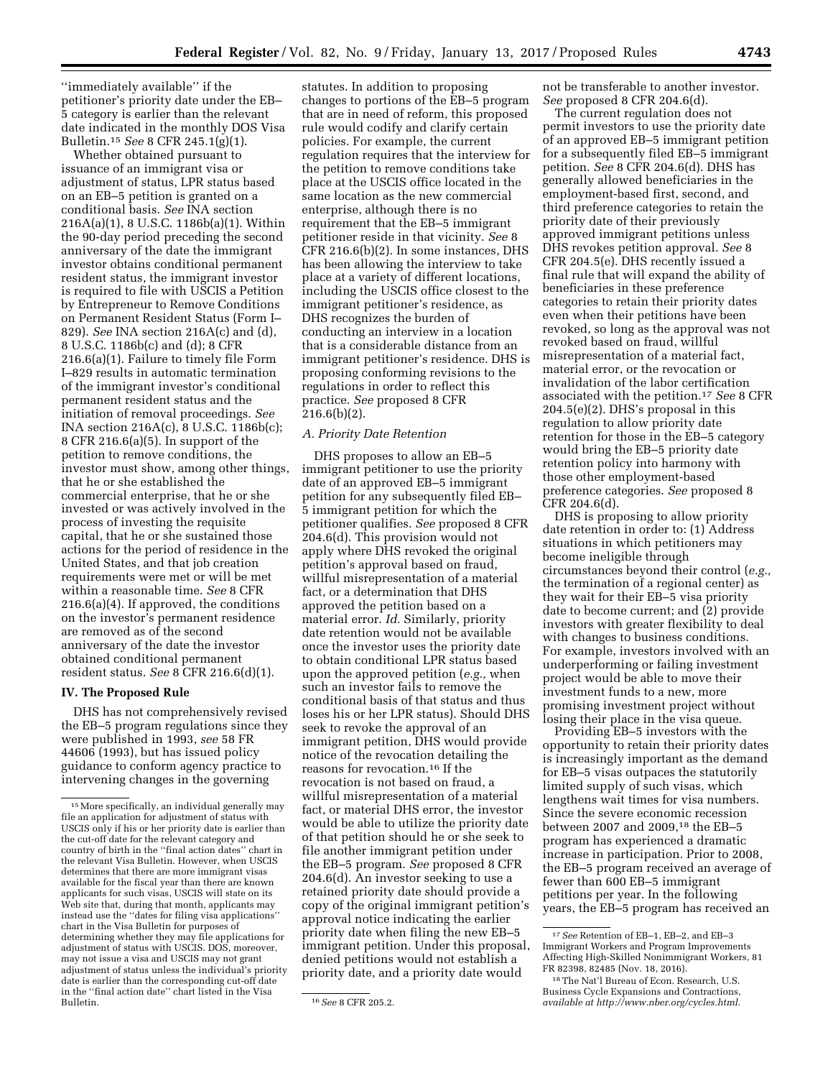''immediately available'' if the petitioner's priority date under the EB– 5 category is earlier than the relevant date indicated in the monthly DOS Visa Bulletin.15 *See* 8 CFR 245.1(g)(1).

Whether obtained pursuant to issuance of an immigrant visa or adjustment of status, LPR status based on an EB–5 petition is granted on a conditional basis. *See* INA section 216A(a)(1), 8 U.S.C. 1186b(a)(1). Within the 90-day period preceding the second anniversary of the date the immigrant investor obtains conditional permanent resident status, the immigrant investor is required to file with USCIS a Petition by Entrepreneur to Remove Conditions on Permanent Resident Status (Form I– 829). *See* INA section 216A(c) and (d), 8 U.S.C. 1186b(c) and (d); 8 CFR 216.6(a)(1). Failure to timely file Form I–829 results in automatic termination of the immigrant investor's conditional permanent resident status and the initiation of removal proceedings. *See*  INA section 216A(c), 8 U.S.C. 1186b(c); 8 CFR 216.6(a)(5). In support of the petition to remove conditions, the investor must show, among other things, that he or she established the commercial enterprise, that he or she invested or was actively involved in the process of investing the requisite capital, that he or she sustained those actions for the period of residence in the United States, and that job creation requirements were met or will be met within a reasonable time. *See* 8 CFR 216.6(a)(4). If approved, the conditions on the investor's permanent residence are removed as of the second anniversary of the date the investor obtained conditional permanent resident status. *See* 8 CFR 216.6(d)(1).

#### **IV. The Proposed Rule**

DHS has not comprehensively revised the EB–5 program regulations since they were published in 1993, *see* 58 FR 44606 (1993), but has issued policy guidance to conform agency practice to intervening changes in the governing

statutes. In addition to proposing changes to portions of the EB–5 program that are in need of reform, this proposed rule would codify and clarify certain policies. For example, the current regulation requires that the interview for the petition to remove conditions take place at the USCIS office located in the same location as the new commercial enterprise, although there is no requirement that the EB–5 immigrant petitioner reside in that vicinity. *See* 8 CFR 216.6(b)(2). In some instances, DHS has been allowing the interview to take place at a variety of different locations, including the USCIS office closest to the immigrant petitioner's residence, as DHS recognizes the burden of conducting an interview in a location that is a considerable distance from an immigrant petitioner's residence. DHS is proposing conforming revisions to the regulations in order to reflect this practice. *See* proposed 8 CFR  $216.6(b)(2)$ .

#### *A. Priority Date Retention*

DHS proposes to allow an EB–5 immigrant petitioner to use the priority date of an approved EB–5 immigrant petition for any subsequently filed EB– 5 immigrant petition for which the petitioner qualifies. *See* proposed 8 CFR 204.6(d). This provision would not apply where DHS revoked the original petition's approval based on fraud, willful misrepresentation of a material fact, or a determination that DHS approved the petition based on a material error. *Id.* Similarly, priority date retention would not be available once the investor uses the priority date to obtain conditional LPR status based upon the approved petition (*e.g.,* when such an investor fails to remove the conditional basis of that status and thus loses his or her LPR status). Should DHS seek to revoke the approval of an immigrant petition, DHS would provide notice of the revocation detailing the reasons for revocation.16 If the revocation is not based on fraud, a willful misrepresentation of a material fact, or material DHS error, the investor would be able to utilize the priority date of that petition should he or she seek to file another immigrant petition under the EB–5 program. *See* proposed 8 CFR 204.6(d). An investor seeking to use a retained priority date should provide a copy of the original immigrant petition's approval notice indicating the earlier priority date when filing the new EB–5 immigrant petition. Under this proposal, denied petitions would not establish a priority date, and a priority date would

not be transferable to another investor. *See* proposed 8 CFR 204.6(d).

The current regulation does not permit investors to use the priority date of an approved EB–5 immigrant petition for a subsequently filed EB–5 immigrant petition. *See* 8 CFR 204.6(d). DHS has generally allowed beneficiaries in the employment-based first, second, and third preference categories to retain the priority date of their previously approved immigrant petitions unless DHS revokes petition approval. *See* 8 CFR 204.5(e). DHS recently issued a final rule that will expand the ability of beneficiaries in these preference categories to retain their priority dates even when their petitions have been revoked, so long as the approval was not revoked based on fraud, willful misrepresentation of a material fact, material error, or the revocation or invalidation of the labor certification associated with the petition.17 *See* 8 CFR 204.5(e)(2). DHS's proposal in this regulation to allow priority date retention for those in the EB–5 category would bring the EB–5 priority date retention policy into harmony with those other employment-based preference categories. *See* proposed 8 CFR 204.6(d).

DHS is proposing to allow priority date retention in order to: (1) Address situations in which petitioners may become ineligible through circumstances beyond their control (*e.g.,*  the termination of a regional center) as they wait for their EB–5 visa priority date to become current; and (2) provide investors with greater flexibility to deal with changes to business conditions. For example, investors involved with an underperforming or failing investment project would be able to move their investment funds to a new, more promising investment project without losing their place in the visa queue.

Providing EB–5 investors with the opportunity to retain their priority dates is increasingly important as the demand for EB–5 visas outpaces the statutorily limited supply of such visas, which lengthens wait times for visa numbers. Since the severe economic recession between 2007 and 2009,18 the EB–5 program has experienced a dramatic increase in participation. Prior to 2008, the EB–5 program received an average of fewer than 600 EB–5 immigrant petitions per year. In the following years, the EB–5 program has received an

<sup>15</sup>More specifically, an individual generally may file an application for adjustment of status with USCIS only if his or her priority date is earlier than the cut-off date for the relevant category and country of birth in the ''final action dates'' chart in the relevant Visa Bulletin. However, when USCIS determines that there are more immigrant visas available for the fiscal year than there are known applicants for such visas, USCIS will state on its Web site that, during that month, applicants may instead use the ''dates for filing visa applications'' chart in the Visa Bulletin for purposes of determining whether they may file applications for adjustment of status with USCIS. DOS, moreover, may not issue a visa and USCIS may not grant adjustment of status unless the individual's priority date is earlier than the corresponding cut-off date in the ''final action date'' chart listed in the Visa

<sup>16</sup> See 8 CFR 205.2.

<sup>17</sup>*See* Retention of EB–1, EB–2, and EB–3 Immigrant Workers and Program Improvements Affecting High-Skilled Nonimmigrant Workers, 81 FR 82398, 82485 (Nov. 18, 2016).

<sup>18</sup>The Nat'l Bureau of Econ. Research, U.S. Business Cycle Expansions and Contractions, *available at [http://www.nber.org/cycles.html.](http://www.nber.org/cycles.html)*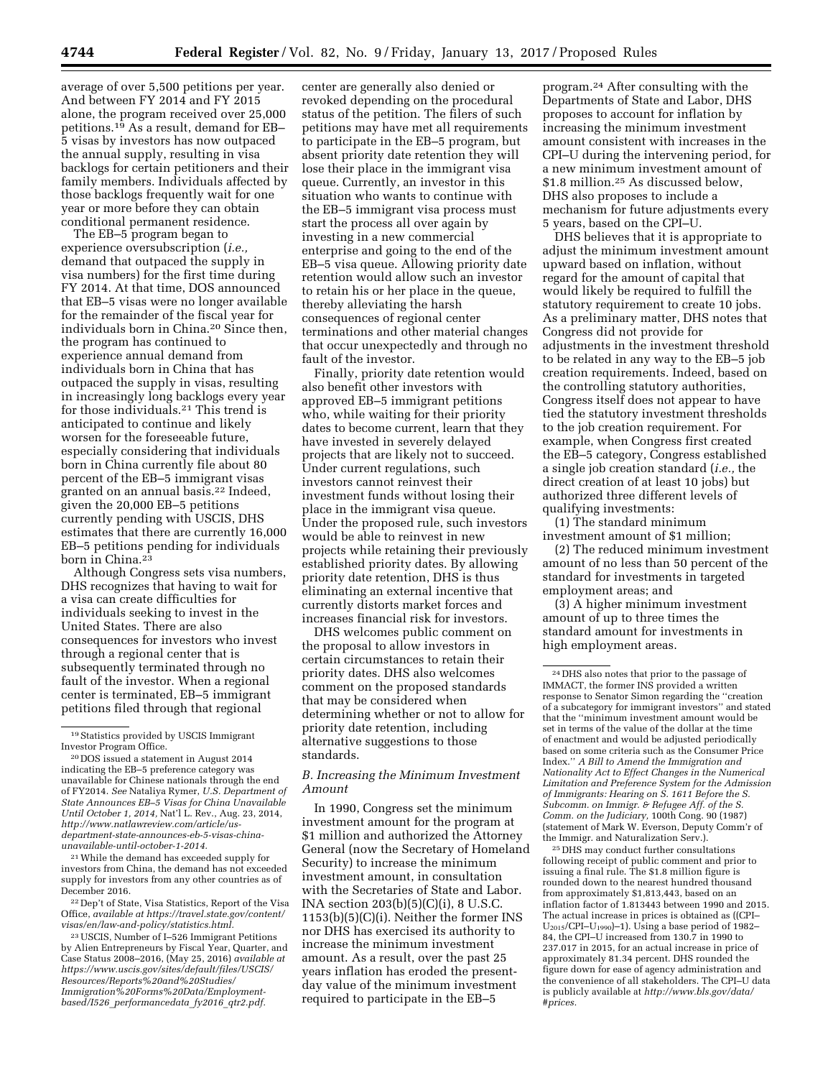average of over 5,500 petitions per year. And between FY 2014 and FY 2015 alone, the program received over 25,000 petitions.19 As a result, demand for EB– 5 visas by investors has now outpaced the annual supply, resulting in visa backlogs for certain petitioners and their family members. Individuals affected by those backlogs frequently wait for one year or more before they can obtain conditional permanent residence.

The EB–5 program began to experience oversubscription (*i.e.,*  demand that outpaced the supply in visa numbers) for the first time during FY 2014. At that time, DOS announced that EB–5 visas were no longer available for the remainder of the fiscal year for individuals born in China.20 Since then, the program has continued to experience annual demand from individuals born in China that has outpaced the supply in visas, resulting in increasingly long backlogs every year for those individuals.21 This trend is anticipated to continue and likely worsen for the foreseeable future, especially considering that individuals born in China currently file about 80 percent of the EB–5 immigrant visas granted on an annual basis.22 Indeed, given the 20,000 EB–5 petitions currently pending with USCIS, DHS estimates that there are currently 16,000 EB–5 petitions pending for individuals born in China.23

Although Congress sets visa numbers, DHS recognizes that having to wait for a visa can create difficulties for individuals seeking to invest in the United States. There are also consequences for investors who invest through a regional center that is subsequently terminated through no fault of the investor. When a regional center is terminated, EB–5 immigrant petitions filed through that regional

20 DOS issued a statement in August 2014 indicating the EB–5 preference category was unavailable for Chinese nationals through the end of FY2014. *See* Nataliya Rymer, *U.S. Department of State Announces EB–5 Visas for China Unavailable Until October 1, 2014,* Nat'l L. Rev., Aug. 23, 2014, *[http://www.natlawreview.com/article/us](http://www.natlawreview.com/article/us-department-state-announces-eb-5-visas-china-unavailable-until-october-1-2014)department-state-announces-eb-5-visas-china[unavailable-until-october-1-2014.](http://www.natlawreview.com/article/us-department-state-announces-eb-5-visas-china-unavailable-until-october-1-2014)* 

21While the demand has exceeded supply for investors from China, the demand has not exceeded supply for investors from any other countries as of December 2016.

22 Dep't of State, Visa Statistics, Report of the Visa Office, *available at [https://travel.state.gov/content/](https://travel.state.gov/content/visas/en/law-and-policy/statistics.html) [visas/en/law-and-policy/statistics.html.](https://travel.state.gov/content/visas/en/law-and-policy/statistics.html)* 

23USCIS, Number of I–526 Immigrant Petitions by Alien Entrepreneurs by Fiscal Year, Quarter, and Case Status 2008–2016, (May 25, 2016) *available at [https://www.uscis.gov/sites/default/files/USCIS/](https://www.uscis.gov/sites/default/files/USCIS/Resources/Reports%20and%20Studies/Immigration%20Forms%20Data/Employment-based/I526_performancedata_fy2016_qtr2.pdf)  [Resources/Reports%20and%20Studies/](https://www.uscis.gov/sites/default/files/USCIS/Resources/Reports%20and%20Studies/Immigration%20Forms%20Data/Employment-based/I526_performancedata_fy2016_qtr2.pdf) [Immigration%20Forms%20Data/Employment](https://www.uscis.gov/sites/default/files/USCIS/Resources/Reports%20and%20Studies/Immigration%20Forms%20Data/Employment-based/I526_performancedata_fy2016_qtr2.pdf)based/I526*\_*[performancedata](https://www.uscis.gov/sites/default/files/USCIS/Resources/Reports%20and%20Studies/Immigration%20Forms%20Data/Employment-based/I526_performancedata_fy2016_qtr2.pdf)*\_*fy2016*\_*qtr2.pdf.* 

center are generally also denied or revoked depending on the procedural status of the petition. The filers of such petitions may have met all requirements to participate in the EB–5 program, but absent priority date retention they will lose their place in the immigrant visa queue. Currently, an investor in this situation who wants to continue with the EB–5 immigrant visa process must start the process all over again by investing in a new commercial enterprise and going to the end of the EB–5 visa queue. Allowing priority date retention would allow such an investor to retain his or her place in the queue, thereby alleviating the harsh consequences of regional center terminations and other material changes that occur unexpectedly and through no fault of the investor.

Finally, priority date retention would also benefit other investors with approved EB–5 immigrant petitions who, while waiting for their priority dates to become current, learn that they have invested in severely delayed projects that are likely not to succeed. Under current regulations, such investors cannot reinvest their investment funds without losing their place in the immigrant visa queue. Under the proposed rule, such investors would be able to reinvest in new projects while retaining their previously established priority dates. By allowing priority date retention, DHS is thus eliminating an external incentive that currently distorts market forces and increases financial risk for investors.

DHS welcomes public comment on the proposal to allow investors in certain circumstances to retain their priority dates. DHS also welcomes comment on the proposed standards that may be considered when determining whether or not to allow for priority date retention, including alternative suggestions to those standards.

## *B. Increasing the Minimum Investment Amount*

In 1990, Congress set the minimum investment amount for the program at \$1 million and authorized the Attorney General (now the Secretary of Homeland Security) to increase the minimum investment amount, in consultation with the Secretaries of State and Labor. INA section 203(b)(5)(C)(i), 8 U.S.C. 1153(b)(5)(C)(i). Neither the former INS nor DHS has exercised its authority to increase the minimum investment amount. As a result, over the past 25 years inflation has eroded the presentday value of the minimum investment required to participate in the EB–5

program.24 After consulting with the Departments of State and Labor, DHS proposes to account for inflation by increasing the minimum investment amount consistent with increases in the CPI–U during the intervening period, for a new minimum investment amount of \$1.8 million.25 As discussed below, DHS also proposes to include a mechanism for future adjustments every 5 years, based on the CPI–U.

DHS believes that it is appropriate to adjust the minimum investment amount upward based on inflation, without regard for the amount of capital that would likely be required to fulfill the statutory requirement to create 10 jobs. As a preliminary matter, DHS notes that Congress did not provide for adjustments in the investment threshold to be related in any way to the EB–5 job creation requirements. Indeed, based on the controlling statutory authorities, Congress itself does not appear to have tied the statutory investment thresholds to the job creation requirement. For example, when Congress first created the EB–5 category, Congress established a single job creation standard (*i.e.,* the direct creation of at least 10 jobs) but authorized three different levels of qualifying investments:

(1) The standard minimum investment amount of \$1 million;

(2) The reduced minimum investment amount of no less than 50 percent of the standard for investments in targeted employment areas; and

(3) A higher minimum investment amount of up to three times the standard amount for investments in high employment areas.

25 DHS may conduct further consultations following receipt of public comment and prior to issuing a final rule. The \$1.8 million figure is rounded down to the nearest hundred thousand from approximately \$1,813,443, based on an inflation factor of 1.813443 between 1990 and 2015. The actual increase in prices is obtained as ((CPI– U<sub>2015</sub>/CPI–U<sub>1990</sub>)–1). Using a base period of 1982– 84, the CPI–U increased from 130.7 in 1990 to 237.017 in 2015, for an actual increase in price of approximately 81.34 percent. DHS rounded the figure down for ease of agency administration and the convenience of all stakeholders. The CPI–U data is publicly available at *[http://www.bls.gov/data/](http://www.bls.gov/data/#prices) [#prices.](http://www.bls.gov/data/#prices)* 

<sup>19</sup>Statistics provided by USCIS Immigrant Investor Program Office.

<sup>24</sup> DHS also notes that prior to the passage of IMMACT, the former INS provided a written response to Senator Simon regarding the ''creation of a subcategory for immigrant investors'' and stated that the ''minimum investment amount would be set in terms of the value of the dollar at the time of enactment and would be adjusted periodically based on some criteria such as the Consumer Price Index.'' *A Bill to Amend the Immigration and Nationality Act to Effect Changes in the Numerical Limitation and Preference System for the Admission of Immigrants: Hearing on S. 1611 Before the S. Subcomm. on Immigr. & Refugee Aff. of the S. Comm. on the Judiciary,* 100th Cong. 90 (1987) (statement of Mark W. Everson, Deputy Comm'r of the Immigr. and Naturalization Serv.).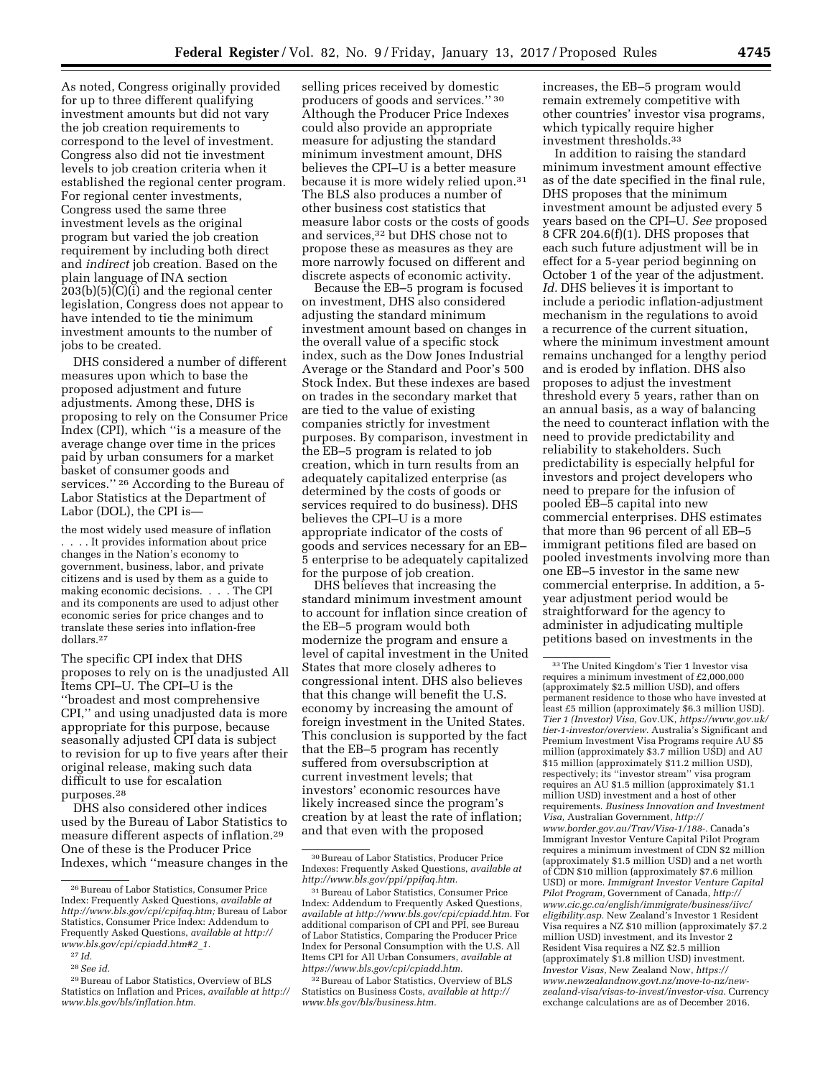As noted, Congress originally provided for up to three different qualifying investment amounts but did not vary the job creation requirements to correspond to the level of investment. Congress also did not tie investment levels to job creation criteria when it established the regional center program. For regional center investments, Congress used the same three investment levels as the original program but varied the job creation requirement by including both direct and *indirect* job creation. Based on the plain language of INA section 203(b)(5)(C)(i) and the regional center legislation, Congress does not appear to have intended to tie the minimum investment amounts to the number of jobs to be created.

DHS considered a number of different measures upon which to base the proposed adjustment and future adjustments. Among these, DHS is proposing to rely on the Consumer Price Index (CPI), which ''is a measure of the average change over time in the prices paid by urban consumers for a market basket of consumer goods and services.'' 26 According to the Bureau of Labor Statistics at the Department of Labor (DOL), the CPI is—

the most widely used measure of inflation . . . . It provides information about price changes in the Nation's economy to government, business, labor, and private citizens and is used by them as a guide to making economic decisions. . . . The CPI and its components are used to adjust other economic series for price changes and to translate these series into inflation-free dollars.27

The specific CPI index that DHS proposes to rely on is the unadjusted All Items CPI–U. The CPI–U is the ''broadest and most comprehensive CPI,'' and using unadjusted data is more appropriate for this purpose, because seasonally adjusted CPI data is subject to revision for up to five years after their original release, making such data difficult to use for escalation purposes.28

DHS also considered other indices used by the Bureau of Labor Statistics to measure different aspects of inflation.29 One of these is the Producer Price Indexes, which ''measure changes in the

selling prices received by domestic producers of goods and services.'' 30 Although the Producer Price Indexes could also provide an appropriate measure for adjusting the standard minimum investment amount, DHS believes the CPI–U is a better measure because it is more widely relied upon.31 The BLS also produces a number of other business cost statistics that measure labor costs or the costs of goods and services,32 but DHS chose not to propose these as measures as they are more narrowly focused on different and discrete aspects of economic activity.

Because the EB–5 program is focused on investment, DHS also considered adjusting the standard minimum investment amount based on changes in the overall value of a specific stock index, such as the Dow Jones Industrial Average or the Standard and Poor's 500 Stock Index. But these indexes are based on trades in the secondary market that are tied to the value of existing companies strictly for investment purposes. By comparison, investment in the EB–5 program is related to job creation, which in turn results from an adequately capitalized enterprise (as determined by the costs of goods or services required to do business). DHS believes the CPI–U is a more appropriate indicator of the costs of goods and services necessary for an EB– 5 enterprise to be adequately capitalized for the purpose of job creation.

DHS believes that increasing the standard minimum investment amount to account for inflation since creation of the EB–5 program would both modernize the program and ensure a level of capital investment in the United States that more closely adheres to congressional intent. DHS also believes that this change will benefit the U.S. economy by increasing the amount of foreign investment in the United States. This conclusion is supported by the fact that the EB–5 program has recently suffered from oversubscription at current investment levels; that investors' economic resources have likely increased since the program's creation by at least the rate of inflation; and that even with the proposed

increases, the EB–5 program would remain extremely competitive with other countries' investor visa programs, which typically require higher investment thresholds.33

In addition to raising the standard minimum investment amount effective as of the date specified in the final rule, DHS proposes that the minimum investment amount be adjusted every 5 years based on the CPI–U. *See* proposed 8 CFR 204.6(f)(1). DHS proposes that each such future adjustment will be in effect for a 5-year period beginning on October 1 of the year of the adjustment. *Id.* DHS believes it is important to include a periodic inflation-adjustment mechanism in the regulations to avoid a recurrence of the current situation, where the minimum investment amount remains unchanged for a lengthy period and is eroded by inflation. DHS also proposes to adjust the investment threshold every 5 years, rather than on an annual basis, as a way of balancing the need to counteract inflation with the need to provide predictability and reliability to stakeholders. Such predictability is especially helpful for investors and project developers who need to prepare for the infusion of pooled EB–5 capital into new commercial enterprises. DHS estimates that more than 96 percent of all EB–5 immigrant petitions filed are based on pooled investments involving more than one EB–5 investor in the same new commercial enterprise. In addition, a 5 year adjustment period would be straightforward for the agency to administer in adjudicating multiple petitions based on investments in the

 $^{\rm 26}\!$  Bureau of Labor Statistics, Consumer Price Index: Frequently Asked Questions, *available at [http://www.bls.gov/cpi/cpifaq.htm;](http://www.bls.gov/cpi/cpifaq.htm)* Bureau of Labor Statistics, Consumer Price Index: Addendum to Frequently Asked Questions, *available at [http://](http://www.bls.gov/cpi/cpiadd.htm#2_1) [www.bls.gov/cpi/cpiadd.htm#2](http://www.bls.gov/cpi/cpiadd.htm#2_1)*\_*1.* 

<sup>27</sup> *Id.* 

<sup>28</sup>*See id.* 

<sup>29</sup>Bureau of Labor Statistics, Overview of BLS Statistics on Inflation and Prices, *available at [http://](http://www.bls.gov/bls/inflation.htm)  [www.bls.gov/bls/inflation.htm.](http://www.bls.gov/bls/inflation.htm)* 

<sup>30</sup>Bureau of Labor Statistics, Producer Price Indexes: Frequently Asked Questions, *available at [http://www.bls.gov/ppi/ppifaq.htm.](http://www.bls.gov/ppi/ppifaq.htm)* 

<sup>31</sup>Bureau of Labor Statistics, Consumer Price Index: Addendum to Frequently Asked Questions, *available at [http://www.bls.gov/cpi/cpiadd.htm.](http://www.bls.gov/cpi/cpiadd.htm)* For additional comparison of CPI and PPI, see Bureau of Labor Statistics, Comparing the Producer Price Index for Personal Consumption with the U.S. All Items CPI for All Urban Consumers, *available at [https://www.bls.gov/cpi/cpiadd.htm.](https://www.bls.gov/cpi/cpiadd.htm)* 

<sup>&</sup>lt;sup>32</sup> Bureau of Labor Statistics, Overview of BLS Statistics on Business Costs, *available at [http://](http://www.bls.gov/bls/business.htm) [www.bls.gov/bls/business.htm.](http://www.bls.gov/bls/business.htm)* 

<sup>33</sup>The United Kingdom's Tier 1 Investor visa requires a minimum investment of £2,000,000 (approximately \$2.5 million USD), and offers permanent residence to those who have invested at least £5 million (approximately \$6.3 million USD). *Tier 1 (Investor) Visa,* Gov.UK, *[https://www.gov.uk/](https://www.gov.uk/tier-1-investor/overview)  [tier-1-investor/overview.](https://www.gov.uk/tier-1-investor/overview)* Australia's Significant and Premium Investment Visa Programs require AU \$5 million (approximately \$3.7 million USD) and AU \$15 million (approximately \$11.2 million USD), respectively; its ''investor stream'' visa program requires an AU \$1.5 million (approximately \$1.1 million USD) investment and a host of other requirements. *Business Innovation and Investment Visa,* Australian Government, *[http://](http://www.border.gov.au/Trav/Visa-1/188-) [www.border.gov.au/Trav/Visa-1/188](http://www.border.gov.au/Trav/Visa-1/188-)-.* Canada's Immigrant Investor Venture Capital Pilot Program requires a minimum investment of CDN \$2 million (approximately \$1.5 million USD) and a net worth of CDN \$10 million (approximately \$7.6 million USD) or more. *Immigrant Investor Venture Capital Pilot Program,* Government of Canada, *[http://](http://www.cic.gc.ca/english/immigrate/business/iivc/eligibility.asp) [www.cic.gc.ca/english/immigrate/business/iivc/](http://www.cic.gc.ca/english/immigrate/business/iivc/eligibility.asp)  [eligibility.asp.](http://www.cic.gc.ca/english/immigrate/business/iivc/eligibility.asp)* New Zealand's Investor 1 Resident Visa requires a NZ \$10 million (approximately \$7.2 million USD) investment, and its Investor 2 Resident Visa requires a NZ \$2.5 million (approximately \$1.8 million USD) investment. *Investor Visas,* New Zealand Now, *[https://](https://www.newzealandnow.govt.nz/move-to-nz/new-zealand-visa/visas-to-invest/investor-visa) [www.newzealandnow.govt.nz/move-to-nz/new](https://www.newzealandnow.govt.nz/move-to-nz/new-zealand-visa/visas-to-invest/investor-visa)[zealand-visa/visas-to-invest/investor-visa.](https://www.newzealandnow.govt.nz/move-to-nz/new-zealand-visa/visas-to-invest/investor-visa)* Currency exchange calculations are as of December 2016.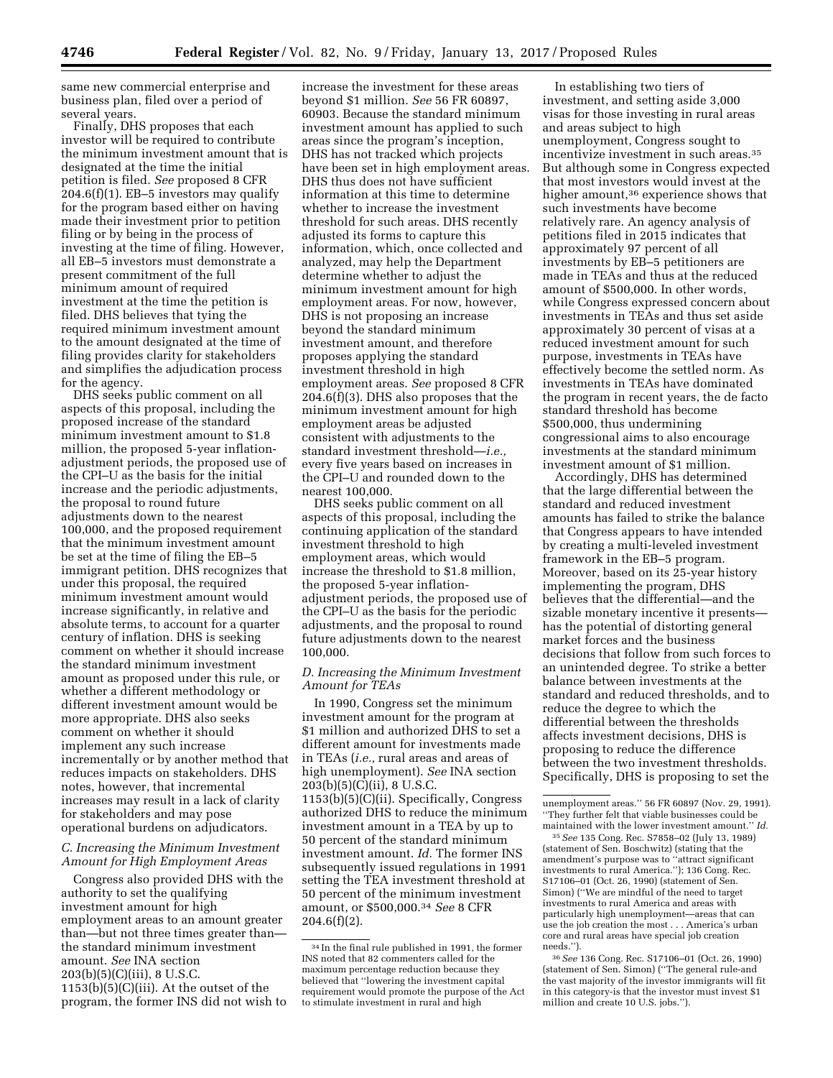same new commercial enterprise and business plan, filed over a period of several years.

Finally, DHS proposes that each investor will be required to contribute the minimum investment amount that is designated at the time the initial petition is filed. *See* proposed 8 CFR  $204.6(f)(1)$ . EB-5 investors may qualify for the program based either on having made their investment prior to petition filing or by being in the process of investing at the time of filing. However, all EB–5 investors must demonstrate a present commitment of the full minimum amount of required investment at the time the petition is filed. DHS believes that tying the required minimum investment amount to the amount designated at the time of filing provides clarity for stakeholders and simplifies the adjudication process for the agency.

DHS seeks public comment on all aspects of this proposal, including the proposed increase of the standard minimum investment amount to \$1.8 million, the proposed 5-year inflationadjustment periods, the proposed use of the CPI–U as the basis for the initial increase and the periodic adjustments, the proposal to round future adjustments down to the nearest 100,000, and the proposed requirement that the minimum investment amount be set at the time of filing the EB–5 immigrant petition. DHS recognizes that under this proposal, the required minimum investment amount would increase significantly, in relative and absolute terms, to account for a quarter century of inflation. DHS is seeking comment on whether it should increase the standard minimum investment amount as proposed under this rule, or whether a different methodology or different investment amount would be more appropriate. DHS also seeks comment on whether it should implement any such increase incrementally or by another method that reduces impacts on stakeholders. DHS notes, however, that incremental increases may result in a lack of clarity for stakeholders and may pose operational burdens on adjudicators.

# *C. Increasing the Minimum Investment Amount for High Employment Areas*

Congress also provided DHS with the authority to set the qualifying investment amount for high employment areas to an amount greater than—but not three times greater than the standard minimum investment amount. *See* INA section 203(b)(5)(C)(iii), 8 U.S.C.  $1153(b)(5)(C)(iii)$ . At the outset of the program, the former INS did not wish to

increase the investment for these areas beyond \$1 million. *See* 56 FR 60897, 60903. Because the standard minimum investment amount has applied to such areas since the program's inception, DHS has not tracked which projects have been set in high employment areas. DHS thus does not have sufficient information at this time to determine whether to increase the investment threshold for such areas. DHS recently adjusted its forms to capture this information, which, once collected and analyzed, may help the Department determine whether to adjust the minimum investment amount for high employment areas. For now, however, DHS is not proposing an increase beyond the standard minimum investment amount, and therefore proposes applying the standard investment threshold in high employment areas. *See* proposed 8 CFR 204.6(f)(3). DHS also proposes that the minimum investment amount for high employment areas be adjusted consistent with adjustments to the standard investment threshold—*i.e.,*  every five years based on increases in the CPI–U and rounded down to the nearest 100,000.

DHS seeks public comment on all aspects of this proposal, including the continuing application of the standard investment threshold to high employment areas, which would increase the threshold to \$1.8 million, the proposed 5-year inflationadjustment periods, the proposed use of the CPI–U as the basis for the periodic adjustments, and the proposal to round future adjustments down to the nearest 100,000.

## *D. Increasing the Minimum Investment Amount for TEAs*

In 1990, Congress set the minimum investment amount for the program at \$1 million and authorized DHS to set a different amount for investments made in TEAs (*i.e.,* rural areas and areas of high unemployment). *See* INA section 203(b)(5)(C)(ii), 8 U.S.C. 1153(b)(5)(C)(ii). Specifically, Congress authorized DHS to reduce the minimum investment amount in a TEA by up to 50 percent of the standard minimum investment amount. *Id.* The former INS subsequently issued regulations in 1991 setting the TEA investment threshold at 50 percent of the minimum investment amount, or \$500,000.34 *See* 8 CFR  $204.6(f)(2)$ .

In establishing two tiers of investment, and setting aside 3,000 visas for those investing in rural areas and areas subject to high unemployment, Congress sought to incentivize investment in such areas.35 But although some in Congress expected that most investors would invest at the higher amount,36 experience shows that such investments have become relatively rare. An agency analysis of petitions filed in 2015 indicates that approximately 97 percent of all investments by EB–5 petitioners are made in TEAs and thus at the reduced amount of \$500,000. In other words, while Congress expressed concern about investments in TEAs and thus set aside approximately 30 percent of visas at a reduced investment amount for such purpose, investments in TEAs have effectively become the settled norm. As investments in TEAs have dominated the program in recent years, the de facto standard threshold has become \$500,000, thus undermining congressional aims to also encourage investments at the standard minimum investment amount of \$1 million.

Accordingly, DHS has determined that the large differential between the standard and reduced investment amounts has failed to strike the balance that Congress appears to have intended by creating a multi-leveled investment framework in the EB–5 program. Moreover, based on its 25-year history implementing the program, DHS believes that the differential—and the sizable monetary incentive it presents has the potential of distorting general market forces and the business decisions that follow from such forces to an unintended degree. To strike a better balance between investments at the standard and reduced thresholds, and to reduce the degree to which the differential between the thresholds affects investment decisions, DHS is proposing to reduce the difference between the two investment thresholds. Specifically, DHS is proposing to set the

<sup>34</sup> In the final rule published in 1991, the former INS noted that 82 commenters called for the maximum percentage reduction because they believed that ''lowering the investment capital requirement would promote the purpose of the Act to stimulate investment in rural and high

unemployment areas.'' 56 FR 60897 (Nov. 29, 1991). ''They further felt that viable businesses could be maintained with the lower investment amount.'' *Id.* 

<sup>35</sup>*See* 135 Cong. Rec. S7858–02 (July 13, 1989) (statement of Sen. Boschwitz) (stating that the amendment's purpose was to ''attract significant investments to rural America.''); 136 Cong. Rec. S17106–01 (Oct. 26, 1990) (statement of Sen. Simon) (''We are mindful of the need to target investments to rural America and areas with particularly high unemployment—areas that can use the job creation the most . . . America's urban core and rural areas have special job creation needs.'').

<sup>36</sup>*See* 136 Cong. Rec. S17106–01 (Oct. 26, 1990) (statement of Sen. Simon) (''The general rule-and the vast majority of the investor immigrants will fit in this category-is that the investor must invest \$1 million and create 10 U.S. jobs.'').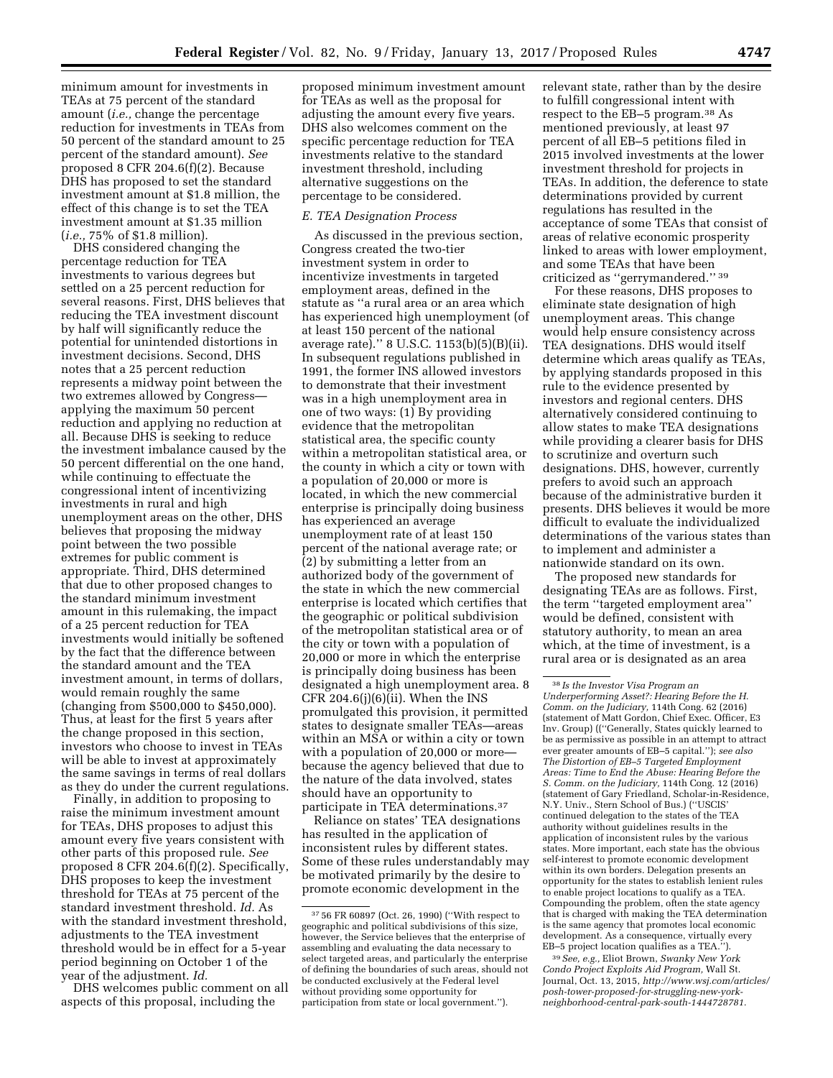minimum amount for investments in TEAs at 75 percent of the standard amount (*i.e.,* change the percentage reduction for investments in TEAs from 50 percent of the standard amount to 25 percent of the standard amount). *See*  proposed 8 CFR 204.6(f)(2). Because DHS has proposed to set the standard investment amount at \$1.8 million, the effect of this change is to set the TEA investment amount at \$1.35 million

(*i.e.,* 75% of \$1.8 million). DHS considered changing the percentage reduction for TEA investments to various degrees but settled on a 25 percent reduction for several reasons. First, DHS believes that reducing the TEA investment discount by half will significantly reduce the potential for unintended distortions in investment decisions. Second, DHS notes that a 25 percent reduction represents a midway point between the two extremes allowed by Congress applying the maximum 50 percent reduction and applying no reduction at all. Because DHS is seeking to reduce the investment imbalance caused by the 50 percent differential on the one hand, while continuing to effectuate the congressional intent of incentivizing investments in rural and high unemployment areas on the other, DHS believes that proposing the midway point between the two possible extremes for public comment is appropriate. Third, DHS determined that due to other proposed changes to the standard minimum investment amount in this rulemaking, the impact of a 25 percent reduction for TEA investments would initially be softened by the fact that the difference between the standard amount and the TEA investment amount, in terms of dollars, would remain roughly the same (changing from \$500,000 to \$450,000). Thus, at least for the first 5 years after the change proposed in this section, investors who choose to invest in TEAs will be able to invest at approximately the same savings in terms of real dollars as they do under the current regulations.

Finally, in addition to proposing to raise the minimum investment amount for TEAs, DHS proposes to adjust this amount every five years consistent with other parts of this proposed rule. *See*  proposed 8 CFR 204.6(f)(2). Specifically, DHS proposes to keep the investment threshold for TEAs at 75 percent of the standard investment threshold. *Id.* As with the standard investment threshold, adjustments to the TEA investment threshold would be in effect for a 5-year period beginning on October 1 of the year of the adjustment. *Id.* 

DHS welcomes public comment on all aspects of this proposal, including the

proposed minimum investment amount for TEAs as well as the proposal for adjusting the amount every five years. DHS also welcomes comment on the specific percentage reduction for TEA investments relative to the standard investment threshold, including alternative suggestions on the percentage to be considered.

## *E. TEA Designation Process*

As discussed in the previous section, Congress created the two-tier investment system in order to incentivize investments in targeted employment areas, defined in the statute as ''a rural area or an area which has experienced high unemployment (of at least 150 percent of the national average rate).'' 8 U.S.C. 1153(b)(5)(B)(ii). In subsequent regulations published in 1991, the former INS allowed investors to demonstrate that their investment was in a high unemployment area in one of two ways: (1) By providing evidence that the metropolitan statistical area, the specific county within a metropolitan statistical area, or the county in which a city or town with a population of 20,000 or more is located, in which the new commercial enterprise is principally doing business has experienced an average unemployment rate of at least 150 percent of the national average rate; or (2) by submitting a letter from an authorized body of the government of the state in which the new commercial enterprise is located which certifies that the geographic or political subdivision of the metropolitan statistical area or of the city or town with a population of 20,000 or more in which the enterprise is principally doing business has been designated a high unemployment area. 8 CFR 204.6(j) $(6)(ii)$ . When the INS promulgated this provision, it permitted states to designate smaller TEAs—areas within an MSA or within a city or town with a population of 20,000 or more because the agency believed that due to the nature of the data involved, states should have an opportunity to participate in TEA determinations.37

Reliance on states' TEA designations has resulted in the application of inconsistent rules by different states. Some of these rules understandably may be motivated primarily by the desire to promote economic development in the

relevant state, rather than by the desire to fulfill congressional intent with respect to the EB–5 program.38 As mentioned previously, at least 97 percent of all EB–5 petitions filed in 2015 involved investments at the lower investment threshold for projects in TEAs. In addition, the deference to state determinations provided by current regulations has resulted in the acceptance of some TEAs that consist of areas of relative economic prosperity linked to areas with lower employment, and some TEAs that have been criticized as ''gerrymandered.'' 39

For these reasons, DHS proposes to eliminate state designation of high unemployment areas. This change would help ensure consistency across TEA designations. DHS would itself determine which areas qualify as TEAs, by applying standards proposed in this rule to the evidence presented by investors and regional centers. DHS alternatively considered continuing to allow states to make TEA designations while providing a clearer basis for DHS to scrutinize and overturn such designations. DHS, however, currently prefers to avoid such an approach because of the administrative burden it presents. DHS believes it would be more difficult to evaluate the individualized determinations of the various states than to implement and administer a nationwide standard on its own.

The proposed new standards for designating TEAs are as follows. First, the term ''targeted employment area'' would be defined, consistent with statutory authority, to mean an area which, at the time of investment, is a rural area or is designated as an area

39*See, e.g.,* Eliot Brown, *Swanky New York Condo Project Exploits Aid Program,* Wall St. Journal, Oct. 13, 2015, *[http://www.wsj.com/articles/](http://www.wsj.com/articles/posh-tower-proposed-for-struggling-new-york-neighborhood-central-park-south-1444728781)  [posh-tower-proposed-for-struggling-new-york](http://www.wsj.com/articles/posh-tower-proposed-for-struggling-new-york-neighborhood-central-park-south-1444728781)[neighborhood-central-park-south-1444728781.](http://www.wsj.com/articles/posh-tower-proposed-for-struggling-new-york-neighborhood-central-park-south-1444728781)* 

<sup>37</sup> 56 FR 60897 (Oct. 26, 1990) (''With respect to geographic and political subdivisions of this size, however, the Service believes that the enterprise of assembling and evaluating the data necessary to select targeted areas, and particularly the enterprise of defining the boundaries of such areas, should not be conducted exclusively at the Federal level without providing some opportunity for participation from state or local government.'').

<sup>38</sup> *Is the Investor Visa Program an Underperforming Asset?: Hearing Before the H. Comm. on the Judiciary,* 114th Cong. 62 (2016) (statement of Matt Gordon, Chief Exec. Officer, E3 Inv. Group) ((''Generally, States quickly learned to be as permissive as possible in an attempt to attract ever greater amounts of EB–5 capital.''); *see also The Distortion of EB–5 Targeted Employment Areas: Time to End the Abuse: Hearing Before the S. Comm. on the Judiciary,* 114th Cong. 12 (2016) (statement of Gary Friedland, Scholar-in-Residence, N.Y. Univ., Stern School of Bus.) (''USCIS' continued delegation to the states of the TEA authority without guidelines results in the application of inconsistent rules by the various states. More important, each state has the obvious self-interest to promote economic development within its own borders. Delegation presents an opportunity for the states to establish lenient rules to enable project locations to qualify as a TEA. Compounding the problem, often the state agency that is charged with making the TEA determination is the same agency that promotes local economic development. As a consequence, virtually every EB–5 project location qualifies as a TEA.'').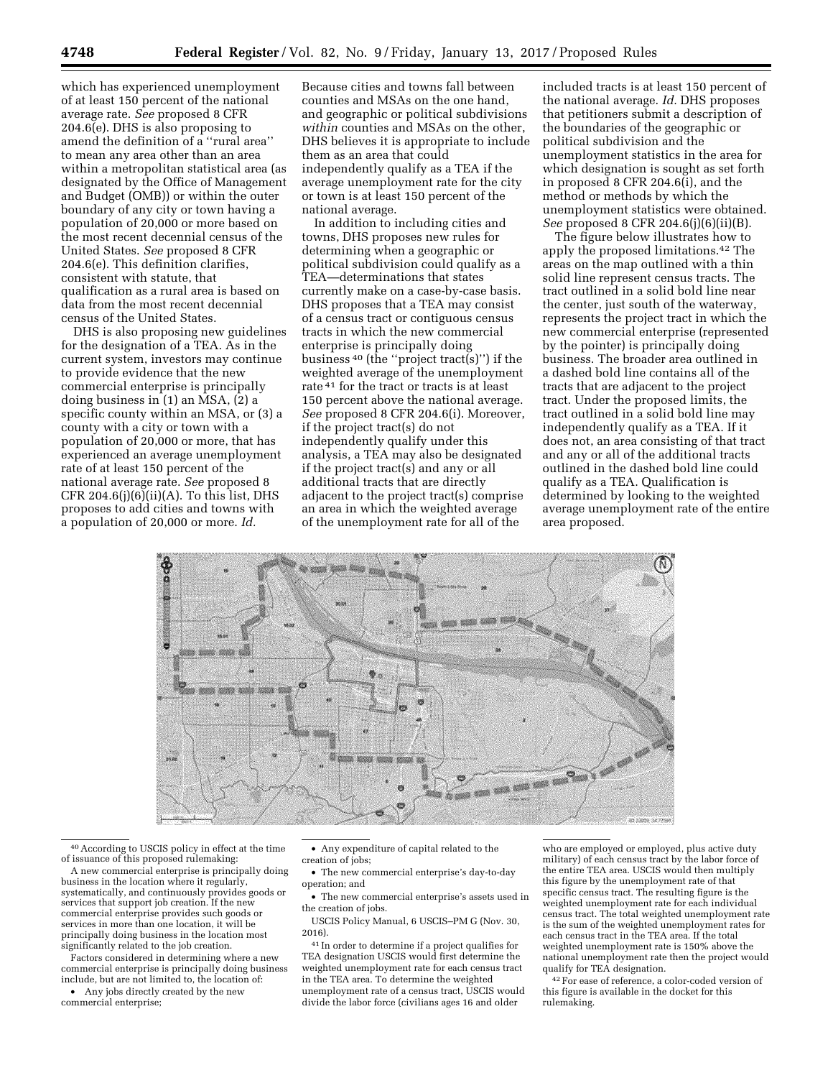which has experienced unemployment of at least 150 percent of the national average rate. *See* proposed 8 CFR 204.6(e). DHS is also proposing to amend the definition of a ''rural area'' to mean any area other than an area within a metropolitan statistical area (as designated by the Office of Management and Budget (OMB)) or within the outer boundary of any city or town having a population of 20,000 or more based on the most recent decennial census of the United States. *See* proposed 8 CFR 204.6(e). This definition clarifies, consistent with statute, that qualification as a rural area is based on data from the most recent decennial census of the United States.

DHS is also proposing new guidelines for the designation of a TEA. As in the current system, investors may continue to provide evidence that the new commercial enterprise is principally doing business in (1) an MSA, (2) a specific county within an MSA, or (3) a county with a city or town with a population of 20,000 or more, that has experienced an average unemployment rate of at least 150 percent of the national average rate. *See* proposed 8 CFR  $204.6(j)(6)(ii)(A)$ . To this list, DHS proposes to add cities and towns with a population of 20,000 or more. *Id.* 

Because cities and towns fall between counties and MSAs on the one hand, and geographic or political subdivisions *within* counties and MSAs on the other, DHS believes it is appropriate to include them as an area that could independently qualify as a TEA if the average unemployment rate for the city or town is at least 150 percent of the national average.

In addition to including cities and towns, DHS proposes new rules for determining when a geographic or political subdivision could qualify as a TEA—determinations that states currently make on a case-by-case basis. DHS proposes that a TEA may consist of a census tract or contiguous census tracts in which the new commercial enterprise is principally doing business 40 (the ''project tract(s)'') if the weighted average of the unemployment rate 41 for the tract or tracts is at least 150 percent above the national average. *See* proposed 8 CFR 204.6(i). Moreover, if the project tract(s) do not independently qualify under this analysis, a TEA may also be designated if the project tract(s) and any or all additional tracts that are directly adjacent to the project tract(s) comprise an area in which the weighted average of the unemployment rate for all of the

included tracts is at least 150 percent of the national average. *Id.* DHS proposes that petitioners submit a description of the boundaries of the geographic or political subdivision and the unemployment statistics in the area for which designation is sought as set forth in proposed 8 CFR 204.6(i), and the method or methods by which the unemployment statistics were obtained. *See* proposed 8 CFR 204.6(j)(6)(ii)(B).

The figure below illustrates how to apply the proposed limitations.42 The areas on the map outlined with a thin solid line represent census tracts. The tract outlined in a solid bold line near the center, just south of the waterway, represents the project tract in which the new commercial enterprise (represented by the pointer) is principally doing business. The broader area outlined in a dashed bold line contains all of the tracts that are adjacent to the project tract. Under the proposed limits, the tract outlined in a solid bold line may independently qualify as a TEA. If it does not, an area consisting of that tract and any or all of the additional tracts outlined in the dashed bold line could qualify as a TEA. Qualification is determined by looking to the weighted average unemployment rate of the entire area proposed.



40According to USCIS policy in effect at the time of issuance of this proposed rulemaking:

A new commercial enterprise is principally doing business in the location where it regularly, systematically, and continuously provides goods or services that support job creation. If the new commercial enterprise provides such goods or services in more than one location, it will be principally doing business in the location most significantly related to the job creation.

Factors considered in determining where a new commercial enterprise is principally doing business include, but are not limited to, the location of:

• Any jobs directly created by the new commercial enterprise;

- Any expenditure of capital related to the creation of jobs;
- The new commercial enterprise's day-to-day operation; and
- The new commercial enterprise's assets used in the creation of jobs.

USCIS Policy Manual, 6 USCIS–PM G (Nov. 30, 2016).

41 In order to determine if a project qualifies for TEA designation USCIS would first determine the weighted unemployment rate for each census tract in the TEA area. To determine the weighted unemployment rate of a census tract, USCIS would divide the labor force (civilians ages 16 and older

who are employed or employed, plus active duty military) of each census tract by the labor force of the entire TEA area. USCIS would then multiply this figure by the unemployment rate of that specific census tract. The resulting figure is the weighted unemployment rate for each individual census tract. The total weighted unemployment rate is the sum of the weighted unemployment rates for each census tract in the TEA area. If the total weighted unemployment rate is 150% above the national unemployment rate then the project would qualify for TEA designation.

42For ease of reference, a color-coded version of this figure is available in the docket for this rulemaking.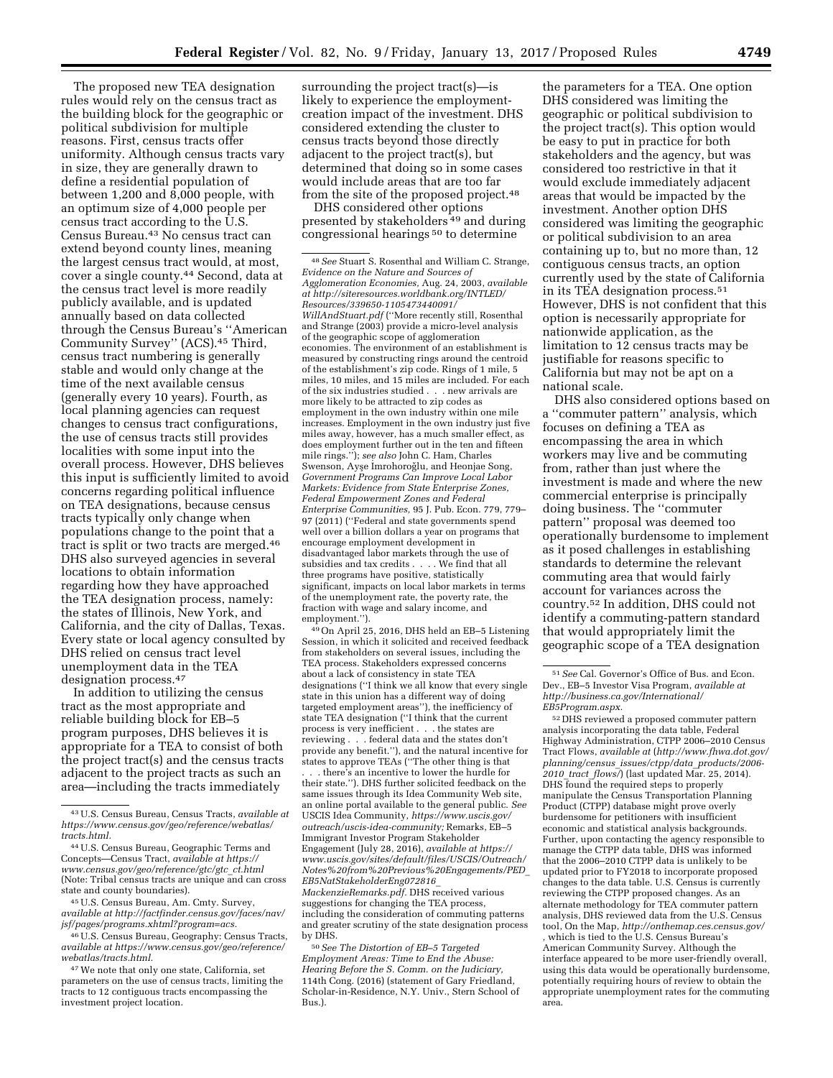The proposed new TEA designation rules would rely on the census tract as the building block for the geographic or political subdivision for multiple reasons. First, census tracts offer uniformity. Although census tracts vary in size, they are generally drawn to define a residential population of between 1,200 and 8,000 people, with an optimum size of 4,000 people per census tract according to the U.S. Census Bureau.43 No census tract can extend beyond county lines, meaning the largest census tract would, at most, cover a single county.44 Second, data at the census tract level is more readily publicly available, and is updated annually based on data collected through the Census Bureau's ''American Community Survey'' (ACS).45 Third, census tract numbering is generally stable and would only change at the time of the next available census (generally every 10 years). Fourth, as local planning agencies can request changes to census tract configurations, the use of census tracts still provides localities with some input into the overall process. However, DHS believes this input is sufficiently limited to avoid concerns regarding political influence on TEA designations, because census tracts typically only change when populations change to the point that a tract is split or two tracts are merged.46 DHS also surveyed agencies in several locations to obtain information regarding how they have approached the TEA designation process, namely: the states of Illinois, New York, and California, and the city of Dallas, Texas. Every state or local agency consulted by DHS relied on census tract level unemployment data in the TEA designation process.47

In addition to utilizing the census tract as the most appropriate and reliable building block for EB–5 program purposes, DHS believes it is appropriate for a TEA to consist of both the project tract(s) and the census tracts adjacent to the project tracts as such an area—including the tracts immediately

surrounding the project tract(s)—is likely to experience the employmentcreation impact of the investment. DHS considered extending the cluster to census tracts beyond those directly adjacent to the project tract(s), but determined that doing so in some cases would include areas that are too far from the site of the proposed project.<sup>48</sup>

DHS considered other options presented by stakeholders 49 and during congressional hearings 50 to determine

49On April 25, 2016, DHS held an EB–5 Listening Session, in which it solicited and received feedback from stakeholders on several issues, including the TEA process. Stakeholders expressed concerns about a lack of consistency in state TEA designations (''I think we all know that every single state in this union has a different way of doing targeted employment areas''), the inefficiency of state TEA designation (''I think that the current process is very inefficient . . . the states are reviewing . . . federal data and the states don't provide any benefit.''), and the natural incentive for states to approve TEAs (''The other thing is that

. . . there's an incentive to lower the hurdle for their state.''). DHS further solicited feedback on the same issues through its Idea Community Web site, an online portal available to the general public. *See*  USCIS Idea Community, *[https://www.uscis.gov/](https://www.uscis.gov/outreach/uscis-idea-community)  [outreach/uscis-idea-community;](https://www.uscis.gov/outreach/uscis-idea-community)* Remarks, EB–5 Immigrant Investor Program Stakeholder Engagement (July 28, 2016), *available at [https://](https://www.uscis.gov/sites/default/files/USCIS/Outreach/Notes%20from%20Previous%20Engagements/PED_EB5NatStakeholderEng072816_MackenzieRemarks.pdf) [www.uscis.gov/sites/default/files/USCIS/Outreach/](https://www.uscis.gov/sites/default/files/USCIS/Outreach/Notes%20from%20Previous%20Engagements/PED_EB5NatStakeholderEng072816_MackenzieRemarks.pdf)  [Notes%20from%20Previous%20Engagements/PED](https://www.uscis.gov/sites/default/files/USCIS/Outreach/Notes%20from%20Previous%20Engagements/PED_EB5NatStakeholderEng072816_MackenzieRemarks.pdf)*\_ *[EB5NatStakeholderEng072816](https://www.uscis.gov/sites/default/files/USCIS/Outreach/Notes%20from%20Previous%20Engagements/PED_EB5NatStakeholderEng072816_MackenzieRemarks.pdf)*\_ *[MackenzieRemarks.pdf.](https://www.uscis.gov/sites/default/files/USCIS/Outreach/Notes%20from%20Previous%20Engagements/PED_EB5NatStakeholderEng072816_MackenzieRemarks.pdf)* DHS received various suggestions for changing the TEA process, including the consideration of commuting patterns and greater scrutiny of the state designation process by DHS.

50*See The Distortion of EB–5 Targeted Employment Areas: Time to End the Abuse: Hearing Before the S. Comm. on the Judiciary,*  114th Cong. (2016) (statement of Gary Friedland, Scholar-in-Residence, N.Y. Univ., Stern School of Bus.).

the parameters for a TEA. One option DHS considered was limiting the geographic or political subdivision to the project tract(s). This option would be easy to put in practice for both stakeholders and the agency, but was considered too restrictive in that it would exclude immediately adjacent areas that would be impacted by the investment. Another option DHS considered was limiting the geographic or political subdivision to an area containing up to, but no more than, 12 contiguous census tracts, an option currently used by the state of California in its TEA designation process.51 However, DHS is not confident that this option is necessarily appropriate for nationwide application, as the limitation to 12 census tracts may be justifiable for reasons specific to California but may not be apt on a national scale.

DHS also considered options based on a ''commuter pattern'' analysis, which focuses on defining a TEA as encompassing the area in which workers may live and be commuting from, rather than just where the investment is made and where the new commercial enterprise is principally doing business. The ''commuter pattern'' proposal was deemed too operationally burdensome to implement as it posed challenges in establishing standards to determine the relevant commuting area that would fairly account for variances across the country.52 In addition, DHS could not identify a commuting-pattern standard that would appropriately limit the geographic scope of a TEA designation

52 DHS reviewed a proposed commuter pattern analysis incorporating the data table, Federal Highway Administration, CTPP 2006–2010 Census Tract Flows, *available at* (*[http://www.fhwa.dot.gov/](http://www.fhwa.dot.gov/planning/census_issues/ctpp/data_products/2006-2010_tract_flows/) planning/census*\_*[issues/ctpp/data](http://www.fhwa.dot.gov/planning/census_issues/ctpp/data_products/2006-2010_tract_flows/)*\_*products/2006- 2010*\_*tract*\_*[flows/](http://www.fhwa.dot.gov/planning/census_issues/ctpp/data_products/2006-2010_tract_flows/)*) (last updated Mar. 25, 2014). DHS found the required steps to properly manipulate the Census Transportation Planning Product (CTPP) database might prove overly burdensome for petitioners with insufficient economic and statistical analysis backgrounds. Further, upon contacting the agency responsible to manage the CTPP data table, DHS was informed that the 2006–2010 CTPP data is unlikely to be updated prior to FY2018 to incorporate proposed changes to the data table. U.S. Census is currently reviewing the CTPP proposed changes. As an alternate methodology for TEA commuter pattern analysis, DHS reviewed data from the U.S. Census tool, On the Map, *<http://onthemap.ces.census.gov/> ,* which is tied to the U.S. Census Bureau's American Community Survey. Although the interface appeared to be more user-friendly overall, using this data would be operationally burdensome, potentially requiring hours of review to obtain the appropriate unemployment rates for the commuting area.

<sup>43</sup>U.S. Census Bureau, Census Tracts, *available at [https://www.census.gov/geo/reference/webatlas/](https://www.census.gov/geo/reference/webatlas/tracts.html)  [tracts.html.](https://www.census.gov/geo/reference/webatlas/tracts.html)* 

<sup>44</sup>U.S. Census Bureau, Geographic Terms and Concepts—Census Tract, *available at [https://](https://www.census.gov/geo/reference/gtc/gtc_ct.html) [www.census.gov/geo/reference/gtc/gtc](https://www.census.gov/geo/reference/gtc/gtc_ct.html)*\_*ct.html*  (Note: Tribal census tracts are unique and can cross state and county boundaries).

<sup>45</sup>U.S. Census Bureau, Am. Cmty. Survey, *available at [http://factfinder.census.gov/faces/nav/](http://factfinder.census.gov/faces/nav/jsf/pages/programs.xhtml?program=acs) [jsf/pages/programs.xhtml?program=acs.](http://factfinder.census.gov/faces/nav/jsf/pages/programs.xhtml?program=acs)* 

<sup>46</sup>U.S. Census Bureau, Geography: Census Tracts, *available at [https://www.census.gov/geo/reference/](https://www.census.gov/geo/reference/webatlas/tracts.html) [webatlas/tracts.html.](https://www.census.gov/geo/reference/webatlas/tracts.html)* 

<sup>47</sup>We note that only one state, California, set parameters on the use of census tracts, limiting the tracts to 12 contiguous tracts encompassing the investment project location.

<sup>48</sup>*See* Stuart S. Rosenthal and William C. Strange, *Evidence on the Nature and Sources of Agglomeration Economies,* Aug. 24, 2003, *available at [http://siteresources.worldbank.org/INTLED/](http://siteresources.worldbank.org/INTLED/Resources/339650-1105473440091/WillAndStuart.pdf)  [Resources/339650-1105473440091/](http://siteresources.worldbank.org/INTLED/Resources/339650-1105473440091/WillAndStuart.pdf) [WillAndStuart.pdf](http://siteresources.worldbank.org/INTLED/Resources/339650-1105473440091/WillAndStuart.pdf)* (''More recently still, Rosenthal and Strange (2003) provide a micro-level analysis of the geographic scope of agglomeration economies. The environment of an establishment is measured by constructing rings around the centroid of the establishment's zip code. Rings of 1 mile, 5 miles, 10 miles, and 15 miles are included. For each of the six industries studied . . . new arrivals are more likely to be attracted to zip codes as employment in the own industry within one mile increases. Employment in the own industry just five miles away, however, has a much smaller effect, as does employment further out in the ten and fifteen mile rings.''); *see also* John C. Ham, Charles Swenson, Ayşe İmrohoroğlu, and Heonjae Song, *Government Programs Can Improve Local Labor Markets: Evidence from State Enterprise Zones, Federal Empowerment Zones and Federal Enterprise Communities,* 95 J. Pub. Econ. 779, 779– 97 (2011) (''Federal and state governments spend well over a billion dollars a year on programs that encourage employment development in disadvantaged labor markets through the use of subsidies and tax credits . . . . We find that all three programs have positive, statistically significant, impacts on local labor markets in terms of the unemployment rate, the poverty rate, the fraction with wage and salary income, and employment.'').

<sup>51</sup>*See* Cal. Governor's Office of Bus. and Econ. Dev., EB–5 Investor Visa Program, *available at [http://business.ca.gov/International/](http://business.ca.gov/International/EB5Program.aspx)  [EB5Program.aspx.](http://business.ca.gov/International/EB5Program.aspx)*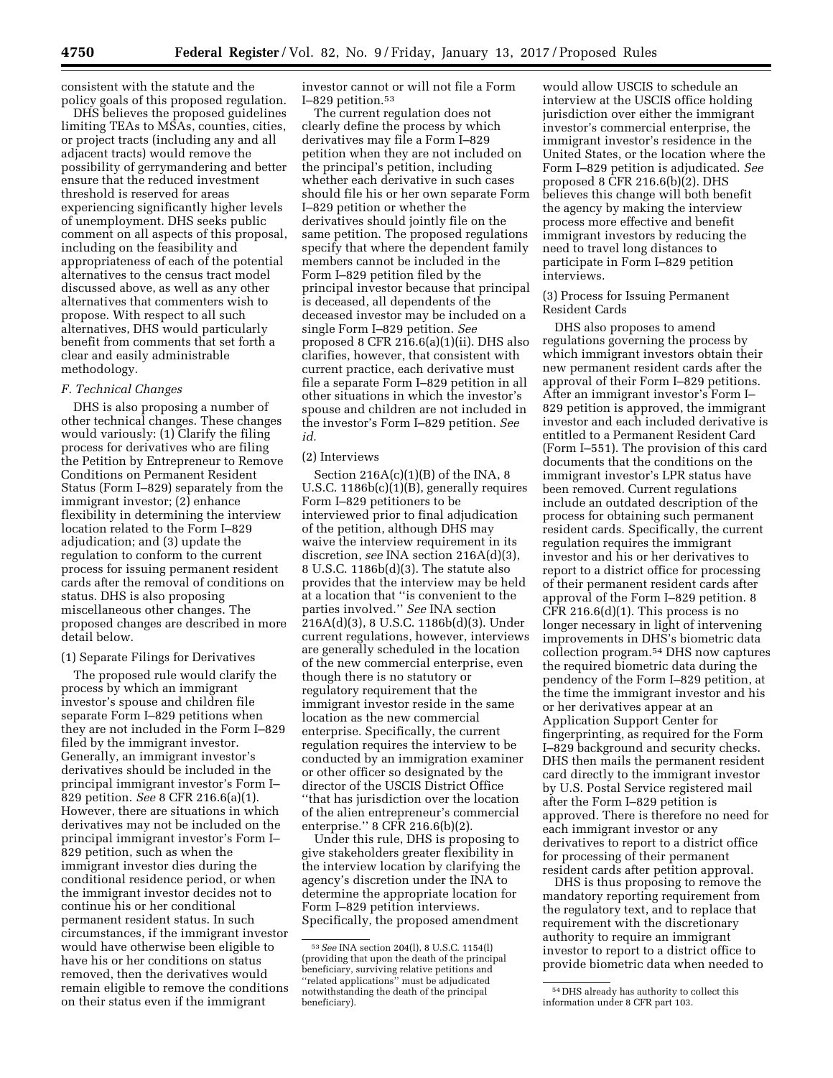consistent with the statute and the policy goals of this proposed regulation.

DHS believes the proposed guidelines limiting TEAs to MSAs, counties, cities, or project tracts (including any and all adjacent tracts) would remove the possibility of gerrymandering and better ensure that the reduced investment threshold is reserved for areas experiencing significantly higher levels of unemployment. DHS seeks public comment on all aspects of this proposal, including on the feasibility and appropriateness of each of the potential alternatives to the census tract model discussed above, as well as any other alternatives that commenters wish to propose. With respect to all such alternatives, DHS would particularly benefit from comments that set forth a clear and easily administrable methodology.

#### *F. Technical Changes*

DHS is also proposing a number of other technical changes. These changes would variously: (1) Clarify the filing process for derivatives who are filing the Petition by Entrepreneur to Remove Conditions on Permanent Resident Status (Form I–829) separately from the immigrant investor; (2) enhance flexibility in determining the interview location related to the Form I–829 adjudication; and (3) update the regulation to conform to the current process for issuing permanent resident cards after the removal of conditions on status. DHS is also proposing miscellaneous other changes. The proposed changes are described in more detail below.

#### (1) Separate Filings for Derivatives

The proposed rule would clarify the process by which an immigrant investor's spouse and children file separate Form I–829 petitions when they are not included in the Form I–829 filed by the immigrant investor. Generally, an immigrant investor's derivatives should be included in the principal immigrant investor's Form I– 829 petition. *See* 8 CFR 216.6(a)(1). However, there are situations in which derivatives may not be included on the principal immigrant investor's Form I– 829 petition, such as when the immigrant investor dies during the conditional residence period, or when the immigrant investor decides not to continue his or her conditional permanent resident status. In such circumstances, if the immigrant investor would have otherwise been eligible to have his or her conditions on status removed, then the derivatives would remain eligible to remove the conditions on their status even if the immigrant

investor cannot or will not file a Form I–829 petition.53

The current regulation does not clearly define the process by which derivatives may file a Form I–829 petition when they are not included on the principal's petition, including whether each derivative in such cases should file his or her own separate Form I–829 petition or whether the derivatives should jointly file on the same petition. The proposed regulations specify that where the dependent family members cannot be included in the Form I–829 petition filed by the principal investor because that principal is deceased, all dependents of the deceased investor may be included on a single Form I–829 petition. *See*  proposed 8 CFR 216.6(a)(1)(ii). DHS also clarifies, however, that consistent with current practice, each derivative must file a separate Form I–829 petition in all other situations in which the investor's spouse and children are not included in the investor's Form I–829 petition. *See id.* 

#### (2) Interviews

Section  $216A(c)(1)(B)$  of the INA, 8 U.S.C. 1186b(c)(1)(B), generally requires Form I–829 petitioners to be interviewed prior to final adjudication of the petition, although DHS may waive the interview requirement in its discretion, *see* INA section 216A(d)(3), 8 U.S.C. 1186b(d)(3). The statute also provides that the interview may be held at a location that ''is convenient to the parties involved.'' *See* INA section 216A(d)(3), 8 U.S.C. 1186b(d)(3). Under current regulations, however, interviews are generally scheduled in the location of the new commercial enterprise, even though there is no statutory or regulatory requirement that the immigrant investor reside in the same location as the new commercial enterprise. Specifically, the current regulation requires the interview to be conducted by an immigration examiner or other officer so designated by the director of the USCIS District Office ''that has jurisdiction over the location of the alien entrepreneur's commercial enterprise.'' 8 CFR 216.6(b)(2).

Under this rule, DHS is proposing to give stakeholders greater flexibility in the interview location by clarifying the agency's discretion under the INA to determine the appropriate location for Form I–829 petition interviews. Specifically, the proposed amendment

would allow USCIS to schedule an interview at the USCIS office holding jurisdiction over either the immigrant investor's commercial enterprise, the immigrant investor's residence in the United States, or the location where the Form I–829 petition is adjudicated. *See*  proposed 8 CFR 216.6(b)(2). DHS believes this change will both benefit the agency by making the interview process more effective and benefit immigrant investors by reducing the need to travel long distances to participate in Form I–829 petition interviews.

(3) Process for Issuing Permanent Resident Cards

DHS also proposes to amend regulations governing the process by which immigrant investors obtain their new permanent resident cards after the approval of their Form I–829 petitions. After an immigrant investor's Form I– 829 petition is approved, the immigrant investor and each included derivative is entitled to a Permanent Resident Card (Form I–551). The provision of this card documents that the conditions on the immigrant investor's LPR status have been removed. Current regulations include an outdated description of the process for obtaining such permanent resident cards. Specifically, the current regulation requires the immigrant investor and his or her derivatives to report to a district office for processing of their permanent resident cards after approval of the Form I–829 petition. 8 CFR 216.6(d)(1). This process is no longer necessary in light of intervening improvements in DHS's biometric data collection program.54 DHS now captures the required biometric data during the pendency of the Form I–829 petition, at the time the immigrant investor and his or her derivatives appear at an Application Support Center for fingerprinting, as required for the Form I–829 background and security checks. DHS then mails the permanent resident card directly to the immigrant investor by U.S. Postal Service registered mail after the Form I–829 petition is approved. There is therefore no need for each immigrant investor or any derivatives to report to a district office for processing of their permanent resident cards after petition approval.

DHS is thus proposing to remove the mandatory reporting requirement from the regulatory text, and to replace that requirement with the discretionary authority to require an immigrant investor to report to a district office to provide biometric data when needed to

<sup>53</sup>*See* INA section 204(l), 8 U.S.C. 1154(l) (providing that upon the death of the principal beneficiary, surviving relative petitions and ''related applications'' must be adjudicated notwithstanding the death of the principal beneficiary).

<sup>54</sup> DHS already has authority to collect this information under 8 CFR part 103.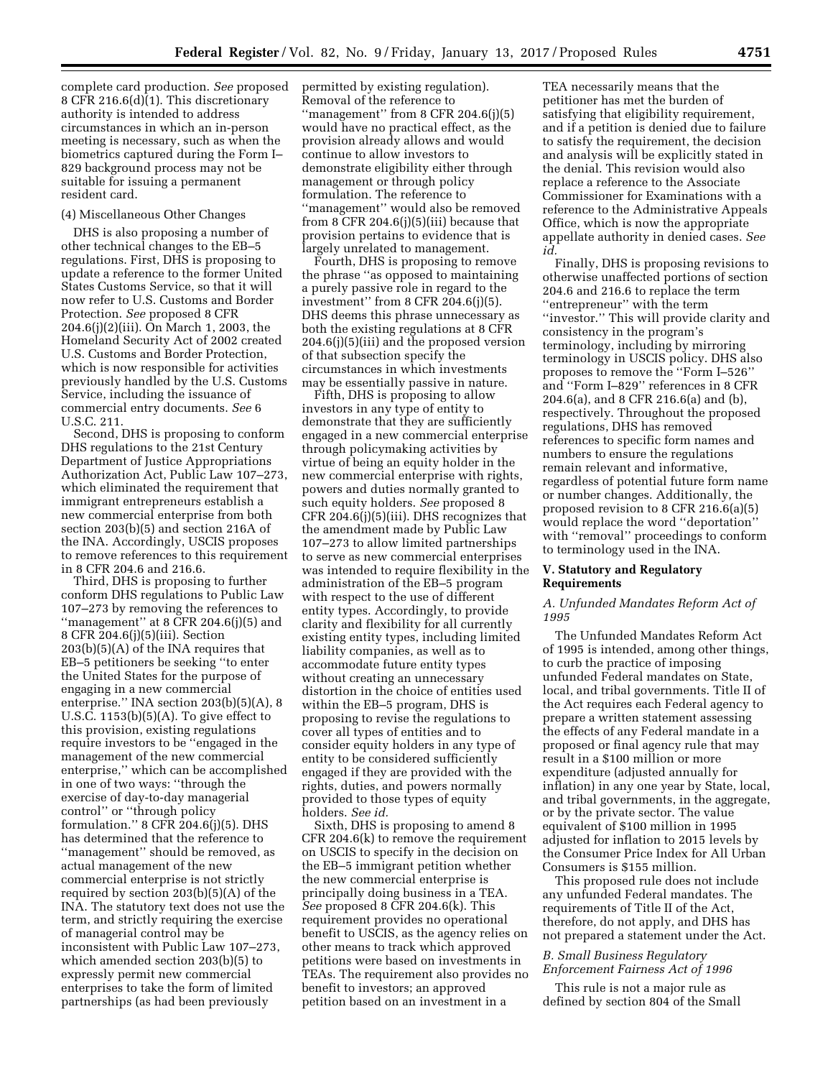complete card production. *See* proposed 8 CFR 216.6(d)(1). This discretionary authority is intended to address circumstances in which an in-person meeting is necessary, such as when the biometrics captured during the Form I– 829 background process may not be suitable for issuing a permanent resident card.

## (4) Miscellaneous Other Changes

DHS is also proposing a number of other technical changes to the EB–5 regulations. First, DHS is proposing to update a reference to the former United States Customs Service, so that it will now refer to U.S. Customs and Border Protection. *See* proposed 8 CFR 204.6(j)(2)(iii). On March 1, 2003, the Homeland Security Act of 2002 created U.S. Customs and Border Protection, which is now responsible for activities previously handled by the U.S. Customs Service, including the issuance of commercial entry documents. *See* 6 U.S.C. 211.

Second, DHS is proposing to conform DHS regulations to the 21st Century Department of Justice Appropriations Authorization Act, Public Law 107–273, which eliminated the requirement that immigrant entrepreneurs establish a new commercial enterprise from both section 203(b)(5) and section 216A of the INA. Accordingly, USCIS proposes to remove references to this requirement in 8 CFR 204.6 and 216.6.

Third, DHS is proposing to further conform DHS regulations to Public Law 107–273 by removing the references to "management" at  $8$  CFR 204.6(j)(5) and 8 CFR 204.6(j)(5)(iii). Section 203(b)(5)(A) of the INA requires that EB–5 petitioners be seeking ''to enter the United States for the purpose of engaging in a new commercial enterprise.'' INA section 203(b)(5)(A), 8 U.S.C. 1153(b)(5)(A). To give effect to this provision, existing regulations require investors to be ''engaged in the management of the new commercial enterprise,'' which can be accomplished in one of two ways: ''through the exercise of day-to-day managerial control'' or ''through policy formulation.'' 8 CFR 204.6(j)(5). DHS has determined that the reference to ''management'' should be removed, as actual management of the new commercial enterprise is not strictly required by section 203(b)(5)(A) of the INA. The statutory text does not use the term, and strictly requiring the exercise of managerial control may be inconsistent with Public Law 107–273, which amended section 203(b)(5) to expressly permit new commercial enterprises to take the form of limited partnerships (as had been previously

permitted by existing regulation). Removal of the reference to ''management'' from 8 CFR 204.6(j)(5) would have no practical effect, as the provision already allows and would continue to allow investors to demonstrate eligibility either through management or through policy formulation. The reference to ''management'' would also be removed from 8 CFR 204.6(j)(5)(iii) because that provision pertains to evidence that is largely unrelated to management.

Fourth, DHS is proposing to remove the phrase ''as opposed to maintaining a purely passive role in regard to the investment'' from 8 CFR 204.6(j)(5). DHS deems this phrase unnecessary as both the existing regulations at 8 CFR 204.6(j)(5)(iii) and the proposed version of that subsection specify the circumstances in which investments may be essentially passive in nature.

Fifth, DHS is proposing to allow investors in any type of entity to demonstrate that they are sufficiently engaged in a new commercial enterprise through policymaking activities by virtue of being an equity holder in the new commercial enterprise with rights, powers and duties normally granted to such equity holders. *See* proposed 8 CFR 204.6(j)(5)(iii). DHS recognizes that the amendment made by Public Law 107–273 to allow limited partnerships to serve as new commercial enterprises was intended to require flexibility in the administration of the EB–5 program with respect to the use of different entity types. Accordingly, to provide clarity and flexibility for all currently existing entity types, including limited liability companies, as well as to accommodate future entity types without creating an unnecessary distortion in the choice of entities used within the EB–5 program, DHS is proposing to revise the regulations to cover all types of entities and to consider equity holders in any type of entity to be considered sufficiently engaged if they are provided with the rights, duties, and powers normally provided to those types of equity holders. *See id.* 

Sixth, DHS is proposing to amend 8 CFR 204.6(k) to remove the requirement on USCIS to specify in the decision on the EB–5 immigrant petition whether the new commercial enterprise is principally doing business in a TEA. *See* proposed 8 CFR 204.6(k). This requirement provides no operational benefit to USCIS, as the agency relies on other means to track which approved petitions were based on investments in TEAs. The requirement also provides no benefit to investors; an approved petition based on an investment in a

TEA necessarily means that the petitioner has met the burden of satisfying that eligibility requirement, and if a petition is denied due to failure to satisfy the requirement, the decision and analysis will be explicitly stated in the denial. This revision would also replace a reference to the Associate Commissioner for Examinations with a reference to the Administrative Appeals Office, which is now the appropriate appellate authority in denied cases. *See id.* 

Finally, DHS is proposing revisions to otherwise unaffected portions of section 204.6 and 216.6 to replace the term ''entrepreneur'' with the term ''investor.'' This will provide clarity and consistency in the program's terminology, including by mirroring terminology in USCIS policy. DHS also proposes to remove the ''Form I–526'' and ''Form I–829'' references in 8 CFR 204.6(a), and 8 CFR 216.6(a) and (b), respectively. Throughout the proposed regulations, DHS has removed references to specific form names and numbers to ensure the regulations remain relevant and informative, regardless of potential future form name or number changes. Additionally, the proposed revision to 8 CFR 216.6(a)(5) would replace the word ''deportation'' with "removal" proceedings to conform to terminology used in the INA.

### **V. Statutory and Regulatory Requirements**

### *A. Unfunded Mandates Reform Act of 1995*

The Unfunded Mandates Reform Act of 1995 is intended, among other things, to curb the practice of imposing unfunded Federal mandates on State, local, and tribal governments. Title II of the Act requires each Federal agency to prepare a written statement assessing the effects of any Federal mandate in a proposed or final agency rule that may result in a \$100 million or more expenditure (adjusted annually for inflation) in any one year by State, local, and tribal governments, in the aggregate, or by the private sector. The value equivalent of \$100 million in 1995 adjusted for inflation to 2015 levels by the Consumer Price Index for All Urban Consumers is \$155 million.

This proposed rule does not include any unfunded Federal mandates. The requirements of Title II of the Act, therefore, do not apply, and DHS has not prepared a statement under the Act.

### *B. Small Business Regulatory Enforcement Fairness Act of 1996*

This rule is not a major rule as defined by section 804 of the Small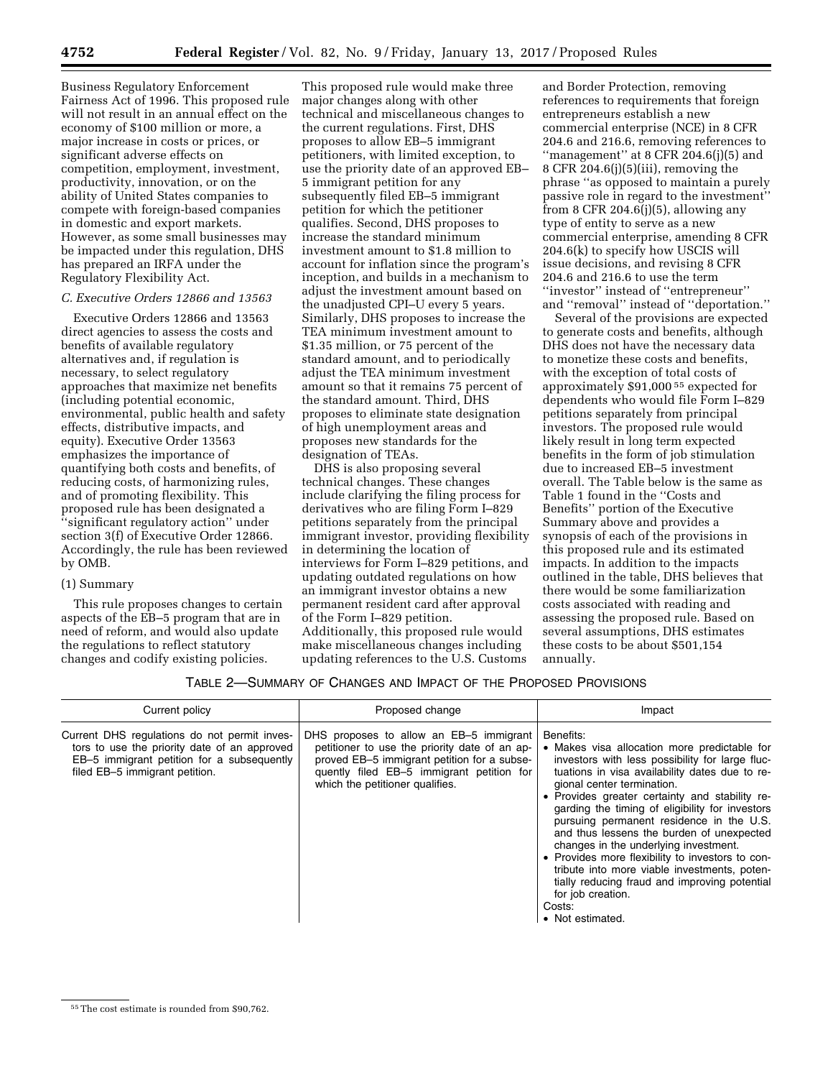Business Regulatory Enforcement Fairness Act of 1996. This proposed rule will not result in an annual effect on the economy of \$100 million or more, a major increase in costs or prices, or significant adverse effects on competition, employment, investment, productivity, innovation, or on the ability of United States companies to compete with foreign-based companies in domestic and export markets. However, as some small businesses may be impacted under this regulation, DHS has prepared an IRFA under the Regulatory Flexibility Act.

## *C. Executive Orders 12866 and 13563*

Executive Orders 12866 and 13563 direct agencies to assess the costs and benefits of available regulatory alternatives and, if regulation is necessary, to select regulatory approaches that maximize net benefits (including potential economic, environmental, public health and safety effects, distributive impacts, and equity). Executive Order 13563 emphasizes the importance of quantifying both costs and benefits, of reducing costs, of harmonizing rules, and of promoting flexibility. This proposed rule has been designated a ''significant regulatory action'' under section 3(f) of Executive Order 12866. Accordingly, the rule has been reviewed by OMB.

## (1) Summary

This rule proposes changes to certain aspects of the EB–5 program that are in need of reform, and would also update the regulations to reflect statutory changes and codify existing policies.

This proposed rule would make three major changes along with other technical and miscellaneous changes to the current regulations. First, DHS proposes to allow EB–5 immigrant petitioners, with limited exception, to use the priority date of an approved EB– 5 immigrant petition for any subsequently filed EB–5 immigrant petition for which the petitioner qualifies. Second, DHS proposes to increase the standard minimum investment amount to \$1.8 million to account for inflation since the program's inception, and builds in a mechanism to adjust the investment amount based on the unadjusted CPI–U every 5 years. Similarly, DHS proposes to increase the TEA minimum investment amount to \$1.35 million, or 75 percent of the standard amount, and to periodically adjust the TEA minimum investment amount so that it remains 75 percent of the standard amount. Third, DHS proposes to eliminate state designation of high unemployment areas and proposes new standards for the designation of TEAs.

DHS is also proposing several technical changes. These changes include clarifying the filing process for derivatives who are filing Form I–829 petitions separately from the principal immigrant investor, providing flexibility in determining the location of interviews for Form I–829 petitions, and updating outdated regulations on how an immigrant investor obtains a new permanent resident card after approval of the Form I–829 petition. Additionally, this proposed rule would make miscellaneous changes including updating references to the U.S. Customs

and Border Protection, removing references to requirements that foreign entrepreneurs establish a new commercial enterprise (NCE) in 8 CFR 204.6 and 216.6, removing references to ''management'' at 8 CFR 204.6(j)(5) and 8 CFR 204.6(j) $(5)(iii)$ , removing the phrase ''as opposed to maintain a purely passive role in regard to the investment'' from 8 CFR 204.6(j)(5), allowing any type of entity to serve as a new commercial enterprise, amending 8 CFR 204.6(k) to specify how USCIS will issue decisions, and revising 8 CFR 204.6 and 216.6 to use the term ''investor'' instead of ''entrepreneur'' and ''removal'' instead of ''deportation.''

Several of the provisions are expected to generate costs and benefits, although DHS does not have the necessary data to monetize these costs and benefits, with the exception of total costs of approximately \$91,000 55 expected for dependents who would file Form I–829 petitions separately from principal investors. The proposed rule would likely result in long term expected benefits in the form of job stimulation due to increased EB–5 investment overall. The Table below is the same as Table 1 found in the ''Costs and Benefits'' portion of the Executive Summary above and provides a synopsis of each of the provisions in this proposed rule and its estimated impacts. In addition to the impacts outlined in the table, DHS believes that there would be some familiarization costs associated with reading and assessing the proposed rule. Based on several assumptions, DHS estimates these costs to be about \$501,154 annually.

## TABLE 2—SUMMARY OF CHANGES AND IMPACT OF THE PROPOSED PROVISIONS

| Current policy                                                                                                                                                               | Proposed change                                                                                                                                                                                                         | Impact                                                                                                                                                                                                                                                                                                                                                                                                                                                                                                                                                                                                                                      |
|------------------------------------------------------------------------------------------------------------------------------------------------------------------------------|-------------------------------------------------------------------------------------------------------------------------------------------------------------------------------------------------------------------------|---------------------------------------------------------------------------------------------------------------------------------------------------------------------------------------------------------------------------------------------------------------------------------------------------------------------------------------------------------------------------------------------------------------------------------------------------------------------------------------------------------------------------------------------------------------------------------------------------------------------------------------------|
| Current DHS regulations do not permit inves-<br>tors to use the priority date of an approved<br>EB-5 immigrant petition for a subsequently<br>filed EB-5 immigrant petition. | DHS proposes to allow an EB-5 immigrant<br>petitioner to use the priority date of an ap-<br>proved EB-5 immigrant petition for a subse-<br>quently filed EB-5 immigrant petition for<br>which the petitioner qualifies. | Benefits:<br>• Makes visa allocation more predictable for<br>investors with less possibility for large fluc-<br>tuations in visa availability dates due to re-<br>gional center termination.<br>• Provides greater certainty and stability re-<br>garding the timing of eligibility for investors<br>pursuing permanent residence in the U.S.<br>and thus lessens the burden of unexpected<br>changes in the underlying investment.<br>• Provides more flexibility to investors to con-<br>tribute into more viable investments, poten-<br>tially reducing fraud and improving potential<br>for job creation.<br>Costs:<br>• Not estimated. |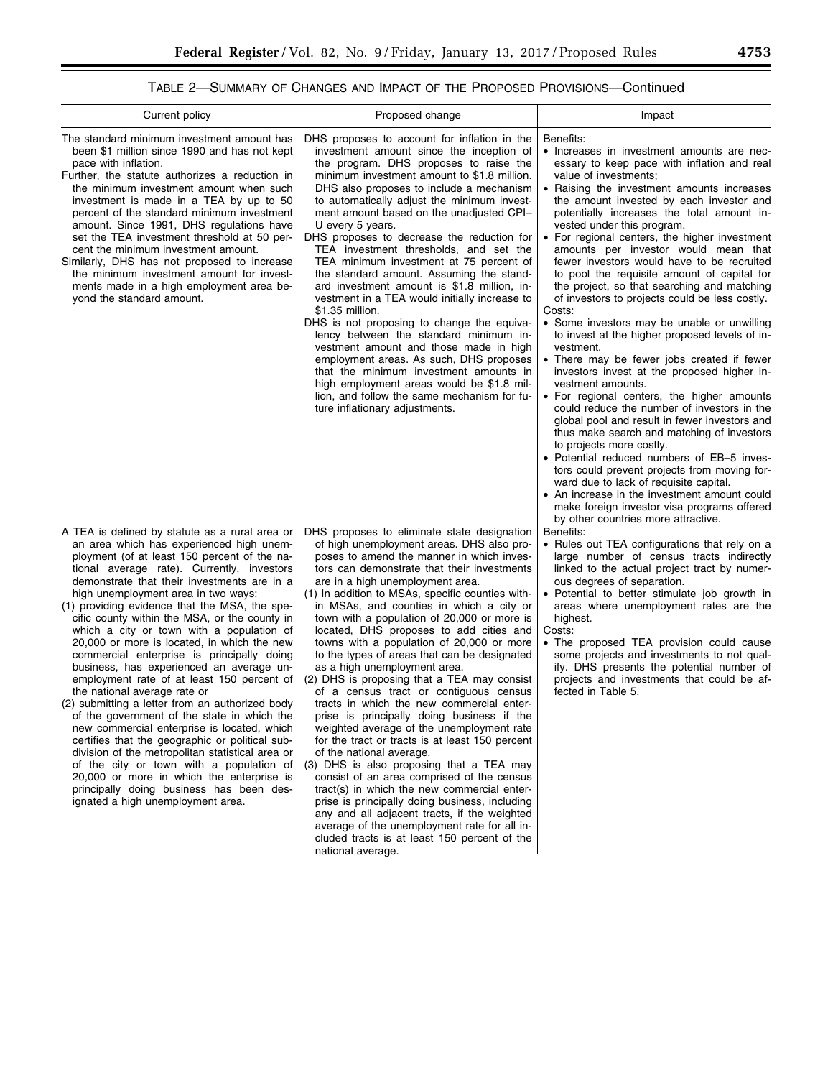# TABLE 2—SUMMARY OF CHANGES AND IMPACT OF THE PROPOSED PROVISIONS—Continued

| Current policy                                                                                                                                                                                                                                                                                                                                                                                                                                                                                                                                                                                                                                                                                                                                                                                                                                                                                                                                                                                                                                                                         | Proposed change                                                                                                                                                                                                                                                                                                                                                                                                                                                                                                                                                                                                                                                                                                                                                                                                                                                                                                                                                                                                                                                                                                                                                                                                                 | Impact                                                                                                                                                                                                                                                                                                                                                                                                                                                                                                                                                                                                                                                                                                                                                                                                                                                                                                                                                                                                                                                                                                                                                                                                                                                                                                                                       |
|----------------------------------------------------------------------------------------------------------------------------------------------------------------------------------------------------------------------------------------------------------------------------------------------------------------------------------------------------------------------------------------------------------------------------------------------------------------------------------------------------------------------------------------------------------------------------------------------------------------------------------------------------------------------------------------------------------------------------------------------------------------------------------------------------------------------------------------------------------------------------------------------------------------------------------------------------------------------------------------------------------------------------------------------------------------------------------------|---------------------------------------------------------------------------------------------------------------------------------------------------------------------------------------------------------------------------------------------------------------------------------------------------------------------------------------------------------------------------------------------------------------------------------------------------------------------------------------------------------------------------------------------------------------------------------------------------------------------------------------------------------------------------------------------------------------------------------------------------------------------------------------------------------------------------------------------------------------------------------------------------------------------------------------------------------------------------------------------------------------------------------------------------------------------------------------------------------------------------------------------------------------------------------------------------------------------------------|----------------------------------------------------------------------------------------------------------------------------------------------------------------------------------------------------------------------------------------------------------------------------------------------------------------------------------------------------------------------------------------------------------------------------------------------------------------------------------------------------------------------------------------------------------------------------------------------------------------------------------------------------------------------------------------------------------------------------------------------------------------------------------------------------------------------------------------------------------------------------------------------------------------------------------------------------------------------------------------------------------------------------------------------------------------------------------------------------------------------------------------------------------------------------------------------------------------------------------------------------------------------------------------------------------------------------------------------|
| The standard minimum investment amount has<br>been \$1 million since 1990 and has not kept<br>pace with inflation.<br>Further, the statute authorizes a reduction in<br>the minimum investment amount when such<br>investment is made in a TEA by up to 50<br>percent of the standard minimum investment<br>amount. Since 1991, DHS regulations have<br>set the TEA investment threshold at 50 per-<br>cent the minimum investment amount.<br>Similarly, DHS has not proposed to increase<br>the minimum investment amount for invest-<br>ments made in a high employment area be-<br>yond the standard amount.                                                                                                                                                                                                                                                                                                                                                                                                                                                                        | DHS proposes to account for inflation in the<br>investment amount since the inception of<br>the program. DHS proposes to raise the<br>minimum investment amount to \$1.8 million.<br>DHS also proposes to include a mechanism<br>to automatically adjust the minimum invest-<br>ment amount based on the unadjusted CPI-<br>U every 5 years.<br>DHS proposes to decrease the reduction for<br>TEA investment thresholds, and set the<br>TEA minimum investment at 75 percent of<br>the standard amount. Assuming the stand-<br>ard investment amount is \$1.8 million, in-<br>vestment in a TEA would initially increase to<br>\$1.35 million.<br>DHS is not proposing to change the equiva-<br>lency between the standard minimum in-<br>vestment amount and those made in high<br>employment areas. As such, DHS proposes<br>that the minimum investment amounts in<br>high employment areas would be \$1.8 mil-<br>lion, and follow the same mechanism for fu-<br>ture inflationary adjustments.                                                                                                                                                                                                                             | Benefits:<br>• Increases in investment amounts are nec-<br>essary to keep pace with inflation and real<br>value of investments;<br>• Raising the investment amounts increases<br>the amount invested by each investor and<br>potentially increases the total amount in-<br>vested under this program.<br>• For regional centers, the higher investment<br>amounts per investor would mean that<br>fewer investors would have to be recruited<br>to pool the requisite amount of capital for<br>the project, so that searching and matching<br>of investors to projects could be less costly.<br>Costs:<br>• Some investors may be unable or unwilling<br>to invest at the higher proposed levels of in-<br>vestment.<br>• There may be fewer jobs created if fewer<br>investors invest at the proposed higher in-<br>vestment amounts.<br>• For regional centers, the higher amounts<br>could reduce the number of investors in the<br>global pool and result in fewer investors and<br>thus make search and matching of investors<br>to projects more costly.<br>• Potential reduced numbers of EB-5 inves-<br>tors could prevent projects from moving for-<br>ward due to lack of requisite capital.<br>• An increase in the investment amount could<br>make foreign investor visa programs offered<br>by other countries more attractive. |
| A TEA is defined by statute as a rural area or<br>an area which has experienced high unem-<br>ployment (of at least 150 percent of the na-<br>tional average rate). Currently, investors<br>demonstrate that their investments are in a<br>high unemployment area in two ways:<br>(1) providing evidence that the MSA, the spe-<br>cific county within the MSA, or the county in<br>which a city or town with a population of<br>20,000 or more is located, in which the new<br>commercial enterprise is principally doing<br>business, has experienced an average un-<br>employment rate of at least 150 percent of<br>the national average rate or<br>(2) submitting a letter from an authorized body<br>of the government of the state in which the<br>new commercial enterprise is located, which<br>certifies that the geographic or political sub-<br>division of the metropolitan statistical area or<br>of the city or town with a population of<br>20,000 or more in which the enterprise is<br>principally doing business has been des-<br>ignated a high unemployment area. | DHS proposes to eliminate state designation<br>of high unemployment areas. DHS also pro-<br>poses to amend the manner in which inves-<br>tors can demonstrate that their investments<br>are in a high unemployment area.<br>(1) In addition to MSAs, specific counties with-<br>in MSAs, and counties in which a city or<br>town with a population of 20,000 or more is<br>located, DHS proposes to add cities and<br>towns with a population of 20,000 or more<br>to the types of areas that can be designated<br>as a high unemployment area.<br>(2) DHS is proposing that a TEA may consist<br>of a census tract or contiguous census<br>tracts in which the new commercial enter-<br>prise is principally doing business if the<br>weighted average of the unemployment rate<br>for the tract or tracts is at least 150 percent<br>of the national average.<br>(3) DHS is also proposing that a TEA may<br>consist of an area comprised of the census<br>tract(s) in which the new commercial enter-<br>prise is principally doing business, including<br>any and all adjacent tracts, if the weighted<br>average of the unemployment rate for all in-<br>cluded tracts is at least 150 percent of the<br>national average. | Benefits:<br>• Rules out TEA configurations that rely on a<br>large number of census tracts indirectly<br>linked to the actual project tract by numer-<br>ous degrees of separation.<br>• Potential to better stimulate job growth in<br>areas where unemployment rates are the<br>highest.<br>Costs:<br>• The proposed TEA provision could cause<br>some projects and investments to not qual-<br>ify. DHS presents the potential number of<br>projects and investments that could be af-<br>fected in Table 5.                                                                                                                                                                                                                                                                                                                                                                                                                                                                                                                                                                                                                                                                                                                                                                                                                             |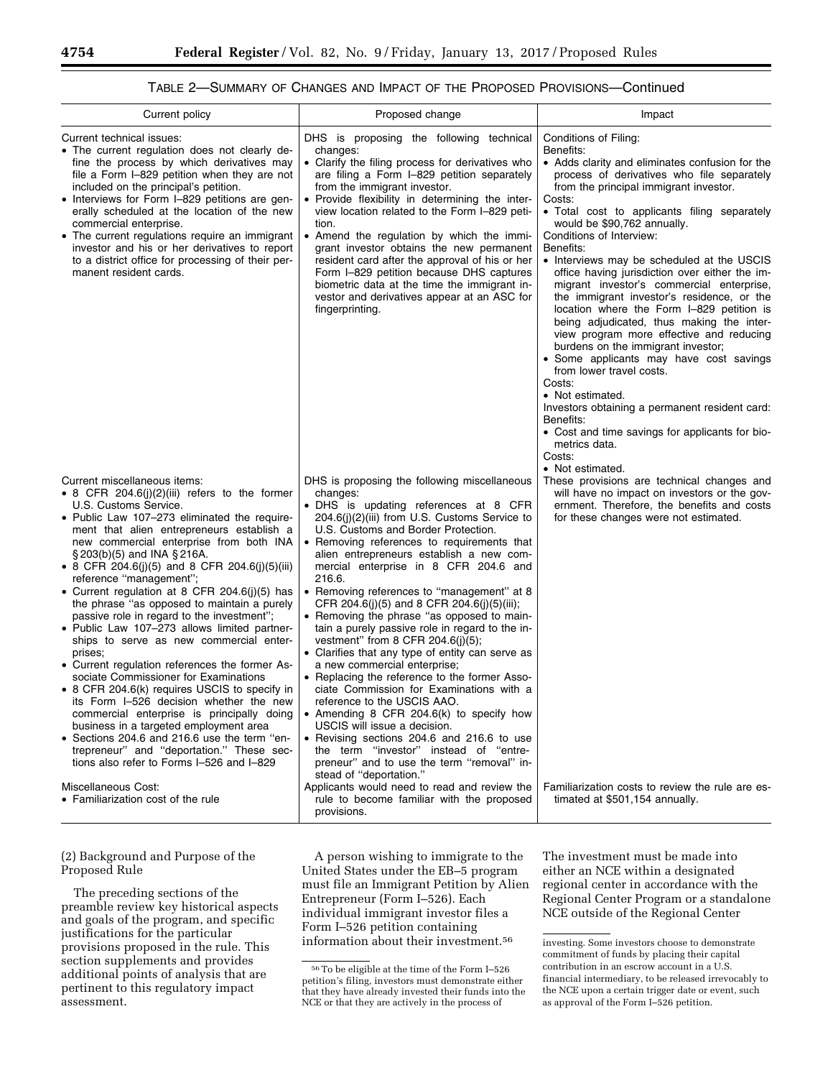## TABLE 2—SUMMARY OF CHANGES AND IMPACT OF THE PROPOSED PROVISIONS—Continued

| Current policy                                                                                                                                                                                                                                                                                                                                                                                                                                                                                                                                                                                                                                                                                                                                                                                                                                                                                                                                                                                                                                                        | Proposed change                                                                                                                                                                                                                                                                                                                                                                                                                                                                                                                                                                                                                                                                                                                                                                                                                                                                                                                                                                                                                                                                      | Impact                                                                                                                                                                                                                                                                                                                                                                                                                                                                                                                                                                                                                                                                                                                                                                                                                                                                                                                                   |
|-----------------------------------------------------------------------------------------------------------------------------------------------------------------------------------------------------------------------------------------------------------------------------------------------------------------------------------------------------------------------------------------------------------------------------------------------------------------------------------------------------------------------------------------------------------------------------------------------------------------------------------------------------------------------------------------------------------------------------------------------------------------------------------------------------------------------------------------------------------------------------------------------------------------------------------------------------------------------------------------------------------------------------------------------------------------------|--------------------------------------------------------------------------------------------------------------------------------------------------------------------------------------------------------------------------------------------------------------------------------------------------------------------------------------------------------------------------------------------------------------------------------------------------------------------------------------------------------------------------------------------------------------------------------------------------------------------------------------------------------------------------------------------------------------------------------------------------------------------------------------------------------------------------------------------------------------------------------------------------------------------------------------------------------------------------------------------------------------------------------------------------------------------------------------|------------------------------------------------------------------------------------------------------------------------------------------------------------------------------------------------------------------------------------------------------------------------------------------------------------------------------------------------------------------------------------------------------------------------------------------------------------------------------------------------------------------------------------------------------------------------------------------------------------------------------------------------------------------------------------------------------------------------------------------------------------------------------------------------------------------------------------------------------------------------------------------------------------------------------------------|
| Current technical issues:<br>• The current regulation does not clearly de-<br>fine the process by which derivatives may<br>file a Form I-829 petition when they are not<br>included on the principal's petition.<br>• Interviews for Form I-829 petitions are gen-<br>erally scheduled at the location of the new<br>commercial enterprise.<br>• The current regulations require an immigrant<br>investor and his or her derivatives to report<br>to a district office for processing of their per-<br>manent resident cards.                                                                                                                                                                                                                                                                                                                                                                                                                                                                                                                                         | DHS is proposing the following technical<br>changes:<br>• Clarify the filing process for derivatives who<br>are filing a Form I-829 petition separately<br>from the immigrant investor.<br>• Provide flexibility in determining the inter-<br>view location related to the Form I-829 peti-<br>tion.<br>• Amend the regulation by which the immi-<br>grant investor obtains the new permanent<br>resident card after the approval of his or her<br>Form I-829 petition because DHS captures<br>biometric data at the time the immigrant in-<br>vestor and derivatives appear at an ASC for<br>fingerprinting.                                                                                                                                                                                                                                                                                                                                                                                                                                                                        | Conditions of Filing:<br>Benefits:<br>• Adds clarity and eliminates confusion for the<br>process of derivatives who file separately<br>from the principal immigrant investor.<br>Costs:<br>• Total cost to applicants filing separately<br>would be \$90,762 annually.<br>Conditions of Interview:<br>Benefits:<br>• Interviews may be scheduled at the USCIS<br>office having jurisdiction over either the im-<br>migrant investor's commercial enterprise,<br>the immigrant investor's residence, or the<br>location where the Form I-829 petition is<br>being adjudicated, thus making the inter-<br>view program more effective and reducing<br>burdens on the immigrant investor;<br>• Some applicants may have cost savings<br>from lower travel costs.<br>Costs:<br>• Not estimated.<br>Investors obtaining a permanent resident card:<br>Benefits:<br>• Cost and time savings for applicants for bio-<br>metrics data.<br>Costs: |
| Current miscellaneous items:<br>• 8 CFR 204.6(j)(2)(iii) refers to the former<br>U.S. Customs Service.<br>• Public Law 107–273 eliminated the require-<br>ment that alien entrepreneurs establish a<br>new commercial enterprise from both INA<br>$\S 203(b)(5)$ and INA $\S 216A$ .<br>• 8 CFR 204.6(j)(5) and 8 CFR 204.6(j)(5)(iii)<br>reference "management";<br>• Current regulation at 8 CFR 204.6(j)(5) has<br>the phrase "as opposed to maintain a purely<br>passive role in regard to the investment";<br>• Public Law 107-273 allows limited partner-<br>ships to serve as new commercial enter-<br>prises;<br>• Current regulation references the former As-<br>sociate Commissioner for Examinations<br>• 8 CFR 204.6(k) requires USCIS to specify in<br>its Form I-526 decision whether the new<br>commercial enterprise is principally doing<br>business in a targeted employment area<br>• Sections 204.6 and 216.6 use the term "en-<br>trepreneur" and "deportation." These sec-<br>tions also refer to Forms I-526 and I-829<br>Miscellaneous Cost: | DHS is proposing the following miscellaneous<br>changes:<br>• DHS is updating references at 8 CFR<br>204.6(j)(2)(iii) from U.S. Customs Service to<br>U.S. Customs and Border Protection.<br>• Removing references to requirements that<br>alien entrepreneurs establish a new com-<br>mercial enterprise in 8 CFR 204.6 and<br>216.6.<br>• Removing references to "management" at 8<br>CFR 204.6(j)(5) and 8 CFR 204.6(j)(5)(iii);<br>• Removing the phrase "as opposed to main-<br>tain a purely passive role in regard to the in-<br>vestment" from 8 CFR 204.6(j)(5);<br>• Clarifies that any type of entity can serve as<br>a new commercial enterprise;<br>• Replacing the reference to the former Asso-<br>ciate Commission for Examinations with a<br>reference to the USCIS AAO.<br>Amending 8 CFR 204.6(k) to specify how<br>USCIS will issue a decision.<br>• Revising sections 204.6 and 216.6 to use<br>the term "investor" instead of "entre-<br>preneur" and to use the term "removal" in-<br>stead of "deportation."<br>Applicants would need to read and review the | • Not estimated.<br>These provisions are technical changes and<br>will have no impact on investors or the gov-<br>ernment. Therefore, the benefits and costs<br>for these changes were not estimated.<br>Familiarization costs to review the rule are es-                                                                                                                                                                                                                                                                                                                                                                                                                                                                                                                                                                                                                                                                                |
| • Familiarization cost of the rule                                                                                                                                                                                                                                                                                                                                                                                                                                                                                                                                                                                                                                                                                                                                                                                                                                                                                                                                                                                                                                    | rule to become familiar with the proposed<br>provisions.                                                                                                                                                                                                                                                                                                                                                                                                                                                                                                                                                                                                                                                                                                                                                                                                                                                                                                                                                                                                                             | timated at \$501,154 annually.                                                                                                                                                                                                                                                                                                                                                                                                                                                                                                                                                                                                                                                                                                                                                                                                                                                                                                           |

# (2) Background and Purpose of the Proposed Rule

The preceding sections of the preamble review key historical aspects and goals of the program, and specific justifications for the particular provisions proposed in the rule. This section supplements and provides additional points of analysis that are pertinent to this regulatory impact assessment.

A person wishing to immigrate to the United States under the EB–5 program must file an Immigrant Petition by Alien Entrepreneur (Form I–526). Each individual immigrant investor files a Form I–526 petition containing information about their investment.56

The investment must be made into either an NCE within a designated regional center in accordance with the Regional Center Program or a standalone NCE outside of the Regional Center

<sup>56</sup>To be eligible at the time of the Form I–526 petition's filing, investors must demonstrate either that they have already invested their funds into the NCE or that they are actively in the process of

investing. Some investors choose to demonstrate commitment of funds by placing their capital contribution in an escrow account in a U.S. financial intermediary, to be released irrevocably to the NCE upon a certain trigger date or event, such as approval of the Form I–526 petition.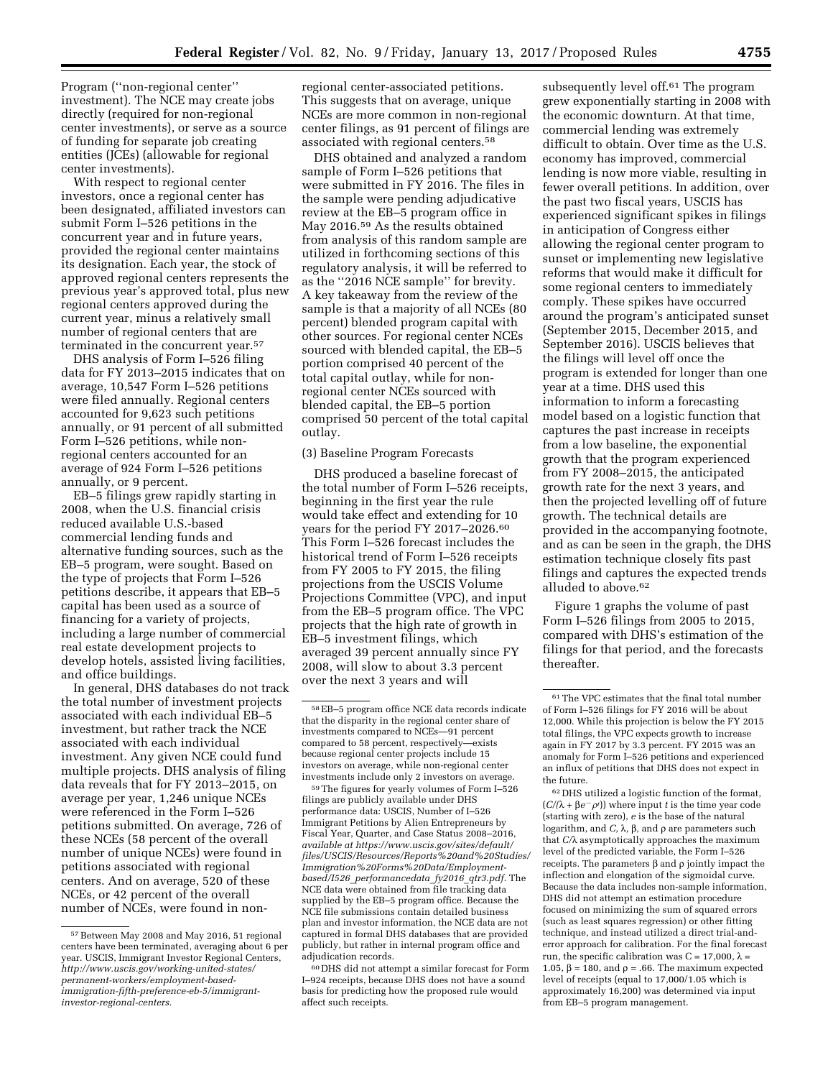Program (''non-regional center'' investment). The NCE may create jobs directly (required for non-regional center investments), or serve as a source of funding for separate job creating entities (JCEs) (allowable for regional center investments).

With respect to regional center investors, once a regional center has been designated, affiliated investors can submit Form I–526 petitions in the concurrent year and in future years, provided the regional center maintains its designation. Each year, the stock of approved regional centers represents the previous year's approved total, plus new regional centers approved during the current year, minus a relatively small number of regional centers that are terminated in the concurrent year.57

DHS analysis of Form I–526 filing data for FY 2013–2015 indicates that on average, 10,547 Form I–526 petitions were filed annually. Regional centers accounted for 9,623 such petitions annually, or 91 percent of all submitted Form I–526 petitions, while nonregional centers accounted for an average of 924 Form I–526 petitions annually, or 9 percent.

EB–5 filings grew rapidly starting in 2008, when the U.S. financial crisis reduced available U.S.-based commercial lending funds and alternative funding sources, such as the EB–5 program, were sought. Based on the type of projects that Form I–526 petitions describe, it appears that EB–5 capital has been used as a source of financing for a variety of projects, including a large number of commercial real estate development projects to develop hotels, assisted living facilities, and office buildings.

In general, DHS databases do not track the total number of investment projects associated with each individual EB–5 investment, but rather track the NCE associated with each individual investment. Any given NCE could fund multiple projects. DHS analysis of filing data reveals that for FY 2013–2015, on average per year, 1,246 unique NCEs were referenced in the Form I–526 petitions submitted. On average, 726 of these NCEs (58 percent of the overall number of unique NCEs) were found in petitions associated with regional centers. And on average, 520 of these NCEs, or 42 percent of the overall number of NCEs, were found in nonregional center-associated petitions. This suggests that on average, unique NCEs are more common in non-regional center filings, as 91 percent of filings are associated with regional centers.58

DHS obtained and analyzed a random sample of Form I–526 petitions that were submitted in FY 2016. The files in the sample were pending adjudicative review at the EB–5 program office in May 2016.59 As the results obtained from analysis of this random sample are utilized in forthcoming sections of this regulatory analysis, it will be referred to as the ''2016 NCE sample'' for brevity. A key takeaway from the review of the sample is that a majority of all NCEs (80 percent) blended program capital with other sources. For regional center NCEs sourced with blended capital, the EB–5 portion comprised 40 percent of the total capital outlay, while for nonregional center NCEs sourced with blended capital, the EB–5 portion comprised 50 percent of the total capital outlay.

# (3) Baseline Program Forecasts

DHS produced a baseline forecast of the total number of Form I–526 receipts, beginning in the first year the rule would take effect and extending for 10 years for the period FY 2017-2026.<sup>60</sup> This Form I–526 forecast includes the historical trend of Form I–526 receipts from FY 2005 to FY 2015, the filing projections from the USCIS Volume Projections Committee (VPC), and input from the EB–5 program office. The VPC projects that the high rate of growth in EB–5 investment filings, which averaged 39 percent annually since FY 2008, will slow to about 3.3 percent over the next 3 years and will

59The figures for yearly volumes of Form I–526 filings are publicly available under DHS performance data: USCIS, Number of I–526 Immigrant Petitions by Alien Entrepreneurs by Fiscal Year, Quarter, and Case Status 2008–2016, *available at [https://www.uscis.gov/sites/default/](https://www.uscis.gov/sites/default/files/USCIS/Resources/Reports%20and%20Studies/Immigration%20Forms%20Data/Employment-based/I526_performancedata_fy2016_qtr3.pdf) [files/USCIS/Resources/Reports%20and%20Studies/](https://www.uscis.gov/sites/default/files/USCIS/Resources/Reports%20and%20Studies/Immigration%20Forms%20Data/Employment-based/I526_performancedata_fy2016_qtr3.pdf) [Immigration%20Forms%20Data/Employment](https://www.uscis.gov/sites/default/files/USCIS/Resources/Reports%20and%20Studies/Immigration%20Forms%20Data/Employment-based/I526_performancedata_fy2016_qtr3.pdf)based/I526*\_*[performancedata](https://www.uscis.gov/sites/default/files/USCIS/Resources/Reports%20and%20Studies/Immigration%20Forms%20Data/Employment-based/I526_performancedata_fy2016_qtr3.pdf)*\_*fy2016*\_*qtr3.pdf.* The NCE data were obtained from file tracking data supplied by the EB–5 program office. Because the NCE file submissions contain detailed business plan and investor information, the NCE data are not captured in formal DHS databases that are provided publicly, but rather in internal program office and adjudication records.

subsequently level off.61 The program grew exponentially starting in 2008 with the economic downturn. At that time, commercial lending was extremely difficult to obtain. Over time as the U.S. economy has improved, commercial lending is now more viable, resulting in fewer overall petitions. In addition, over the past two fiscal years, USCIS has experienced significant spikes in filings in anticipation of Congress either allowing the regional center program to sunset or implementing new legislative reforms that would make it difficult for some regional centers to immediately comply. These spikes have occurred around the program's anticipated sunset (September 2015, December 2015, and September 2016). USCIS believes that the filings will level off once the program is extended for longer than one year at a time. DHS used this information to inform a forecasting model based on a logistic function that captures the past increase in receipts from a low baseline, the exponential growth that the program experienced from FY 2008–2015, the anticipated growth rate for the next 3 years, and then the projected levelling off of future growth. The technical details are provided in the accompanying footnote, and as can be seen in the graph, the DHS estimation technique closely fits past filings and captures the expected trends alluded to above.62

Figure 1 graphs the volume of past Form I–526 filings from 2005 to 2015, compared with DHS's estimation of the filings for that period, and the forecasts thereafter.

62 DHS utilized a logistic function of the format,  $(C/(\lambda + \beta e^{-\rho t}))$  where input *t* is the time year code (starting with zero), *e* is the base of the natural logarithm, and *C*, λ, β, and ρ are parameters such that  $C/\lambda$  asymptotically approaches the maximum level of the predicted variable, the Form I–526 receipts. The parameters  $\beta$  and  $\rho$  jointly impact the inflection and elongation of the sigmoidal curve. Because the data includes non-sample information, DHS did not attempt an estimation procedure focused on minimizing the sum of squared errors (such as least squares regression) or other fitting technique, and instead utilized a direct trial-anderror approach for calibration. For the final forecast run, the specific calibration was  $C = 17,000$ ,  $\lambda =$ 1.05,  $\beta$  = 180, and  $\rho$  = .66. The maximum expected level of receipts (equal to 17,000/1.05 which is approximately 16,200) was determined via input from EB–5 program management.

<sup>57</sup>Between May 2008 and May 2016, 51 regional centers have been terminated, averaging about 6 per year. USCIS, Immigrant Investor Regional Centers, *http://www.uscis.gov/working-united-states/ permanent-workers/employment-based[immigration-fifth-preference-eb-5/immigrant](http://www.uscis.gov/working-united-states/permanent-workers/employment-based-immigration-fifth-preference-eb-5/immigrant-investor-regional-centers)[investor-regional-centers.](http://www.uscis.gov/working-united-states/permanent-workers/employment-based-immigration-fifth-preference-eb-5/immigrant-investor-regional-centers)* 

<sup>58</sup>EB–5 program office NCE data records indicate that the disparity in the regional center share of investments compared to NCEs—91 percent compared to 58 percent, respectively—exists because regional center projects include 15 investors on average, while non-regional center investments include only 2 investors on average.

<sup>60</sup> DHS did not attempt a similar forecast for Form I–924 receipts, because DHS does not have a sound basis for predicting how the proposed rule would affect such receipts.

<sup>61</sup>The VPC estimates that the final total number of Form I–526 filings for FY 2016 will be about 12,000. While this projection is below the FY 2015 total filings, the VPC expects growth to increase again in FY 2017 by 3.3 percent. FY 2015 was an anomaly for Form I–526 petitions and experienced an influx of petitions that DHS does not expect in the future.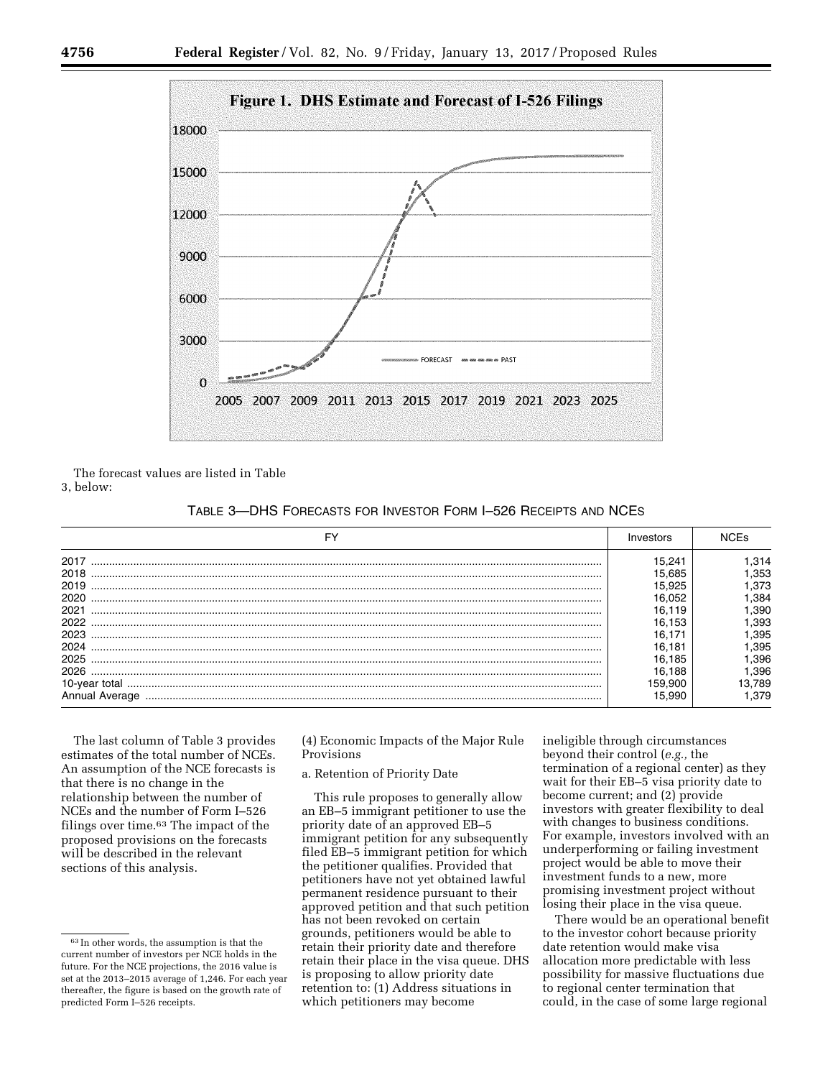

The forecast values are listed in Table

3, below:

| TABLE 3-DHS FORECASTS FOR INVESTOR FORM I-526 RECEIPTS AND NCES |  |  |  |  |
|-----------------------------------------------------------------|--|--|--|--|
|-----------------------------------------------------------------|--|--|--|--|

| FY   | Investors |      |
|------|-----------|------|
| 2017 | 15.241    | .314 |
| 2018 | 15.685    | .353 |
| 2019 | 15.925    | .373 |
| 2020 | 6.052     | .384 |
| 2021 | 16.119    | .390 |
| 2022 | 16.153    | .393 |
| 2023 | 16 171    | .395 |
| 2024 | 16.181    | .395 |
| 2025 | 16.185    | .396 |
| 2026 | 16.188    | .396 |
|      | 159.900   | .789 |
|      | 5.990     | .379 |

The last column of Table 3 provides estimates of the total number of NCEs. An assumption of the NCE forecasts is that there is no change in the relationship between the number of NCEs and the number of Form I–526 filings over time.63 The impact of the proposed provisions on the forecasts will be described in the relevant sections of this analysis.

(4) Economic Impacts of the Major Rule Provisions

## a. Retention of Priority Date

This rule proposes to generally allow an EB–5 immigrant petitioner to use the priority date of an approved EB–5 immigrant petition for any subsequently filed EB–5 immigrant petition for which the petitioner qualifies. Provided that petitioners have not yet obtained lawful permanent residence pursuant to their approved petition and that such petition has not been revoked on certain grounds, petitioners would be able to retain their priority date and therefore retain their place in the visa queue. DHS is proposing to allow priority date retention to: (1) Address situations in which petitioners may become

ineligible through circumstances beyond their control (*e.g.,* the termination of a regional center) as they wait for their EB–5 visa priority date to become current; and (2) provide investors with greater flexibility to deal with changes to business conditions. For example, investors involved with an underperforming or failing investment project would be able to move their investment funds to a new, more promising investment project without losing their place in the visa queue.

There would be an operational benefit to the investor cohort because priority date retention would make visa allocation more predictable with less possibility for massive fluctuations due to regional center termination that could, in the case of some large regional

<sup>63</sup> In other words, the assumption is that the current number of investors per NCE holds in the future. For the NCE projections, the 2016 value is set at the 2013–2015 average of 1,246. For each year thereafter, the figure is based on the growth rate of predicted Form I–526 receipts.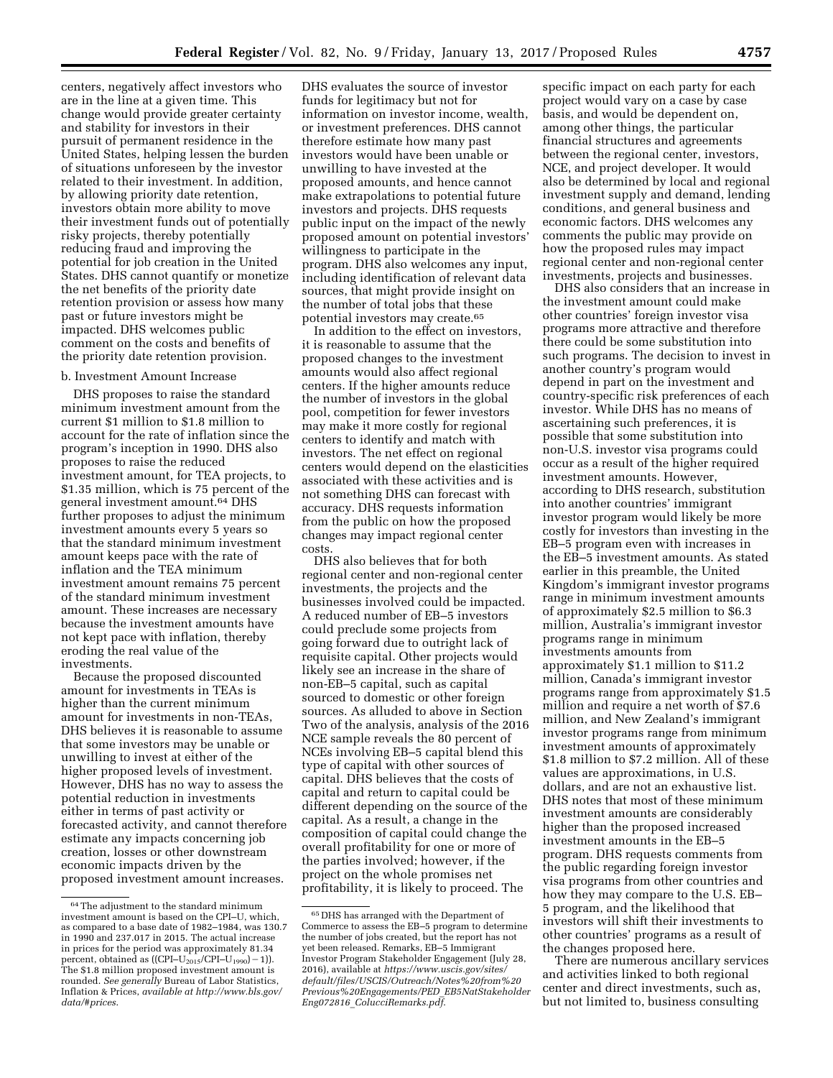centers, negatively affect investors who are in the line at a given time. This change would provide greater certainty and stability for investors in their pursuit of permanent residence in the United States, helping lessen the burden of situations unforeseen by the investor related to their investment. In addition, by allowing priority date retention, investors obtain more ability to move their investment funds out of potentially risky projects, thereby potentially reducing fraud and improving the potential for job creation in the United States. DHS cannot quantify or monetize the net benefits of the priority date retention provision or assess how many past or future investors might be impacted. DHS welcomes public comment on the costs and benefits of the priority date retention provision.

#### b. Investment Amount Increase

DHS proposes to raise the standard minimum investment amount from the current \$1 million to \$1.8 million to account for the rate of inflation since the program's inception in 1990. DHS also proposes to raise the reduced investment amount, for TEA projects, to \$1.35 million, which is 75 percent of the general investment amount.64 DHS further proposes to adjust the minimum investment amounts every 5 years so that the standard minimum investment amount keeps pace with the rate of inflation and the TEA minimum investment amount remains 75 percent of the standard minimum investment amount. These increases are necessary because the investment amounts have not kept pace with inflation, thereby eroding the real value of the investments.

Because the proposed discounted amount for investments in TEAs is higher than the current minimum amount for investments in non-TEAs, DHS believes it is reasonable to assume that some investors may be unable or unwilling to invest at either of the higher proposed levels of investment. However, DHS has no way to assess the potential reduction in investments either in terms of past activity or forecasted activity, and cannot therefore estimate any impacts concerning job creation, losses or other downstream economic impacts driven by the proposed investment amount increases.

DHS evaluates the source of investor funds for legitimacy but not for information on investor income, wealth, or investment preferences. DHS cannot therefore estimate how many past investors would have been unable or unwilling to have invested at the proposed amounts, and hence cannot make extrapolations to potential future investors and projects. DHS requests public input on the impact of the newly proposed amount on potential investors' willingness to participate in the program. DHS also welcomes any input, including identification of relevant data sources, that might provide insight on the number of total jobs that these potential investors may create.65

In addition to the effect on investors, it is reasonable to assume that the proposed changes to the investment amounts would also affect regional centers. If the higher amounts reduce the number of investors in the global pool, competition for fewer investors may make it more costly for regional centers to identify and match with investors. The net effect on regional centers would depend on the elasticities associated with these activities and is not something DHS can forecast with accuracy. DHS requests information from the public on how the proposed changes may impact regional center costs.

DHS also believes that for both regional center and non-regional center investments, the projects and the businesses involved could be impacted. A reduced number of EB–5 investors could preclude some projects from going forward due to outright lack of requisite capital. Other projects would likely see an increase in the share of non-EB–5 capital, such as capital sourced to domestic or other foreign sources. As alluded to above in Section Two of the analysis, analysis of the 2016 NCE sample reveals the 80 percent of NCEs involving EB–5 capital blend this type of capital with other sources of capital. DHS believes that the costs of capital and return to capital could be different depending on the source of the capital. As a result, a change in the composition of capital could change the overall profitability for one or more of the parties involved; however, if the project on the whole promises net profitability, it is likely to proceed. The

specific impact on each party for each project would vary on a case by case basis, and would be dependent on, among other things, the particular financial structures and agreements between the regional center, investors, NCE, and project developer. It would also be determined by local and regional investment supply and demand, lending conditions, and general business and economic factors. DHS welcomes any comments the public may provide on how the proposed rules may impact regional center and non-regional center investments, projects and businesses.

DHS also considers that an increase in the investment amount could make other countries' foreign investor visa programs more attractive and therefore there could be some substitution into such programs. The decision to invest in another country's program would depend in part on the investment and country-specific risk preferences of each investor. While DHS has no means of ascertaining such preferences, it is possible that some substitution into non-U.S. investor visa programs could occur as a result of the higher required investment amounts. However, according to DHS research, substitution into another countries' immigrant investor program would likely be more costly for investors than investing in the EB–5 program even with increases in the EB–5 investment amounts. As stated earlier in this preamble, the United Kingdom's immigrant investor programs range in minimum investment amounts of approximately \$2.5 million to \$6.3 million, Australia's immigrant investor programs range in minimum investments amounts from approximately \$1.1 million to \$11.2 million, Canada's immigrant investor programs range from approximately \$1.5 million and require a net worth of \$7.6 million, and New Zealand's immigrant investor programs range from minimum investment amounts of approximately \$1.8 million to \$7.2 million. All of these values are approximations, in U.S. dollars, and are not an exhaustive list. DHS notes that most of these minimum investment amounts are considerably higher than the proposed increased investment amounts in the EB–5 program. DHS requests comments from the public regarding foreign investor visa programs from other countries and how they may compare to the U.S. EB– 5 program, and the likelihood that investors will shift their investments to other countries' programs as a result of the changes proposed here.

There are numerous ancillary services and activities linked to both regional center and direct investments, such as, but not limited to, business consulting

<sup>64</sup>The adjustment to the standard minimum investment amount is based on the CPI–U, which, as compared to a base date of 1982–1984, was 130.7 in 1990 and 237.017 in 2015. The actual increase in prices for the period was approximately 81.34 percent, obtained as  $((\text{CPI}-\text{U}_{2015}/\text{CPI}-\text{U}_{1990})$  - 1)). The \$1.8 million proposed investment amount is rounded. *See generally* Bureau of Labor Statistics, Inflation & Prices, *available at [http://www.bls.gov/](http://www.bls.gov/data/#prices) [data/#prices](http://www.bls.gov/data/#prices)*.

<sup>65</sup> DHS has arranged with the Department of Commerce to assess the EB–5 program to determine the number of jobs created, but the report has not yet been released. Remarks, EB–5 Immigrant Investor Program Stakeholder Engagement (July 28, 2016), available at *[https://www.uscis.gov/sites/](https://www.uscis.gov/sites/default/files/USCIS/Outreach/Notes%20from%20Previous%20Engagements/PED_EB5NatStakeholderEng072816_ColucciRemarks.pdf)  [default/files/USCIS/Outreach/Notes%20from%20](https://www.uscis.gov/sites/default/files/USCIS/Outreach/Notes%20from%20Previous%20Engagements/PED_EB5NatStakeholderEng072816_ColucciRemarks.pdf) [Previous%20Engagements/PED](https://www.uscis.gov/sites/default/files/USCIS/Outreach/Notes%20from%20Previous%20Engagements/PED_EB5NatStakeholderEng072816_ColucciRemarks.pdf)*\_*EB5NatStakeholder Eng072816*\_*[ColucciRemarks.pdf](https://www.uscis.gov/sites/default/files/USCIS/Outreach/Notes%20from%20Previous%20Engagements/PED_EB5NatStakeholderEng072816_ColucciRemarks.pdf)*.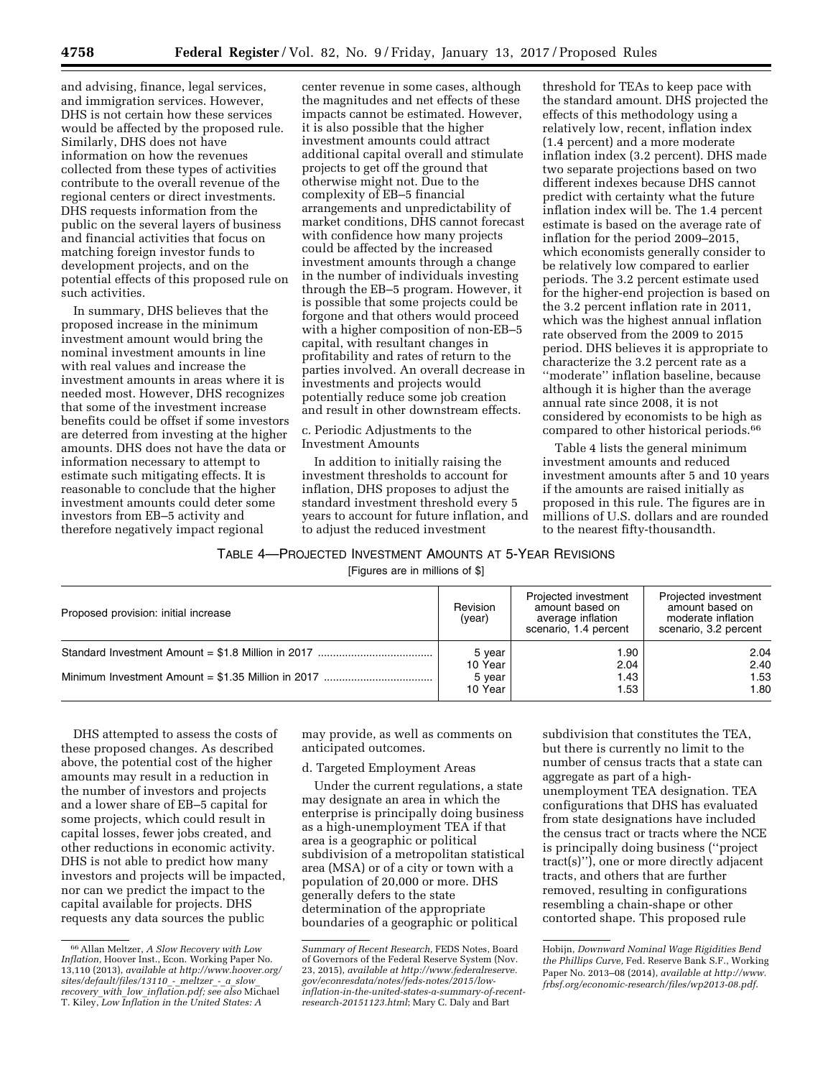and advising, finance, legal services, and immigration services. However, DHS is not certain how these services would be affected by the proposed rule. Similarly, DHS does not have information on how the revenues collected from these types of activities contribute to the overall revenue of the regional centers or direct investments. DHS requests information from the public on the several layers of business and financial activities that focus on matching foreign investor funds to development projects, and on the potential effects of this proposed rule on such activities.

In summary, DHS believes that the proposed increase in the minimum investment amount would bring the nominal investment amounts in line with real values and increase the investment amounts in areas where it is needed most. However, DHS recognizes that some of the investment increase benefits could be offset if some investors are deterred from investing at the higher amounts. DHS does not have the data or information necessary to attempt to estimate such mitigating effects. It is reasonable to conclude that the higher investment amounts could deter some investors from EB–5 activity and therefore negatively impact regional

center revenue in some cases, although the magnitudes and net effects of these impacts cannot be estimated. However, it is also possible that the higher investment amounts could attract additional capital overall and stimulate projects to get off the ground that otherwise might not. Due to the complexity of EB–5 financial arrangements and unpredictability of market conditions, DHS cannot forecast with confidence how many projects could be affected by the increased investment amounts through a change in the number of individuals investing through the EB–5 program. However, it is possible that some projects could be forgone and that others would proceed with a higher composition of non-EB–5 capital, with resultant changes in profitability and rates of return to the parties involved. An overall decrease in investments and projects would potentially reduce some job creation and result in other downstream effects.

c. Periodic Adjustments to the Investment Amounts

In addition to initially raising the investment thresholds to account for inflation, DHS proposes to adjust the standard investment threshold every 5 years to account for future inflation, and to adjust the reduced investment

threshold for TEAs to keep pace with the standard amount. DHS projected the effects of this methodology using a relatively low, recent, inflation index (1.4 percent) and a more moderate inflation index (3.2 percent). DHS made two separate projections based on two different indexes because DHS cannot predict with certainty what the future inflation index will be. The 1.4 percent estimate is based on the average rate of inflation for the period 2009–2015, which economists generally consider to be relatively low compared to earlier periods. The 3.2 percent estimate used for the higher-end projection is based on the 3.2 percent inflation rate in 2011, which was the highest annual inflation rate observed from the 2009 to 2015 period. DHS believes it is appropriate to characterize the 3.2 percent rate as a ''moderate'' inflation baseline, because although it is higher than the average annual rate since 2008, it is not considered by economists to be high as compared to other historical periods.66

Table 4 lists the general minimum investment amounts and reduced investment amounts after 5 and 10 years if the amounts are raised initially as proposed in this rule. The figures are in millions of U.S. dollars and are rounded to the nearest fifty-thousandth.

## TABLE 4—PROJECTED INVESTMENT AMOUNTS AT 5-YEAR REVISIONS

[Figures are in millions of \$]

| Revision<br>Proposed provision: initial increase |         | Projected investment<br>amount based on<br>average inflation<br>scenario, 1.4 percent | Projected investment<br>amount based on<br>moderate inflation<br>scenario, 3.2 percent |  |
|--------------------------------------------------|---------|---------------------------------------------------------------------------------------|----------------------------------------------------------------------------------------|--|
|                                                  | 5 year  | 90.ا                                                                                  | 2.04                                                                                   |  |
|                                                  | 10 Year | 2.04                                                                                  | 2.40                                                                                   |  |
|                                                  | 5 year  | 1.43                                                                                  | 1.53                                                                                   |  |
|                                                  | 10 Year | 1.53                                                                                  | 1.80                                                                                   |  |

DHS attempted to assess the costs of these proposed changes. As described above, the potential cost of the higher amounts may result in a reduction in the number of investors and projects and a lower share of EB–5 capital for some projects, which could result in capital losses, fewer jobs created, and other reductions in economic activity. DHS is not able to predict how many investors and projects will be impacted, nor can we predict the impact to the capital available for projects. DHS requests any data sources the public

may provide, as well as comments on anticipated outcomes.

## d. Targeted Employment Areas

Under the current regulations, a state may designate an area in which the enterprise is principally doing business as a high-unemployment TEA if that area is a geographic or political subdivision of a metropolitan statistical area (MSA) or of a city or town with a population of 20,000 or more. DHS generally defers to the state determination of the appropriate boundaries of a geographic or political

subdivision that constitutes the TEA, but there is currently no limit to the number of census tracts that a state can aggregate as part of a highunemployment TEA designation. TEA configurations that DHS has evaluated from state designations have included the census tract or tracts where the NCE is principally doing business (''project tract(s)''), one or more directly adjacent tracts, and others that are further removed, resulting in configurations resembling a chain-shape or other contorted shape. This proposed rule

<sup>66</sup>Allan Meltzer, *A Slow Recovery with Low Inflation,* Hoover Inst., Econ. Working Paper No. 13,110 (2013), *available at [http://www.hoover.org/](http://www.hoover.org/sites/default/files/13110_-_meltzer_-_a_slow_recovery_with_low_inflation.pdf) [sites/default/files/13110](http://www.hoover.org/sites/default/files/13110_-_meltzer_-_a_slow_recovery_with_low_inflation.pdf)*\_*-*\_*meltzer*\_*-*\_*a*\_*slow*\_ *recovery*\_*with*\_*low*\_*[inflation.pdf;](http://www.hoover.org/sites/default/files/13110_-_meltzer_-_a_slow_recovery_with_low_inflation.pdf) see also* Michael T. Kiley, *Low Inflation in the United States: A* 

*Summary of Recent Research,* FEDS Notes, Board of Governors of the Federal Reserve System (Nov. 23, 2015), *available at [http://www.federalreserve.](http://www.federalreserve.gov/econresdata/notes/feds-notes/2015/low-inflation-in-the-united-states-a-summary-of-recent-research-20151123.html) [gov/econresdata/notes/feds-notes/2015/low](http://www.federalreserve.gov/econresdata/notes/feds-notes/2015/low-inflation-in-the-united-states-a-summary-of-recent-research-20151123.html)[inflation-in-the-united-states-a-summary-of-recent](http://www.federalreserve.gov/econresdata/notes/feds-notes/2015/low-inflation-in-the-united-states-a-summary-of-recent-research-20151123.html)[research-20151123.html](http://www.federalreserve.gov/econresdata/notes/feds-notes/2015/low-inflation-in-the-united-states-a-summary-of-recent-research-20151123.html)*; Mary C. Daly and Bart

Hobijn, *Downward Nominal Wage Rigidities Bend the Phillips Curve,* Fed. Reserve Bank S.F., Working Paper No. 2013–08 (2014), *available at [http://www.](http://www.frbsf.org/economic-research/files/wp2013-08.pdf) [frbsf.org/economic-research/files/wp2013-08.pdf](http://www.frbsf.org/economic-research/files/wp2013-08.pdf)*.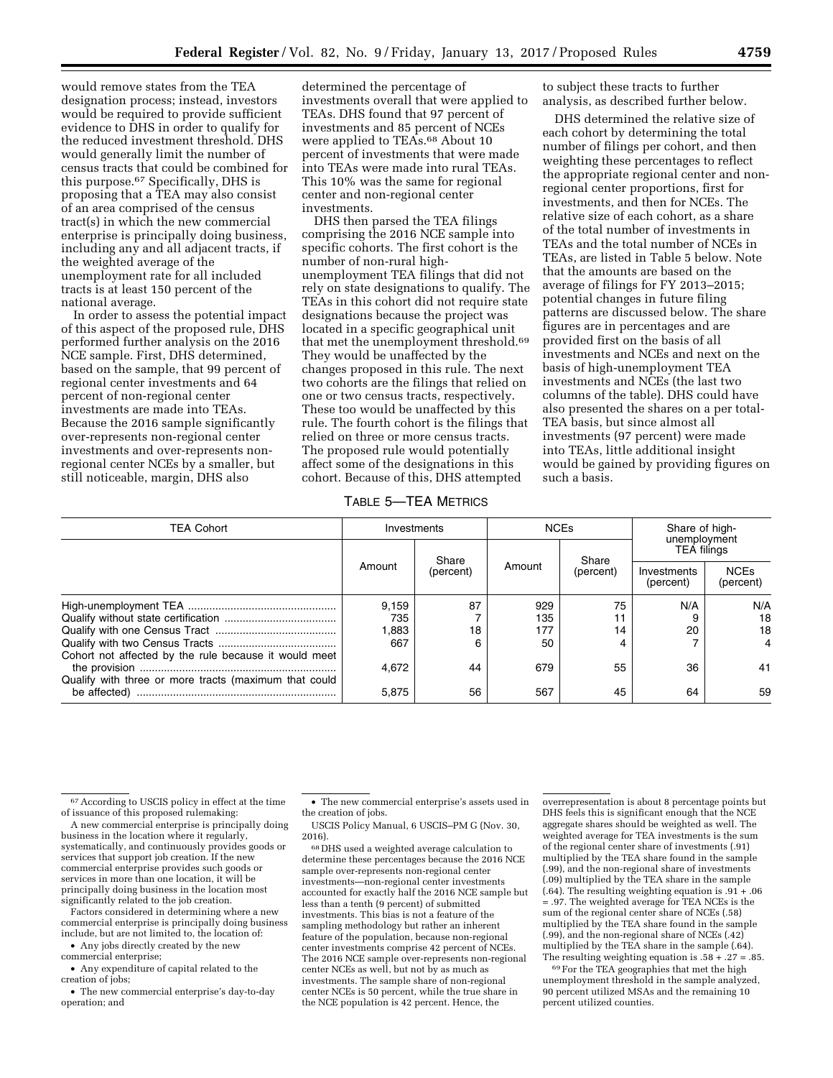would remove states from the TEA designation process; instead, investors would be required to provide sufficient evidence to DHS in order to qualify for the reduced investment threshold. DHS would generally limit the number of census tracts that could be combined for this purpose.67 Specifically, DHS is proposing that a TEA may also consist of an area comprised of the census tract(s) in which the new commercial enterprise is principally doing business, including any and all adjacent tracts, if the weighted average of the unemployment rate for all included tracts is at least 150 percent of the national average.

In order to assess the potential impact of this aspect of the proposed rule, DHS performed further analysis on the 2016 NCE sample. First, DHS determined, based on the sample, that 99 percent of regional center investments and 64 percent of non-regional center investments are made into TEAs. Because the 2016 sample significantly over-represents non-regional center investments and over-represents nonregional center NCEs by a smaller, but still noticeable, margin, DHS also

determined the percentage of investments overall that were applied to TEAs. DHS found that 97 percent of investments and 85 percent of NCEs were applied to TEAs.<sup>68</sup> About 10 percent of investments that were made into TEAs were made into rural TEAs. This 10% was the same for regional center and non-regional center investments.

DHS then parsed the TEA filings comprising the 2016 NCE sample into specific cohorts. The first cohort is the number of non-rural highunemployment TEA filings that did not rely on state designations to qualify. The TEAs in this cohort did not require state designations because the project was located in a specific geographical unit that met the unemployment threshold.69 They would be unaffected by the changes proposed in this rule. The next two cohorts are the filings that relied on one or two census tracts, respectively. These too would be unaffected by this rule. The fourth cohort is the filings that relied on three or more census tracts. The proposed rule would potentially affect some of the designations in this cohort. Because of this, DHS attempted

to subject these tracts to further analysis, as described further below.

DHS determined the relative size of each cohort by determining the total number of filings per cohort, and then weighting these percentages to reflect the appropriate regional center and nonregional center proportions, first for investments, and then for NCEs. The relative size of each cohort, as a share of the total number of investments in TEAs and the total number of NCEs in TEAs, are listed in Table 5 below. Note that the amounts are based on the average of filings for FY 2013–2015; potential changes in future filing patterns are discussed below. The share figures are in percentages and are provided first on the basis of all investments and NCEs and next on the basis of high-unemployment TEA investments and NCEs (the last two columns of the table). DHS could have also presented the shares on a per total-TEA basis, but since almost all investments (97 percent) were made into TEAs, little additional insight would be gained by providing figures on such a basis.

TABLE 5—TEA METRICS

| <b>TEA Cohort</b>                                     | Investments |                    | <b>NCEs</b> |                    | Share of high-<br>unemployment |                          |
|-------------------------------------------------------|-------------|--------------------|-------------|--------------------|--------------------------------|--------------------------|
|                                                       | Amount      | Share<br>(percent) | Amount      | Share<br>(percent) | <b>TEA filings</b>             |                          |
|                                                       |             |                    |             |                    | Investments<br>(percent)       | <b>NCEs</b><br>(percent) |
|                                                       | 9,159       | 87                 | 929         | 75                 | N/A                            | N/A                      |
|                                                       | 735         |                    | 135         |                    |                                | 18                       |
|                                                       | .883        | 18                 | 177         | 14                 | 20                             | 18                       |
|                                                       | 667         | 6                  | 50          | 4                  |                                |                          |
| Cohort not affected by the rule because it would meet | 4.672       | 44                 | 679         | 55                 | 36                             | 41                       |
| Qualify with three or more tracts (maximum that could | 5,875       | 56                 | 567         | 45                 | 64                             | 59                       |

67According to USCIS policy in effect at the time of issuance of this proposed rulemaking:

A new commercial enterprise is principally doing business in the location where it regularly, systematically, and continuously provides goods or services that support job creation. If the new commercial enterprise provides such goods or services in more than one location, it will be principally doing business in the location most significantly related to the job creation.

Factors considered in determining where a new commercial enterprise is principally doing business include, but are not limited to, the location of:

• Any jobs directly created by the new commercial enterprise;

• Any expenditure of capital related to the creation of jobs;

• The new commercial enterprise's day-to-day operation; and

• The new commercial enterprise's assets used in the creation of jobs.

USCIS Policy Manual, 6 USCIS–PM G (Nov. 30, 2016).

68 DHS used a weighted average calculation to determine these percentages because the 2016 NCE sample over-represents non-regional center investments—non-regional center investments accounted for exactly half the 2016 NCE sample but less than a tenth (9 percent) of submitted investments. This bias is not a feature of the sampling methodology but rather an inherent feature of the population, because non-regional center investments comprise 42 percent of NCEs. The 2016 NCE sample over-represents non-regional center NCEs as well, but not by as much as investments. The sample share of non-regional center NCEs is 50 percent, while the true share in the NCE population is 42 percent. Hence, the

overrepresentation is about 8 percentage points but DHS feels this is significant enough that the NCE aggregate shares should be weighted as well. The weighted average for TEA investments is the sum of the regional center share of investments (.91) multiplied by the TEA share found in the sample (.99), and the non-regional share of investments (.09) multiplied by the TEA share in the sample (.64). The resulting weighting equation is .91 + .06 = .97. The weighted average for TEA NCEs is the sum of the regional center share of NCEs (.58) multiplied by the TEA share found in the sample (.99), and the non-regional share of NCEs (.42) multiplied by the TEA share in the sample (.64). The resulting weighting equation is  $.58 + .27 = .85$ .

69For the TEA geographies that met the high unemployment threshold in the sample analyzed, 90 percent utilized MSAs and the remaining 10 percent utilized counties.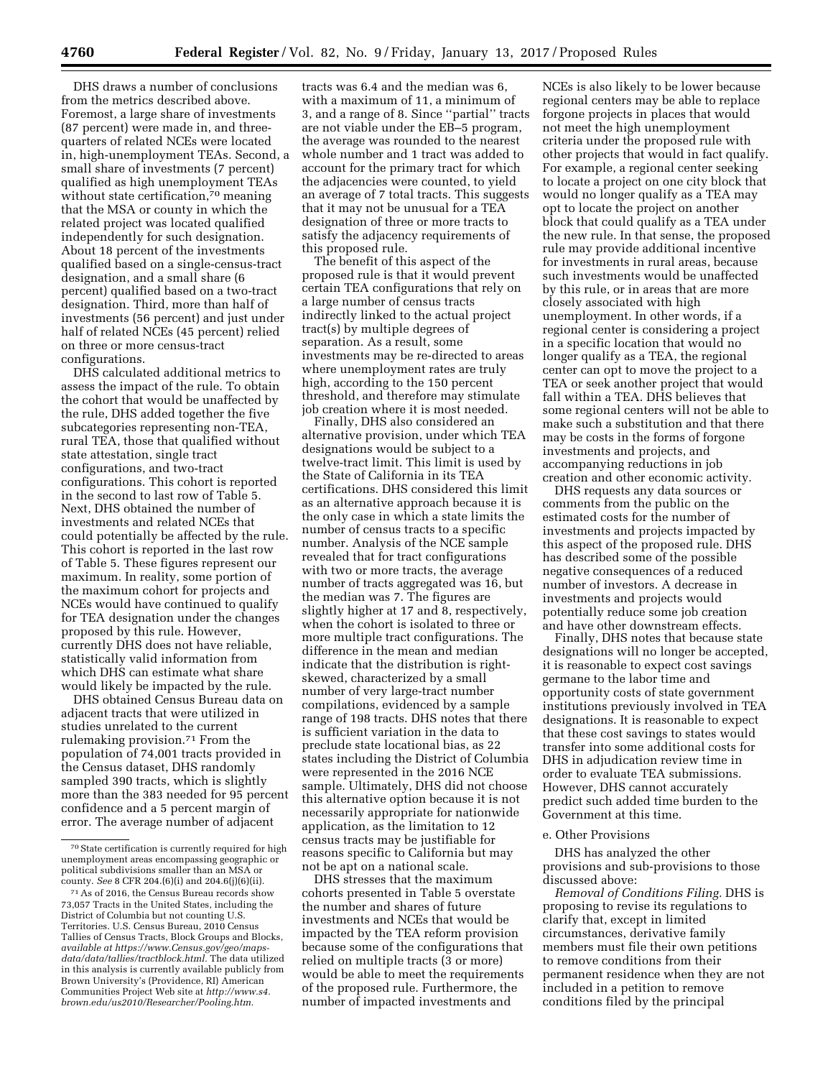DHS draws a number of conclusions from the metrics described above. Foremost, a large share of investments (87 percent) were made in, and threequarters of related NCEs were located in, high-unemployment TEAs. Second, a small share of investments (7 percent) qualified as high unemployment TEAs without state certification,<sup>70</sup> meaning that the MSA or county in which the related project was located qualified independently for such designation. About 18 percent of the investments qualified based on a single-census-tract designation, and a small share (6 percent) qualified based on a two-tract designation. Third, more than half of investments (56 percent) and just under half of related NCEs (45 percent) relied on three or more census-tract configurations.

DHS calculated additional metrics to assess the impact of the rule. To obtain the cohort that would be unaffected by the rule, DHS added together the five subcategories representing non-TEA, rural TEA, those that qualified without state attestation, single tract configurations, and two-tract configurations. This cohort is reported in the second to last row of Table 5. Next, DHS obtained the number of investments and related NCEs that could potentially be affected by the rule. This cohort is reported in the last row of Table 5. These figures represent our maximum. In reality, some portion of the maximum cohort for projects and NCEs would have continued to qualify for TEA designation under the changes proposed by this rule. However, currently DHS does not have reliable, statistically valid information from which DHS can estimate what share would likely be impacted by the rule.

DHS obtained Census Bureau data on adjacent tracts that were utilized in studies unrelated to the current rulemaking provision.71 From the population of 74,001 tracts provided in the Census dataset, DHS randomly sampled 390 tracts, which is slightly more than the 383 needed for 95 percent confidence and a 5 percent margin of error. The average number of adjacent

tracts was 6.4 and the median was 6, with a maximum of 11, a minimum of 3, and a range of 8. Since ''partial'' tracts are not viable under the EB–5 program, the average was rounded to the nearest whole number and 1 tract was added to account for the primary tract for which the adjacencies were counted, to yield an average of 7 total tracts. This suggests that it may not be unusual for a TEA designation of three or more tracts to satisfy the adjacency requirements of this proposed rule.

The benefit of this aspect of the proposed rule is that it would prevent certain TEA configurations that rely on a large number of census tracts indirectly linked to the actual project tract(s) by multiple degrees of separation. As a result, some investments may be re-directed to areas where unemployment rates are truly high, according to the 150 percent threshold, and therefore may stimulate job creation where it is most needed.

Finally, DHS also considered an alternative provision, under which TEA designations would be subject to a twelve-tract limit. This limit is used by the State of California in its TEA certifications. DHS considered this limit as an alternative approach because it is the only case in which a state limits the number of census tracts to a specific number. Analysis of the NCE sample revealed that for tract configurations with two or more tracts, the average number of tracts aggregated was 16, but the median was 7. The figures are slightly higher at 17 and 8, respectively, when the cohort is isolated to three or more multiple tract configurations. The difference in the mean and median indicate that the distribution is rightskewed, characterized by a small number of very large-tract number compilations, evidenced by a sample range of 198 tracts. DHS notes that there is sufficient variation in the data to preclude state locational bias, as 22 states including the District of Columbia were represented in the 2016 NCE sample. Ultimately, DHS did not choose this alternative option because it is not necessarily appropriate for nationwide application, as the limitation to 12 census tracts may be justifiable for reasons specific to California but may not be apt on a national scale.

DHS stresses that the maximum cohorts presented in Table 5 overstate the number and shares of future investments and NCEs that would be impacted by the TEA reform provision because some of the configurations that relied on multiple tracts (3 or more) would be able to meet the requirements of the proposed rule. Furthermore, the number of impacted investments and

NCEs is also likely to be lower because regional centers may be able to replace forgone projects in places that would not meet the high unemployment criteria under the proposed rule with other projects that would in fact qualify. For example, a regional center seeking to locate a project on one city block that would no longer qualify as a TEA may opt to locate the project on another block that could qualify as a TEA under the new rule. In that sense, the proposed rule may provide additional incentive for investments in rural areas, because such investments would be unaffected by this rule, or in areas that are more closely associated with high unemployment. In other words, if a regional center is considering a project in a specific location that would no longer qualify as a TEA, the regional center can opt to move the project to a TEA or seek another project that would fall within a TEA. DHS believes that some regional centers will not be able to make such a substitution and that there may be costs in the forms of forgone investments and projects, and accompanying reductions in job creation and other economic activity.

DHS requests any data sources or comments from the public on the estimated costs for the number of investments and projects impacted by this aspect of the proposed rule. DHS has described some of the possible negative consequences of a reduced number of investors. A decrease in investments and projects would potentially reduce some job creation and have other downstream effects.

Finally, DHS notes that because state designations will no longer be accepted, it is reasonable to expect cost savings germane to the labor time and opportunity costs of state government institutions previously involved in TEA designations. It is reasonable to expect that these cost savings to states would transfer into some additional costs for DHS in adjudication review time in order to evaluate TEA submissions. However, DHS cannot accurately predict such added time burden to the Government at this time.

#### e. Other Provisions

DHS has analyzed the other provisions and sub-provisions to those discussed above:

*Removal of Conditions Filing.* DHS is proposing to revise its regulations to clarify that, except in limited circumstances, derivative family members must file their own petitions to remove conditions from their permanent residence when they are not included in a petition to remove conditions filed by the principal

<sup>70</sup>State certification is currently required for high unemployment areas encompassing geographic or political subdivisions smaller than an MSA or county. *See* 8 CFR 204.(6)(i) and 204.6(j)(6)(ii).

<sup>71</sup>As of 2016, the Census Bureau records show 73,057 Tracts in the United States, including the District of Columbia but not counting U.S. Territories. U.S. Census Bureau, 2010 Census Tallies of Census Tracts, Block Groups and Blocks, *available at [https://www.Census.gov/geo/maps](https://www.Census.gov/geo/maps-data/data/tallies/tractblock.html)[data/data/tallies/tractblock.html.](https://www.Census.gov/geo/maps-data/data/tallies/tractblock.html)* The data utilized in this analysis is currently available publicly from Brown University's (Providence, RI) American Communities Project Web site at *[http://www.s4.](http://www.s4.brown.edu/us2010/Researcher/Pooling.htm) [brown.edu/us2010/Researcher/Pooling.htm.](http://www.s4.brown.edu/us2010/Researcher/Pooling.htm)*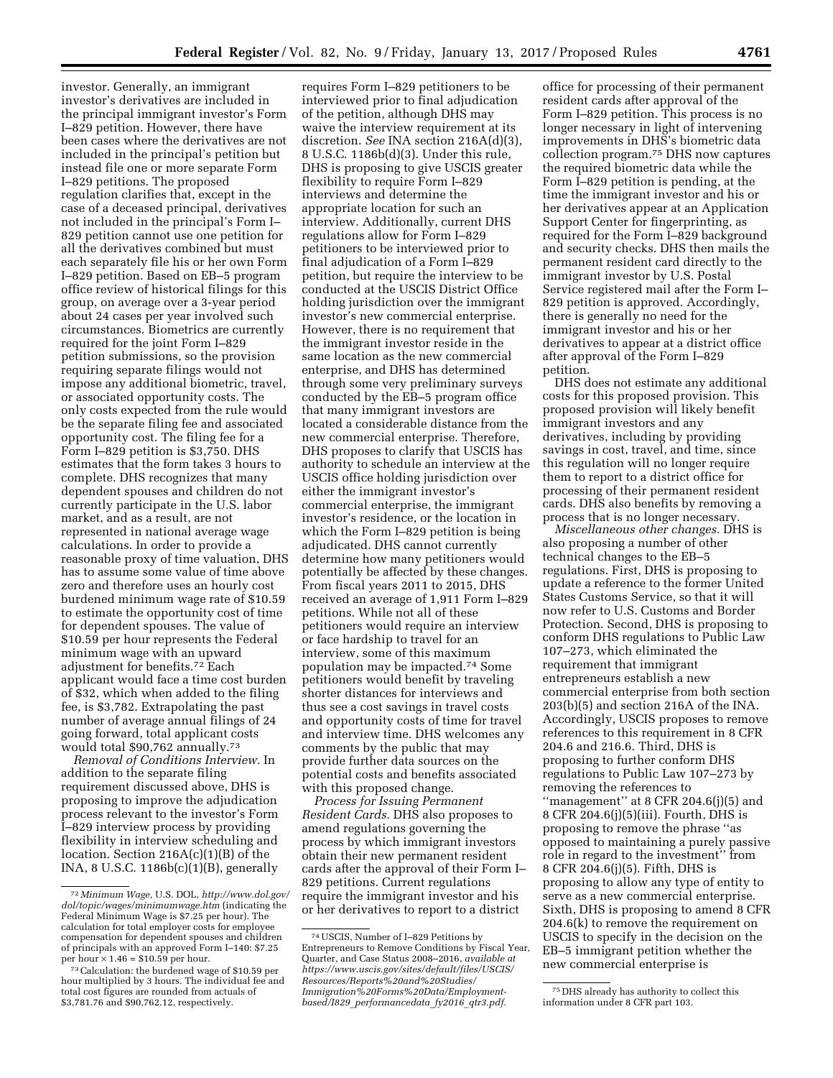investor. Generally, an immigrant investor's derivatives are included in the principal immigrant investor's Form I–829 petition. However, there have been cases where the derivatives are not included in the principal's petition but instead file one or more separate Form I–829 petitions. The proposed regulation clarifies that, except in the case of a deceased principal, derivatives not included in the principal's Form I– 829 petition cannot use one petition for all the derivatives combined but must each separately file his or her own Form I–829 petition. Based on EB–5 program office review of historical filings for this group, on average over a 3-year period about 24 cases per year involved such circumstances. Biometrics are currently required for the joint Form I–829 petition submissions, so the provision requiring separate filings would not impose any additional biometric, travel, or associated opportunity costs. The only costs expected from the rule would be the separate filing fee and associated opportunity cost. The filing fee for a Form I–829 petition is \$3,750. DHS estimates that the form takes 3 hours to complete. DHS recognizes that many dependent spouses and children do not currently participate in the U.S. labor market, and as a result, are not represented in national average wage calculations. In order to provide a reasonable proxy of time valuation, DHS has to assume some value of time above zero and therefore uses an hourly cost burdened minimum wage rate of \$10.59 to estimate the opportunity cost of time for dependent spouses. The value of \$10.59 per hour represents the Federal minimum wage with an upward adjustment for benefits.72 Each applicant would face a time cost burden of \$32, which when added to the filing fee, is \$3,782. Extrapolating the past number of average annual filings of 24 going forward, total applicant costs would total \$90,762 annually.73

*Removal of Conditions Interview.* In addition to the separate filing requirement discussed above, DHS is proposing to improve the adjudication process relevant to the investor's Form I–829 interview process by providing flexibility in interview scheduling and location. Section 216A(c)(1)(B) of the INA, 8 U.S.C. 1186b(c)(1)(B), generally

requires Form I–829 petitioners to be interviewed prior to final adjudication of the petition, although DHS may waive the interview requirement at its discretion. *See* INA section 216A(d)(3), 8 U.S.C. 1186b(d)(3). Under this rule, DHS is proposing to give USCIS greater flexibility to require Form I–829 interviews and determine the appropriate location for such an interview. Additionally, current DHS regulations allow for Form I–829 petitioners to be interviewed prior to final adjudication of a Form I–829 petition, but require the interview to be conducted at the USCIS District Office holding jurisdiction over the immigrant investor's new commercial enterprise. However, there is no requirement that the immigrant investor reside in the same location as the new commercial enterprise, and DHS has determined through some very preliminary surveys conducted by the EB–5 program office that many immigrant investors are located a considerable distance from the new commercial enterprise. Therefore, DHS proposes to clarify that USCIS has authority to schedule an interview at the USCIS office holding jurisdiction over either the immigrant investor's commercial enterprise, the immigrant investor's residence, or the location in which the Form I–829 petition is being adjudicated. DHS cannot currently determine how many petitioners would potentially be affected by these changes. From fiscal years 2011 to 2015, DHS received an average of 1,911 Form I–829 petitions. While not all of these petitioners would require an interview or face hardship to travel for an interview, some of this maximum population may be impacted.74 Some petitioners would benefit by traveling shorter distances for interviews and thus see a cost savings in travel costs and opportunity costs of time for travel and interview time. DHS welcomes any comments by the public that may provide further data sources on the potential costs and benefits associated with this proposed change.

*Process for Issuing Permanent Resident Cards.* DHS also proposes to amend regulations governing the process by which immigrant investors obtain their new permanent resident cards after the approval of their Form I– 829 petitions. Current regulations require the immigrant investor and his or her derivatives to report to a district

office for processing of their permanent resident cards after approval of the Form I–829 petition. This process is no longer necessary in light of intervening improvements in DHS's biometric data collection program.75 DHS now captures the required biometric data while the Form I–829 petition is pending, at the time the immigrant investor and his or her derivatives appear at an Application Support Center for fingerprinting, as required for the Form I–829 background and security checks. DHS then mails the permanent resident card directly to the immigrant investor by U.S. Postal Service registered mail after the Form I– 829 petition is approved. Accordingly, there is generally no need for the immigrant investor and his or her derivatives to appear at a district office after approval of the Form I–829 petition.

DHS does not estimate any additional costs for this proposed provision. This proposed provision will likely benefit immigrant investors and any derivatives, including by providing savings in cost, travel, and time, since this regulation will no longer require them to report to a district office for processing of their permanent resident cards. DHS also benefits by removing a process that is no longer necessary.

*Miscellaneous other changes.* DHS is also proposing a number of other technical changes to the EB–5 regulations. First, DHS is proposing to update a reference to the former United States Customs Service, so that it will now refer to U.S. Customs and Border Protection. Second, DHS is proposing to conform DHS regulations to Public Law 107–273, which eliminated the requirement that immigrant entrepreneurs establish a new commercial enterprise from both section 203(b)(5) and section 216A of the INA. Accordingly, USCIS proposes to remove references to this requirement in 8 CFR 204.6 and 216.6. Third, DHS is proposing to further conform DHS regulations to Public Law 107–273 by removing the references to ''management'' at 8 CFR 204.6(j)(5) and 8 CFR 204.6(j)(5)(iii). Fourth, DHS is proposing to remove the phrase ''as opposed to maintaining a purely passive role in regard to the investment'' from 8 CFR 204.6(j)(5). Fifth, DHS is proposing to allow any type of entity to serve as a new commercial enterprise. Sixth, DHS is proposing to amend 8 CFR 204.6(k) to remove the requirement on USCIS to specify in the decision on the EB–5 immigrant petition whether the new commercial enterprise is

<sup>72</sup> *Minimum Wage,* U.S. DOL, *[http://www.dol.gov/](http://www.dol.gov/dol/topic/wages/minimumwage.htm)  [dol/topic/wages/minimumwage.htm](http://www.dol.gov/dol/topic/wages/minimumwage.htm)* (indicating the Federal Minimum Wage is \$7.25 per hour). The calculation for total employer costs for employee compensation for dependent spouses and children of principals with an approved Form I–140: \$7.25<br>per hour  $\times$  1.46 = \$10.59 per hour.

 $73$  Calculation: the burdened wage of \$10.59 per hour multiplied by 3 hours. The individual fee and total cost figures are rounded from actuals of \$3,781.76 and \$90,762.12, respectively.

<sup>74</sup>USCIS, Number of I–829 Petitions by Entrepreneurs to Remove Conditions by Fiscal Year, Quarter, and Case Status 2008–2016, *available at [https://www.uscis.gov/sites/default/files/USCIS/](https://www.uscis.gov/sites/default/files/USCIS/Resources/Reports%20and%20Studies/Immigration%20Forms%20Data/Employment-based/I829_performancedata_fy2016_qtr3.pdf)  [Resources/Reports%20and%20Studies/](https://www.uscis.gov/sites/default/files/USCIS/Resources/Reports%20and%20Studies/Immigration%20Forms%20Data/Employment-based/I829_performancedata_fy2016_qtr3.pdf) [Immigration%20Forms%20Data/Employment](https://www.uscis.gov/sites/default/files/USCIS/Resources/Reports%20and%20Studies/Immigration%20Forms%20Data/Employment-based/I829_performancedata_fy2016_qtr3.pdf)based/I829*\_*[performancedata](https://www.uscis.gov/sites/default/files/USCIS/Resources/Reports%20and%20Studies/Immigration%20Forms%20Data/Employment-based/I829_performancedata_fy2016_qtr3.pdf)*\_*fy2016*\_*qtr3.pdf*.

<sup>75</sup> DHS already has authority to collect this information under 8 CFR part 103.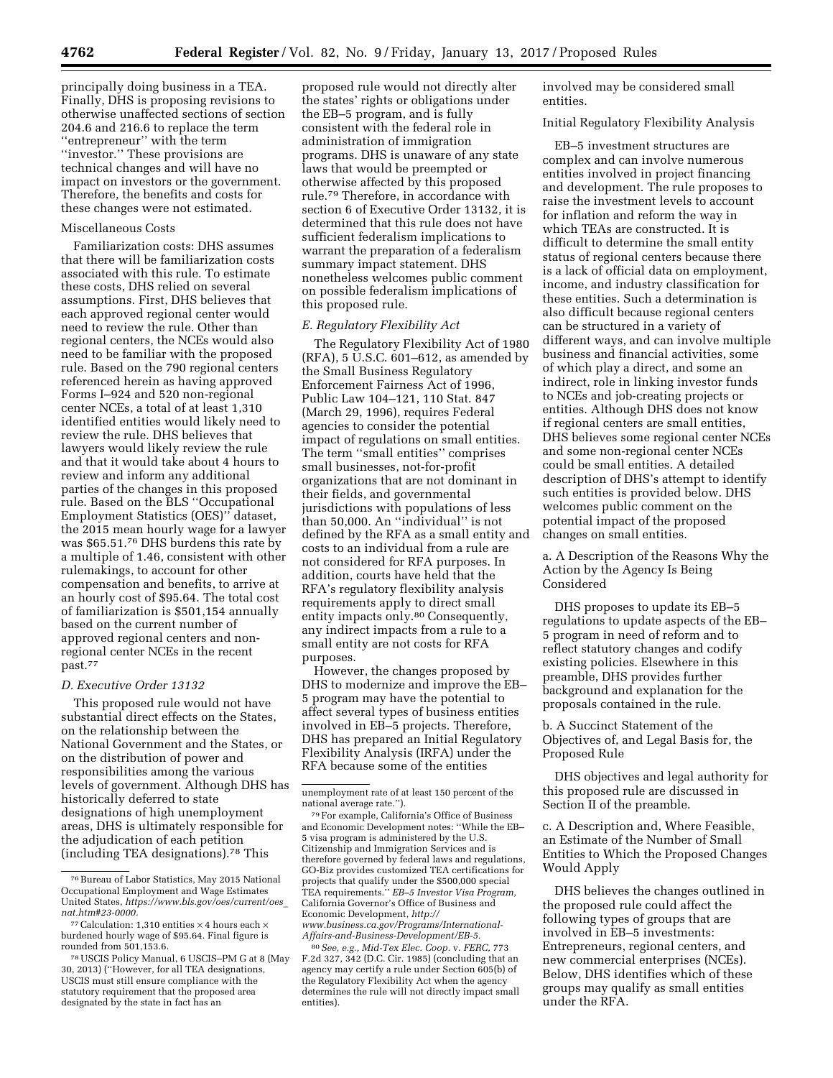principally doing business in a TEA. Finally, DHS is proposing revisions to otherwise unaffected sections of section 204.6 and 216.6 to replace the term ''entrepreneur'' with the term ''investor.'' These provisions are technical changes and will have no impact on investors or the government. Therefore, the benefits and costs for these changes were not estimated.

#### Miscellaneous Costs

Familiarization costs: DHS assumes that there will be familiarization costs associated with this rule. To estimate these costs, DHS relied on several assumptions. First, DHS believes that each approved regional center would need to review the rule. Other than regional centers, the NCEs would also need to be familiar with the proposed rule. Based on the 790 regional centers referenced herein as having approved Forms I–924 and 520 non-regional center NCEs, a total of at least 1,310 identified entities would likely need to review the rule. DHS believes that lawyers would likely review the rule and that it would take about 4 hours to review and inform any additional parties of the changes in this proposed rule. Based on the BLS ''Occupational Employment Statistics (OES)'' dataset, the 2015 mean hourly wage for a lawyer was \$65.51.76 DHS burdens this rate by a multiple of 1.46, consistent with other rulemakings, to account for other compensation and benefits, to arrive at an hourly cost of \$95.64. The total cost of familiarization is \$501,154 annually based on the current number of approved regional centers and nonregional center NCEs in the recent past.77

#### *D. Executive Order 13132*

This proposed rule would not have substantial direct effects on the States, on the relationship between the National Government and the States, or on the distribution of power and responsibilities among the various levels of government. Although DHS has historically deferred to state designations of high unemployment areas, DHS is ultimately responsible for the adjudication of each petition (including TEA designations).78 This

proposed rule would not directly alter the states' rights or obligations under the EB–5 program, and is fully consistent with the federal role in administration of immigration programs. DHS is unaware of any state laws that would be preempted or otherwise affected by this proposed rule.79 Therefore, in accordance with section 6 of Executive Order 13132, it is determined that this rule does not have sufficient federalism implications to warrant the preparation of a federalism summary impact statement. DHS nonetheless welcomes public comment on possible federalism implications of this proposed rule.

#### *E. Regulatory Flexibility Act*

The Regulatory Flexibility Act of 1980 (RFA), 5 U.S.C. 601–612, as amended by the Small Business Regulatory Enforcement Fairness Act of 1996, Public Law 104–121, 110 Stat. 847 (March 29, 1996), requires Federal agencies to consider the potential impact of regulations on small entities. The term ''small entities'' comprises small businesses, not-for-profit organizations that are not dominant in their fields, and governmental jurisdictions with populations of less than 50,000. An ''individual'' is not defined by the RFA as a small entity and costs to an individual from a rule are not considered for RFA purposes. In addition, courts have held that the RFA's regulatory flexibility analysis requirements apply to direct small entity impacts only.80 Consequently, any indirect impacts from a rule to a small entity are not costs for RFA purposes.

However, the changes proposed by DHS to modernize and improve the EB– 5 program may have the potential to affect several types of business entities involved in EB–5 projects. Therefore, DHS has prepared an Initial Regulatory Flexibility Analysis (IRFA) under the RFA because some of the entities

80*See, e.g., Mid-Tex Elec. Coop.* v. *FERC,* 773 F.2d 327, 342 (D.C. Cir. 1985) (concluding that an agency may certify a rule under Section 605(b) of the Regulatory Flexibility Act when the agency determines the rule will not directly impact small entities).

involved may be considered small entities.

Initial Regulatory Flexibility Analysis

EB–5 investment structures are complex and can involve numerous entities involved in project financing and development. The rule proposes to raise the investment levels to account for inflation and reform the way in which TEAs are constructed. It is difficult to determine the small entity status of regional centers because there is a lack of official data on employment, income, and industry classification for these entities. Such a determination is also difficult because regional centers can be structured in a variety of different ways, and can involve multiple business and financial activities, some of which play a direct, and some an indirect, role in linking investor funds to NCEs and job-creating projects or entities. Although DHS does not know if regional centers are small entities, DHS believes some regional center NCEs and some non-regional center NCEs could be small entities. A detailed description of DHS's attempt to identify such entities is provided below. DHS welcomes public comment on the potential impact of the proposed changes on small entities.

a. A Description of the Reasons Why the Action by the Agency Is Being Considered

DHS proposes to update its EB–5 regulations to update aspects of the EB– 5 program in need of reform and to reflect statutory changes and codify existing policies. Elsewhere in this preamble, DHS provides further background and explanation for the proposals contained in the rule.

b. A Succinct Statement of the Objectives of, and Legal Basis for, the Proposed Rule

DHS objectives and legal authority for this proposed rule are discussed in Section II of the preamble.

c. A Description and, Where Feasible, an Estimate of the Number of Small Entities to Which the Proposed Changes Would Apply

DHS believes the changes outlined in the proposed rule could affect the following types of groups that are involved in EB–5 investments: Entrepreneurs, regional centers, and new commercial enterprises (NCEs). Below, DHS identifies which of these groups may qualify as small entities under the RFA.

<sup>76</sup>Bureau of Labor Statistics, May 2015 National Occupational Employment and Wage Estimates United States, *[https://www.bls.gov/oes/current/oes](https://www.bls.gov/oes/current/oes_nat.htm#23-0000)*\_ *[nat.htm#23-0000.](https://www.bls.gov/oes/current/oes_nat.htm#23-0000)* 

<sup>77</sup> Calculation: 1,310 entities  $\times$  4 hours each  $\times$ burdened hourly wage of \$95.64. Final figure is rounded from 501,153.6.

<sup>78</sup>USCIS Policy Manual, 6 USCIS–PM G at 8 (May 30, 2013) (''However, for all TEA designations, USCIS must still ensure compliance with the statutory requirement that the proposed area designated by the state in fact has an

unemployment rate of at least 150 percent of the national average rate.'').

<sup>79</sup>For example, California's Office of Business and Economic Development notes: ''While the EB– 5 visa program is administered by the U.S. Citizenship and Immigration Services and is therefore governed by federal laws and regulations, GO-Biz provides customized TEA certifications for projects that qualify under the \$500,000 special TEA requirements.'' *EB–5 Investor Visa Program,*  California Governor's Office of Business and Economic Development, *[http://](http://www.business.ca.gov/Programs/International-Affairs-and-Business-Development/EB-5) [www.business.ca.gov/Programs/International-](http://www.business.ca.gov/Programs/International-Affairs-and-Business-Development/EB-5)[Affairs-and-Business-Development/EB-5.](http://www.business.ca.gov/Programs/International-Affairs-and-Business-Development/EB-5)*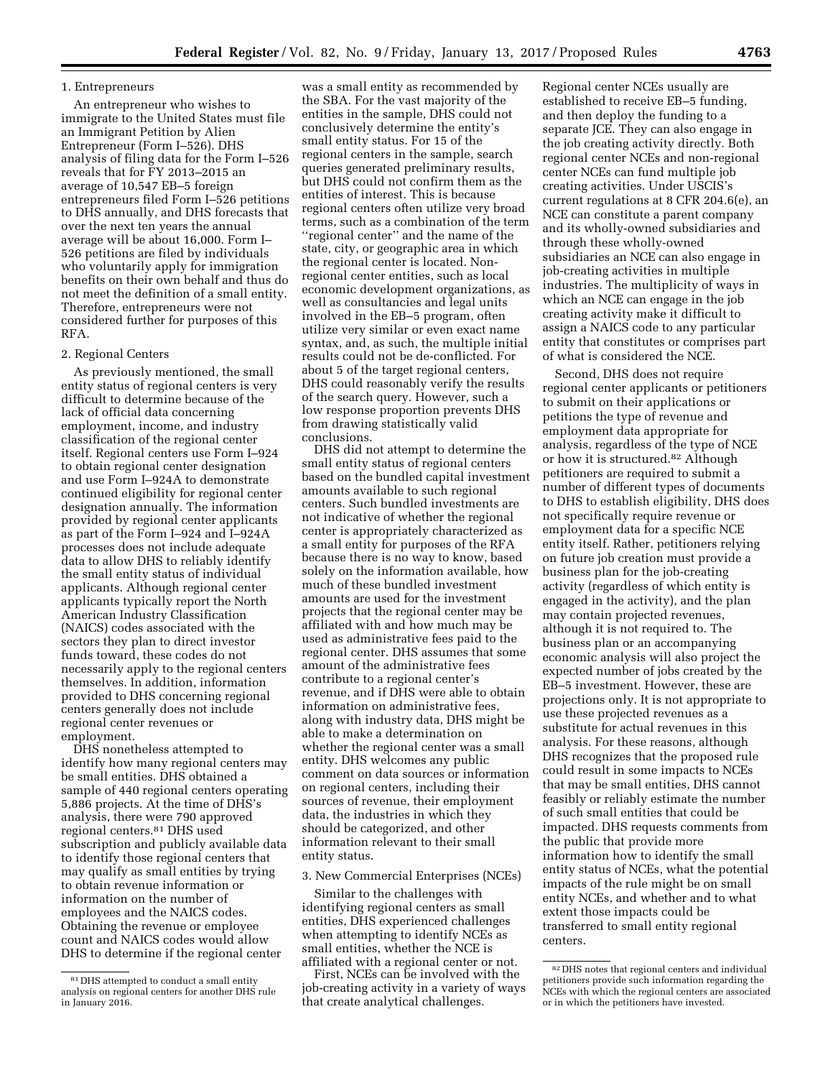## 1. Entrepreneurs

An entrepreneur who wishes to immigrate to the United States must file an Immigrant Petition by Alien Entrepreneur (Form I–526). DHS analysis of filing data for the Form I–526 reveals that for FY 2013–2015 an average of 10,547 EB–5 foreign entrepreneurs filed Form I–526 petitions to DHS annually, and DHS forecasts that over the next ten years the annual average will be about 16,000. Form I– 526 petitions are filed by individuals who voluntarily apply for immigration benefits on their own behalf and thus do not meet the definition of a small entity. Therefore, entrepreneurs were not considered further for purposes of this RFA.

#### 2. Regional Centers

As previously mentioned, the small entity status of regional centers is very difficult to determine because of the lack of official data concerning employment, income, and industry classification of the regional center itself. Regional centers use Form I–924 to obtain regional center designation and use Form I–924A to demonstrate continued eligibility for regional center designation annually. The information provided by regional center applicants as part of the Form I–924 and I–924A processes does not include adequate data to allow DHS to reliably identify the small entity status of individual applicants. Although regional center applicants typically report the North American Industry Classification (NAICS) codes associated with the sectors they plan to direct investor funds toward, these codes do not necessarily apply to the regional centers themselves. In addition, information provided to DHS concerning regional centers generally does not include regional center revenues or employment.

DHS nonetheless attempted to identify how many regional centers may be small entities. DHS obtained a sample of 440 regional centers operating 5,886 projects. At the time of DHS's analysis, there were 790 approved regional centers.81 DHS used subscription and publicly available data to identify those regional centers that may qualify as small entities by trying to obtain revenue information or information on the number of employees and the NAICS codes. Obtaining the revenue or employee count and NAICS codes would allow DHS to determine if the regional center

was a small entity as recommended by the SBA. For the vast majority of the entities in the sample, DHS could not conclusively determine the entity's small entity status. For 15 of the regional centers in the sample, search queries generated preliminary results, but DHS could not confirm them as the entities of interest. This is because regional centers often utilize very broad terms, such as a combination of the term ''regional center'' and the name of the state, city, or geographic area in which the regional center is located. Nonregional center entities, such as local economic development organizations, as well as consultancies and legal units involved in the EB–5 program, often utilize very similar or even exact name syntax, and, as such, the multiple initial results could not be de-conflicted. For about 5 of the target regional centers, DHS could reasonably verify the results of the search query. However, such a low response proportion prevents DHS from drawing statistically valid conclusions.

DHS did not attempt to determine the small entity status of regional centers based on the bundled capital investment amounts available to such regional centers. Such bundled investments are not indicative of whether the regional center is appropriately characterized as a small entity for purposes of the RFA because there is no way to know, based solely on the information available, how much of these bundled investment amounts are used for the investment projects that the regional center may be affiliated with and how much may be used as administrative fees paid to the regional center. DHS assumes that some amount of the administrative fees contribute to a regional center's revenue, and if DHS were able to obtain information on administrative fees, along with industry data, DHS might be able to make a determination on whether the regional center was a small entity. DHS welcomes any public comment on data sources or information on regional centers, including their sources of revenue, their employment data, the industries in which they should be categorized, and other information relevant to their small entity status.

## 3. New Commercial Enterprises (NCEs)

Similar to the challenges with identifying regional centers as small entities, DHS experienced challenges when attempting to identify NCEs as small entities, whether the NCE is affiliated with a regional center or not.

First, NCEs can be involved with the job-creating activity in a variety of ways that create analytical challenges.

Regional center NCEs usually are established to receive EB–5 funding, and then deploy the funding to a separate JCE. They can also engage in the job creating activity directly. Both regional center NCEs and non-regional center NCEs can fund multiple job creating activities. Under USCIS's current regulations at 8 CFR 204.6(e), an NCE can constitute a parent company and its wholly-owned subsidiaries and through these wholly-owned subsidiaries an NCE can also engage in job-creating activities in multiple industries. The multiplicity of ways in which an NCE can engage in the job creating activity make it difficult to assign a NAICS code to any particular entity that constitutes or comprises part of what is considered the NCE.

Second, DHS does not require regional center applicants or petitioners to submit on their applications or petitions the type of revenue and employment data appropriate for analysis, regardless of the type of NCE or how it is structured.82 Although petitioners are required to submit a number of different types of documents to DHS to establish eligibility, DHS does not specifically require revenue or employment data for a specific NCE entity itself. Rather, petitioners relying on future job creation must provide a business plan for the job-creating activity (regardless of which entity is engaged in the activity), and the plan may contain projected revenues, although it is not required to. The business plan or an accompanying economic analysis will also project the expected number of jobs created by the EB–5 investment. However, these are projections only. It is not appropriate to use these projected revenues as a substitute for actual revenues in this analysis. For these reasons, although DHS recognizes that the proposed rule could result in some impacts to NCEs that may be small entities, DHS cannot feasibly or reliably estimate the number of such small entities that could be impacted. DHS requests comments from the public that provide more information how to identify the small entity status of NCEs, what the potential impacts of the rule might be on small entity NCEs, and whether and to what extent those impacts could be transferred to small entity regional centers.

<sup>81</sup> DHS attempted to conduct a small entity analysis on regional centers for another DHS rule in January 2016.

<sup>82</sup> DHS notes that regional centers and individual petitioners provide such information regarding the NCEs with which the regional centers are associated or in which the petitioners have invested.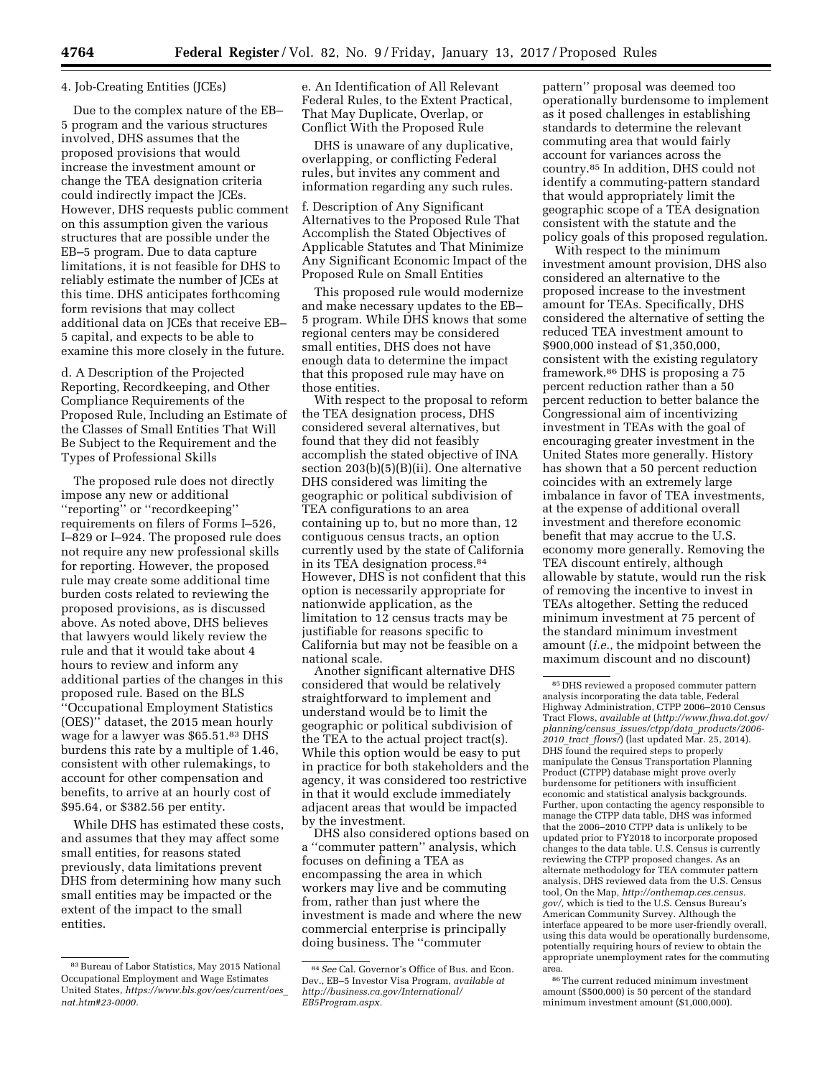## 4. Job-Creating Entities (JCEs)

Due to the complex nature of the EB– 5 program and the various structures involved, DHS assumes that the proposed provisions that would increase the investment amount or change the TEA designation criteria could indirectly impact the JCEs. However, DHS requests public comment on this assumption given the various structures that are possible under the EB–5 program. Due to data capture limitations, it is not feasible for DHS to reliably estimate the number of JCEs at this time. DHS anticipates forthcoming form revisions that may collect additional data on JCEs that receive EB– 5 capital, and expects to be able to examine this more closely in the future.

d. A Description of the Projected Reporting, Recordkeeping, and Other Compliance Requirements of the Proposed Rule, Including an Estimate of the Classes of Small Entities That Will Be Subject to the Requirement and the Types of Professional Skills

The proposed rule does not directly impose any new or additional ''reporting'' or ''recordkeeping'' requirements on filers of Forms I–526, I–829 or I–924. The proposed rule does not require any new professional skills for reporting. However, the proposed rule may create some additional time burden costs related to reviewing the proposed provisions, as is discussed above. As noted above, DHS believes that lawyers would likely review the rule and that it would take about 4 hours to review and inform any additional parties of the changes in this proposed rule. Based on the BLS ''Occupational Employment Statistics (OES)'' dataset, the 2015 mean hourly wage for a lawyer was \$65.51.83 DHS burdens this rate by a multiple of 1.46, consistent with other rulemakings, to account for other compensation and benefits, to arrive at an hourly cost of \$95.64, or \$382.56 per entity.

While DHS has estimated these costs, and assumes that they may affect some small entities, for reasons stated previously, data limitations prevent DHS from determining how many such small entities may be impacted or the extent of the impact to the small entities.

e. An Identification of All Relevant Federal Rules, to the Extent Practical, That May Duplicate, Overlap, or Conflict With the Proposed Rule

DHS is unaware of any duplicative, overlapping, or conflicting Federal rules, but invites any comment and information regarding any such rules.

f. Description of Any Significant Alternatives to the Proposed Rule That Accomplish the Stated Objectives of Applicable Statutes and That Minimize Any Significant Economic Impact of the Proposed Rule on Small Entities

This proposed rule would modernize and make necessary updates to the EB– 5 program. While DHS knows that some regional centers may be considered small entities, DHS does not have enough data to determine the impact that this proposed rule may have on those entities.

With respect to the proposal to reform the TEA designation process, DHS considered several alternatives, but found that they did not feasibly accomplish the stated objective of INA section 203(b)(5)(B)(ii). One alternative DHS considered was limiting the geographic or political subdivision of TEA configurations to an area containing up to, but no more than, 12 contiguous census tracts, an option currently used by the state of California in its TEA designation process.84 However, DHS is not confident that this option is necessarily appropriate for nationwide application, as the limitation to 12 census tracts may be justifiable for reasons specific to California but may not be feasible on a national scale.

Another significant alternative DHS considered that would be relatively straightforward to implement and understand would be to limit the geographic or political subdivision of the TEA to the actual project tract(s). While this option would be easy to put in practice for both stakeholders and the agency, it was considered too restrictive in that it would exclude immediately adjacent areas that would be impacted by the investment.

DHS also considered options based on a ''commuter pattern'' analysis, which focuses on defining a TEA as encompassing the area in which workers may live and be commuting from, rather than just where the investment is made and where the new commercial enterprise is principally doing business. The ''commuter

pattern'' proposal was deemed too operationally burdensome to implement as it posed challenges in establishing standards to determine the relevant commuting area that would fairly account for variances across the country.85 In addition, DHS could not identify a commuting-pattern standard that would appropriately limit the geographic scope of a TEA designation consistent with the statute and the policy goals of this proposed regulation.

With respect to the minimum investment amount provision, DHS also considered an alternative to the proposed increase to the investment amount for TEAs. Specifically, DHS considered the alternative of setting the reduced TEA investment amount to \$900,000 instead of \$1,350,000, consistent with the existing regulatory framework.86 DHS is proposing a 75 percent reduction rather than a 50 percent reduction to better balance the Congressional aim of incentivizing investment in TEAs with the goal of encouraging greater investment in the United States more generally. History has shown that a 50 percent reduction coincides with an extremely large imbalance in favor of TEA investments, at the expense of additional overall investment and therefore economic benefit that may accrue to the U.S. economy more generally. Removing the TEA discount entirely, although allowable by statute, would run the risk of removing the incentive to invest in TEAs altogether. Setting the reduced minimum investment at 75 percent of the standard minimum investment amount (*i.e.,* the midpoint between the maximum discount and no discount)

<sup>83</sup>Bureau of Labor Statistics, May 2015 National Occupational Employment and Wage Estimates United States, *[https://www.bls.gov/oes/current/oes](https://www.bls.gov/oes/current/oes_nat.htm#23-0000)*\_ *[nat.htm#23-0000.](https://www.bls.gov/oes/current/oes_nat.htm#23-0000)* 

<sup>84</sup>*See* Cal. Governor's Office of Bus. and Econ. Dev., EB–5 Investor Visa Program, *available at [http://business.ca.gov/International/](http://business.ca.gov/International/EB5Program.aspx)  [EB5Program.aspx.](http://business.ca.gov/International/EB5Program.aspx)* 

<sup>85</sup> DHS reviewed a proposed commuter pattern analysis incorporating the data table, Federal Highway Administration, CTPP 2006–2010 Census Tract Flows, *available at* (*[http://www.fhwa.dot.gov/](http://www.fhwa.dot.gov/planning/census_issues/ctpp/data_products/2006-2010_tract_flows/) planning/census*\_*[issues/ctpp/data](http://www.fhwa.dot.gov/planning/census_issues/ctpp/data_products/2006-2010_tract_flows/)*\_*products/2006- 2010*\_*tract*\_*[flows/](http://www.fhwa.dot.gov/planning/census_issues/ctpp/data_products/2006-2010_tract_flows/)*) (last updated Mar. 25, 2014). DHS found the required steps to properly manipulate the Census Transportation Planning Product (CTPP) database might prove overly burdensome for petitioners with insufficient economic and statistical analysis backgrounds. Further, upon contacting the agency responsible to manage the CTPP data table, DHS was informed that the 2006–2010 CTPP data is unlikely to be updated prior to FY2018 to incorporate proposed changes to the data table. U.S. Census is currently reviewing the CTPP proposed changes. As an alternate methodology for TEA commuter pattern analysis, DHS reviewed data from the U.S. Census tool, On the Map*, [http://onthemap.ces.census.](http://onthemap.ces.census.gov/) [gov/,](http://onthemap.ces.census.gov/)* which is tied to the U.S. Census Bureau's American Community Survey. Although the interface appeared to be more user-friendly overall, using this data would be operationally burdensome, potentially requiring hours of review to obtain the appropriate unemployment rates for the commuting area.

<sup>86</sup>The current reduced minimum investment amount (\$500,000) is 50 percent of the standard minimum investment amount (\$1,000,000).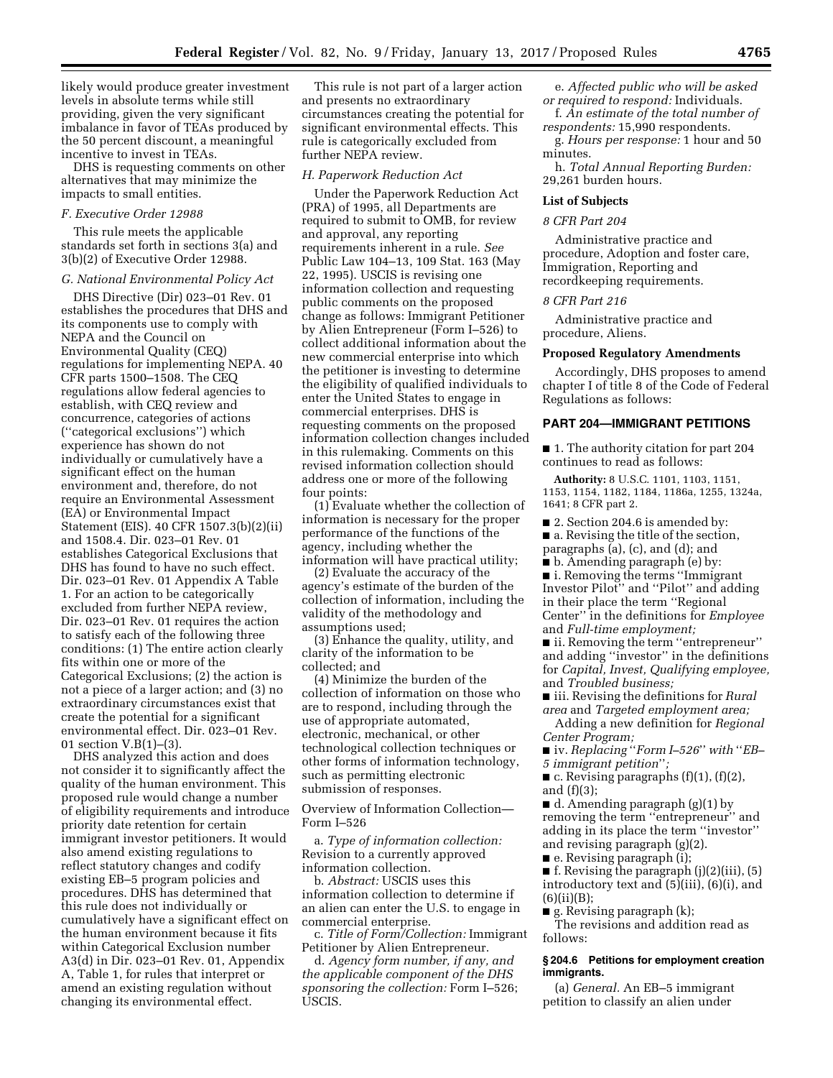likely would produce greater investment levels in absolute terms while still providing, given the very significant imbalance in favor of TEAs produced by the 50 percent discount, a meaningful incentive to invest in TEAs.

DHS is requesting comments on other alternatives that may minimize the impacts to small entities.

### *F. Executive Order 12988*

This rule meets the applicable standards set forth in sections 3(a) and 3(b)(2) of Executive Order 12988.

#### *G. National Environmental Policy Act*

DHS Directive (Dir) 023–01 Rev. 01 establishes the procedures that DHS and its components use to comply with NEPA and the Council on Environmental Quality (CEQ) regulations for implementing NEPA. 40 CFR parts 1500–1508. The CEQ regulations allow federal agencies to establish, with CEQ review and concurrence, categories of actions (''categorical exclusions'') which experience has shown do not individually or cumulatively have a significant effect on the human environment and, therefore, do not require an Environmental Assessment (EA) or Environmental Impact Statement (EIS). 40 CFR 1507.3(b)(2)(ii) and 1508.4. Dir. 023–01 Rev. 01 establishes Categorical Exclusions that DHS has found to have no such effect. Dir. 023–01 Rev. 01 Appendix A Table 1. For an action to be categorically excluded from further NEPA review, Dir. 023–01 Rev. 01 requires the action to satisfy each of the following three conditions: (1) The entire action clearly fits within one or more of the Categorical Exclusions; (2) the action is not a piece of a larger action; and (3) no extraordinary circumstances exist that create the potential for a significant environmental effect. Dir. 023–01 Rev. 01 section V.B(1)–(3).

DHS analyzed this action and does not consider it to significantly affect the quality of the human environment. This proposed rule would change a number of eligibility requirements and introduce priority date retention for certain immigrant investor petitioners. It would also amend existing regulations to reflect statutory changes and codify existing EB–5 program policies and procedures. DHS has determined that this rule does not individually or cumulatively have a significant effect on the human environment because it fits within Categorical Exclusion number A3(d) in Dir. 023–01 Rev. 01, Appendix A, Table 1, for rules that interpret or amend an existing regulation without changing its environmental effect.

This rule is not part of a larger action and presents no extraordinary circumstances creating the potential for significant environmental effects. This rule is categorically excluded from further NEPA review.

#### *H. Paperwork Reduction Act*

Under the Paperwork Reduction Act (PRA) of 1995, all Departments are required to submit to OMB, for review and approval, any reporting requirements inherent in a rule. *See*  Public Law 104–13, 109 Stat. 163 (May 22, 1995). USCIS is revising one information collection and requesting public comments on the proposed change as follows: Immigrant Petitioner by Alien Entrepreneur (Form I–526) to collect additional information about the new commercial enterprise into which the petitioner is investing to determine the eligibility of qualified individuals to enter the United States to engage in commercial enterprises. DHS is requesting comments on the proposed information collection changes included in this rulemaking. Comments on this revised information collection should address one or more of the following four points:

(1) Evaluate whether the collection of information is necessary for the proper performance of the functions of the agency, including whether the information will have practical utility;

(2) Evaluate the accuracy of the agency's estimate of the burden of the collection of information, including the validity of the methodology and assumptions used;

(3) Enhance the quality, utility, and clarity of the information to be collected; and

(4) Minimize the burden of the collection of information on those who are to respond, including through the use of appropriate automated, electronic, mechanical, or other technological collection techniques or other forms of information technology, such as permitting electronic submission of responses.

Overview of Information Collection— Form I–526

a. *Type of information collection:*  Revision to a currently approved information collection.

b. *Abstract:* USCIS uses this information collection to determine if an alien can enter the U.S. to engage in commercial enterprise.

c. *Title of Form/Collection:* Immigrant Petitioner by Alien Entrepreneur.

d. *Agency form number, if any, and the applicable component of the DHS sponsoring the collection:* Form I–526; USCIS.

- e. *Affected public who will be asked or required to respond:* Individuals. f. *An estimate of the total number of*
- *respondents:* 15,990 respondents. g. *Hours per response:* 1 hour and 50

minutes.

h. *Total Annual Reporting Burden:*  29,261 burden hours.

## **List of Subjects**

## *8 CFR Part 204*

Administrative practice and procedure, Adoption and foster care, Immigration, Reporting and recordkeeping requirements.

#### *8 CFR Part 216*

Administrative practice and procedure, Aliens.

#### **Proposed Regulatory Amendments**

Accordingly, DHS proposes to amend chapter I of title 8 of the Code of Federal Regulations as follows:

#### **PART 204—IMMIGRANT PETITIONS**

■ 1. The authority citation for part 204 continues to read as follows:

**Authority:** 8 U.S.C. 1101, 1103, 1151, 1153, 1154, 1182, 1184, 1186a, 1255, 1324a, 1641; 8 CFR part 2.

■ 2. Section 204.6 is amended by: ■ a. Revising the title of the section,

paragraphs (a), (c), and (d); and

■ b. Amending paragraph (e) by:

■ i. Removing the terms "Immigrant Investor Pilot'' and ''Pilot'' and adding in their place the term ''Regional Center'' in the definitions for *Employee*  and *Full-time employment;* 

■ ii. Removing the term "entrepreneur" and adding ''investor'' in the definitions for *Capital, Invest, Qualifying employee,*  and *Troubled business;* 

■ iii. Revising the definitions for *Rural area* and *Targeted employment area;* 

Adding a new definition for *Regional Center Program;* 

■ iv. *Replacing* "*Form I–526*" *with* "*EB*– *5 immigrant petition*''*;* 

 $\blacksquare$  c. Revising paragraphs (f)(1), (f)(2), and (f)(3);

 $\blacksquare$  d. Amending paragraph (g)(1) by removing the term ''entrepreneur'' and adding in its place the term ''investor'' and revising paragraph (g)(2).

■ e. Revising paragraph (i);

 $\blacksquare$  f. Revising the paragraph (j)(2)(iii), (5) introductory text and (5)(iii), (6)(i), and  $(6)(ii)(B);$ 

 $\blacksquare$  g. Revising paragraph (k);

The revisions and addition read as follows:

## **§ 204.6 Petitions for employment creation immigrants.**

(a) *General.* An EB–5 immigrant petition to classify an alien under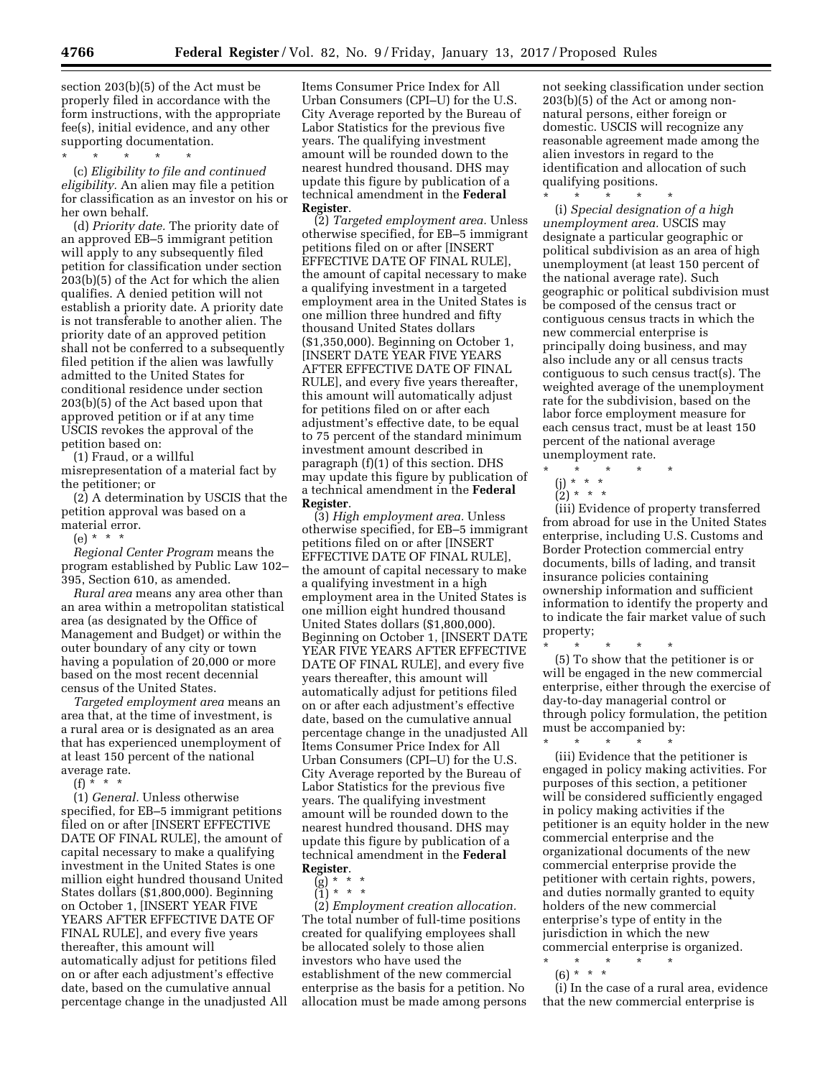section 203(b)(5) of the Act must be properly filed in accordance with the form instructions, with the appropriate fee(s), initial evidence, and any other supporting documentation.

\* \* \* \* \*

(c) *Eligibility to file and continued eligibility.* An alien may file a petition for classification as an investor on his or her own behalf.

(d) *Priority date.* The priority date of an approved EB–5 immigrant petition will apply to any subsequently filed petition for classification under section 203(b)(5) of the Act for which the alien qualifies. A denied petition will not establish a priority date. A priority date is not transferable to another alien. The priority date of an approved petition shall not be conferred to a subsequently filed petition if the alien was lawfully admitted to the United States for conditional residence under section 203(b)(5) of the Act based upon that approved petition or if at any time USCIS revokes the approval of the petition based on:

(1) Fraud, or a willful misrepresentation of a material fact by the petitioner; or

(2) A determination by USCIS that the petition approval was based on a material error.

(e) \* \* \*

*Regional Center Program* means the program established by Public Law 102– 395, Section 610, as amended.

*Rural area* means any area other than an area within a metropolitan statistical area (as designated by the Office of Management and Budget) or within the outer boundary of any city or town having a population of 20,000 or more based on the most recent decennial census of the United States.

*Targeted employment area* means an area that, at the time of investment, is a rural area or is designated as an area that has experienced unemployment of at least 150 percent of the national average rate.

 $(f) * * * *$ 

(1) *General.* Unless otherwise specified, for EB–5 immigrant petitions filed on or after [INSERT EFFECTIVE DATE OF FINAL RULE], the amount of capital necessary to make a qualifying investment in the United States is one million eight hundred thousand United States dollars (\$1,800,000). Beginning on October 1, [INSERT YEAR FIVE YEARS AFTER EFFECTIVE DATE OF FINAL RULE], and every five years thereafter, this amount will automatically adjust for petitions filed on or after each adjustment's effective date, based on the cumulative annual percentage change in the unadjusted All Items Consumer Price Index for All Urban Consumers (CPI–U) for the U.S. City Average reported by the Bureau of Labor Statistics for the previous five years. The qualifying investment amount will be rounded down to the nearest hundred thousand. DHS may update this figure by publication of a technical amendment in the **Federal Register**.

(2) *Targeted employment area.* Unless otherwise specified, for EB–5 immigrant petitions filed on or after [INSERT EFFECTIVE DATE OF FINAL RULE], the amount of capital necessary to make a qualifying investment in a targeted employment area in the United States is one million three hundred and fifty thousand United States dollars (\$1,350,000). Beginning on October 1, [INSERT DATE YEAR FIVE YEARS AFTER EFFECTIVE DATE OF FINAL RULE], and every five years thereafter, this amount will automatically adjust for petitions filed on or after each adjustment's effective date, to be equal to 75 percent of the standard minimum investment amount described in paragraph (f)(1) of this section. DHS may update this figure by publication of a technical amendment in the **Federal Register**.

(3) *High employment area.* Unless otherwise specified, for EB–5 immigrant petitions filed on or after [INSERT EFFECTIVE DATE OF FINAL RULE], the amount of capital necessary to make a qualifying investment in a high employment area in the United States is one million eight hundred thousand United States dollars (\$1,800,000). Beginning on October 1, [INSERT DATE YEAR FIVE YEARS AFTER EFFECTIVE DATE OF FINAL RULE], and every five years thereafter, this amount will automatically adjust for petitions filed on or after each adjustment's effective date, based on the cumulative annual percentage change in the unadjusted All Items Consumer Price Index for All Urban Consumers (CPI–U) for the U.S. City Average reported by the Bureau of Labor Statistics for the previous five years. The qualifying investment amount will be rounded down to the nearest hundred thousand. DHS may update this figure by publication of a technical amendment in the **Federal Register**.

 $(g) * * * *$ 

 $\binom{0'}{1}$  \* \* \*

(2) *Employment creation allocation.*  The total number of full-time positions created for qualifying employees shall be allocated solely to those alien investors who have used the establishment of the new commercial enterprise as the basis for a petition. No allocation must be made among persons

not seeking classification under section 203(b)(5) of the Act or among nonnatural persons, either foreign or domestic. USCIS will recognize any reasonable agreement made among the alien investors in regard to the identification and allocation of such qualifying positions.

\* \* \* \* \* (i) *Special designation of a high unemployment area.* USCIS may designate a particular geographic or political subdivision as an area of high unemployment (at least 150 percent of the national average rate). Such geographic or political subdivision must be composed of the census tract or contiguous census tracts in which the new commercial enterprise is principally doing business, and may also include any or all census tracts contiguous to such census tract(s). The weighted average of the unemployment rate for the subdivision, based on the labor force employment measure for each census tract, must be at least 150 percent of the national average unemployment rate.

\* \* \* \* \*

- (j) \* \* \*
- $(2) * * * *$

(iii) Evidence of property transferred from abroad for use in the United States enterprise, including U.S. Customs and Border Protection commercial entry documents, bills of lading, and transit insurance policies containing ownership information and sufficient information to identify the property and to indicate the fair market value of such property;

\* \* \* \* \* (5) To show that the petitioner is or will be engaged in the new commercial enterprise, either through the exercise of day-to-day managerial control or through policy formulation, the petition must be accompanied by:

\* \* \* \* \* (iii) Evidence that the petitioner is engaged in policy making activities. For purposes of this section, a petitioner will be considered sufficiently engaged in policy making activities if the petitioner is an equity holder in the new commercial enterprise and the organizational documents of the new commercial enterprise provide the petitioner with certain rights, powers, and duties normally granted to equity holders of the new commercial enterprise's type of entity in the jurisdiction in which the new commercial enterprise is organized.

- \* \* \* \* \*
- $(6) * * * *$

(i) In the case of a rural area, evidence that the new commercial enterprise is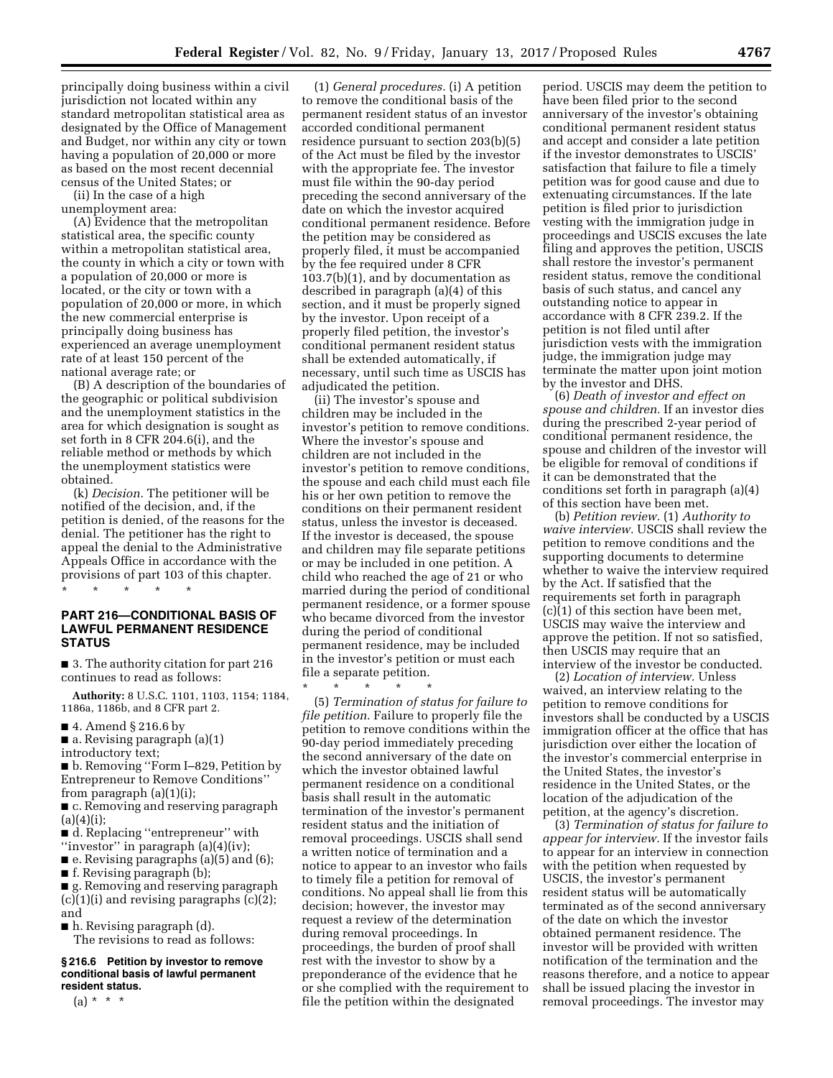principally doing business within a civil jurisdiction not located within any standard metropolitan statistical area as designated by the Office of Management and Budget, nor within any city or town having a population of 20,000 or more as based on the most recent decennial census of the United States; or

(ii) In the case of a high unemployment area:

(A) Evidence that the metropolitan statistical area, the specific county within a metropolitan statistical area, the county in which a city or town with a population of 20,000 or more is located, or the city or town with a population of 20,000 or more, in which the new commercial enterprise is principally doing business has experienced an average unemployment rate of at least 150 percent of the national average rate; or

(B) A description of the boundaries of the geographic or political subdivision and the unemployment statistics in the area for which designation is sought as set forth in 8 CFR 204.6(i), and the reliable method or methods by which the unemployment statistics were obtained.

(k) *Decision.* The petitioner will be notified of the decision, and, if the petition is denied, of the reasons for the denial. The petitioner has the right to appeal the denial to the Administrative Appeals Office in accordance with the provisions of part 103 of this chapter.

\* \* \* \* \*

## **PART 216—CONDITIONAL BASIS OF LAWFUL PERMANENT RESIDENCE STATUS**

■ 3. The authority citation for part 216 continues to read as follows:

**Authority:** 8 U.S.C. 1101, 1103, 1154; 1184, 1186a, 1186b, and 8 CFR part 2.

- 4. Amend § 216.6 by
- $\blacksquare$  a. Revising paragraph (a)(1) introductory text;

■ b. Removing "Form I–829, Petition by Entrepreneur to Remove Conditions'' from paragraph (a)(1)(i);

■ c. Removing and reserving paragraph  $(a)(4)(i)$ :

- d. Replacing "entrepreneur" with ''investor'' in paragraph (a)(4)(iv);
- e. Revising paragraphs (a)(5) and (6);
- f. Revising paragraph (b);

■ g. Removing and reserving paragraph  $(c)(1)(i)$  and revising paragraphs  $(c)(2)$ ; and

■ h. Revising paragraph (d).

The revisions to read as follows:

#### **§ 216.6 Petition by investor to remove conditional basis of lawful permanent resident status.**

 $(a) * * * *$ 

(1) *General procedures.* (i) A petition to remove the conditional basis of the permanent resident status of an investor accorded conditional permanent residence pursuant to section 203(b)(5) of the Act must be filed by the investor with the appropriate fee. The investor must file within the 90-day period preceding the second anniversary of the date on which the investor acquired conditional permanent residence. Before the petition may be considered as properly filed, it must be accompanied by the fee required under 8 CFR 103.7(b)(1), and by documentation as described in paragraph (a)(4) of this section, and it must be properly signed by the investor. Upon receipt of a properly filed petition, the investor's conditional permanent resident status shall be extended automatically, if necessary, until such time as USCIS has adjudicated the petition.

(ii) The investor's spouse and children may be included in the investor's petition to remove conditions. Where the investor's spouse and children are not included in the investor's petition to remove conditions, the spouse and each child must each file his or her own petition to remove the conditions on their permanent resident status, unless the investor is deceased. If the investor is deceased, the spouse and children may file separate petitions or may be included in one petition. A child who reached the age of 21 or who married during the period of conditional permanent residence, or a former spouse who became divorced from the investor during the period of conditional permanent residence, may be included in the investor's petition or must each file a separate petition.

\* \* \* \* \* (5) *Termination of status for failure to file petition.* Failure to properly file the petition to remove conditions within the 90-day period immediately preceding the second anniversary of the date on which the investor obtained lawful permanent residence on a conditional basis shall result in the automatic termination of the investor's permanent resident status and the initiation of removal proceedings. USCIS shall send a written notice of termination and a notice to appear to an investor who fails to timely file a petition for removal of conditions. No appeal shall lie from this decision; however, the investor may request a review of the determination during removal proceedings. In proceedings, the burden of proof shall rest with the investor to show by a preponderance of the evidence that he or she complied with the requirement to file the petition within the designated

period. USCIS may deem the petition to have been filed prior to the second anniversary of the investor's obtaining conditional permanent resident status and accept and consider a late petition if the investor demonstrates to USCIS' satisfaction that failure to file a timely petition was for good cause and due to extenuating circumstances. If the late petition is filed prior to jurisdiction vesting with the immigration judge in proceedings and USCIS excuses the late filing and approves the petition, USCIS shall restore the investor's permanent resident status, remove the conditional basis of such status, and cancel any outstanding notice to appear in accordance with 8 CFR 239.2. If the petition is not filed until after jurisdiction vests with the immigration judge, the immigration judge may terminate the matter upon joint motion by the investor and DHS.

(6) *Death of investor and effect on spouse and children.* If an investor dies during the prescribed 2-year period of conditional permanent residence, the spouse and children of the investor will be eligible for removal of conditions if it can be demonstrated that the conditions set forth in paragraph (a)(4) of this section have been met.

(b) *Petition review.* (1) *Authority to waive interview.* USCIS shall review the petition to remove conditions and the supporting documents to determine whether to waive the interview required by the Act. If satisfied that the requirements set forth in paragraph (c)(1) of this section have been met, USCIS may waive the interview and approve the petition. If not so satisfied, then USCIS may require that an interview of the investor be conducted.

(2) *Location of interview.* Unless waived, an interview relating to the petition to remove conditions for investors shall be conducted by a USCIS immigration officer at the office that has jurisdiction over either the location of the investor's commercial enterprise in the United States, the investor's residence in the United States, or the location of the adjudication of the petition, at the agency's discretion.

(3) *Termination of status for failure to appear for interview.* If the investor fails to appear for an interview in connection with the petition when requested by USCIS, the investor's permanent resident status will be automatically terminated as of the second anniversary of the date on which the investor obtained permanent residence. The investor will be provided with written notification of the termination and the reasons therefore, and a notice to appear shall be issued placing the investor in removal proceedings. The investor may